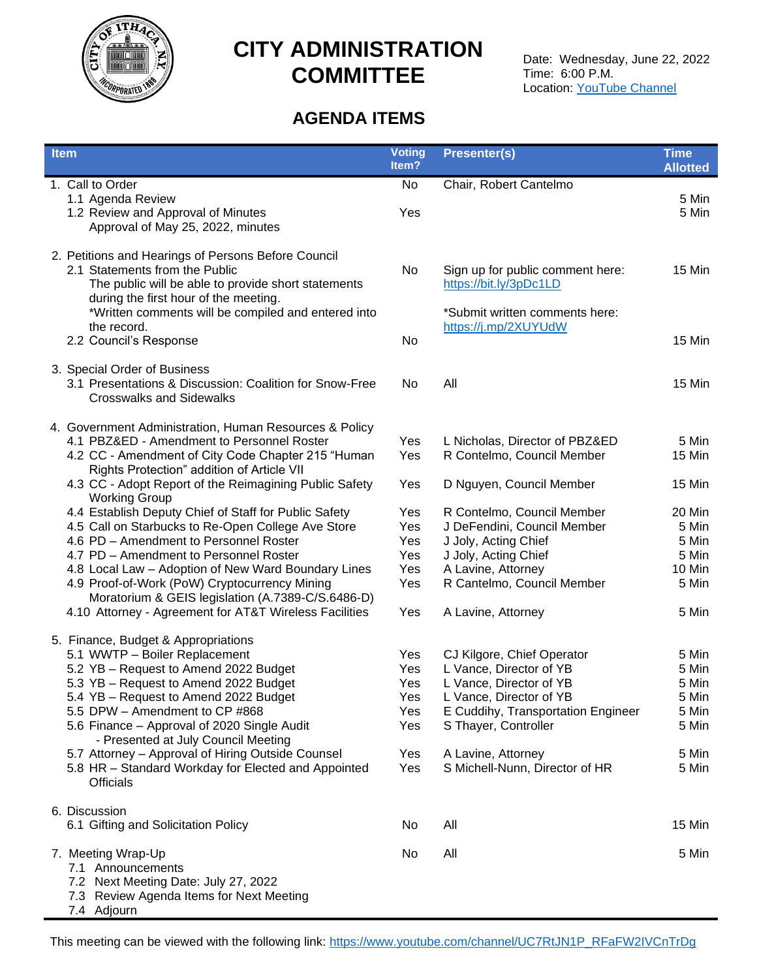

# **CITY ADMINISTRATION COMMITTEE**

# **AGENDA ITEMS**

| <b>Item</b>                                                                                                 | <b>Voting</b><br>Item? | <b>Presenter(s)</b>                | <b>Time</b><br><b>Allotted</b> |
|-------------------------------------------------------------------------------------------------------------|------------------------|------------------------------------|--------------------------------|
| 1. Call to Order                                                                                            | No                     | Chair, Robert Cantelmo             |                                |
| 1.1 Agenda Review                                                                                           |                        |                                    | 5 Min                          |
| 1.2 Review and Approval of Minutes                                                                          | Yes                    |                                    | 5 Min                          |
| Approval of May 25, 2022, minutes                                                                           |                        |                                    |                                |
| 2. Petitions and Hearings of Persons Before Council                                                         |                        |                                    |                                |
| 2.1 Statements from the Public                                                                              | No                     | Sign up for public comment here:   | 15 Min                         |
| The public will be able to provide short statements                                                         |                        | https://bit.ly/3pDc1LD             |                                |
| during the first hour of the meeting.                                                                       |                        |                                    |                                |
| *Written comments will be compiled and entered into                                                         |                        | *Submit written comments here:     |                                |
| the record.                                                                                                 |                        | https://j.mp/2XUYUdW               |                                |
| 2.2 Council's Response                                                                                      | No                     |                                    | 15 Min                         |
| 3. Special Order of Business                                                                                |                        |                                    |                                |
| 3.1 Presentations & Discussion: Coalition for Snow-Free                                                     | No                     | All                                | 15 Min                         |
| <b>Crosswalks and Sidewalks</b>                                                                             |                        |                                    |                                |
| 4. Government Administration, Human Resources & Policy                                                      |                        |                                    |                                |
| 4.1 PBZ&ED - Amendment to Personnel Roster                                                                  | Yes                    | L Nicholas, Director of PBZ&ED     | 5 Min                          |
| 4.2 CC - Amendment of City Code Chapter 215 "Human                                                          | Yes                    | R Contelmo, Council Member         | 15 Min                         |
| Rights Protection" addition of Article VII                                                                  |                        |                                    |                                |
| 4.3 CC - Adopt Report of the Reimagining Public Safety<br><b>Working Group</b>                              | Yes                    | D Nguyen, Council Member           | 15 Min                         |
| 4.4 Establish Deputy Chief of Staff for Public Safety                                                       | Yes                    | R Contelmo, Council Member         | 20 Min                         |
| 4.5 Call on Starbucks to Re-Open College Ave Store                                                          | Yes                    | J DeFendini, Council Member        | 5 Min                          |
| 4.6 PD - Amendment to Personnel Roster                                                                      | Yes                    | J Joly, Acting Chief               | 5 Min                          |
| 4.7 PD - Amendment to Personnel Roster                                                                      | Yes                    | J Joly, Acting Chief               | 5 Min                          |
| 4.8 Local Law - Adoption of New Ward Boundary Lines                                                         | Yes                    | A Lavine, Attorney                 | 10 Min                         |
| 4.9 Proof-of-Work (PoW) Cryptocurrency Mining                                                               | Yes                    | R Cantelmo, Council Member         | 5 Min                          |
| Moratorium & GEIS legislation (A.7389-C/S.6486-D)<br>4.10 Attorney - Agreement for AT&T Wireless Facilities | Yes                    | A Lavine, Attorney                 | 5 Min                          |
|                                                                                                             |                        |                                    |                                |
| 5. Finance, Budget & Appropriations                                                                         |                        |                                    |                                |
| 5.1 WWTP - Boiler Replacement                                                                               | Yes                    | CJ Kilgore, Chief Operator         | 5 Min                          |
| 5.2 YB - Request to Amend 2022 Budget                                                                       | Yes                    | L Vance, Director of YB            | 5 Min                          |
| 5.3 YB - Request to Amend 2022 Budget                                                                       | Yes                    | L Vance, Director of YB            | 5 Min                          |
| 5.4 YB - Request to Amend 2022 Budget                                                                       | Yes                    | L Vance, Director of YB            | 5 Min                          |
| 5.5 DPW - Amendment to CP #868                                                                              | Yes                    | E Cuddihy, Transportation Engineer | 5 Min                          |
| 5.6 Finance - Approval of 2020 Single Audit<br>- Presented at July Council Meeting                          | Yes                    | S Thayer, Controller               | 5 Min                          |
| 5.7 Attorney - Approval of Hiring Outside Counsel                                                           | Yes                    | A Lavine, Attorney                 | 5 Min                          |
| 5.8 HR - Standard Workday for Elected and Appointed                                                         | Yes                    | S Michell-Nunn, Director of HR     | 5 Min                          |
| <b>Officials</b>                                                                                            |                        |                                    |                                |
| 6. Discussion                                                                                               |                        |                                    |                                |
| 6.1 Gifting and Solicitation Policy                                                                         | No                     | All                                | 15 Min                         |
| 7. Meeting Wrap-Up                                                                                          | No                     | All                                | 5 Min                          |
| 7.1 Announcements                                                                                           |                        |                                    |                                |
| 7.2 Next Meeting Date: July 27, 2022                                                                        |                        |                                    |                                |
| 7.3 Review Agenda Items for Next Meeting                                                                    |                        |                                    |                                |
| 7.4 Adjourn                                                                                                 |                        |                                    |                                |

This meeting can be viewed with the following link: [https://www.youtube.com/channel/UC7RtJN1P\\_RFaFW2IVCnTrDg](https://www.youtube.com/channel/UC7RtJN1P_RFaFW2IVCnTrDg)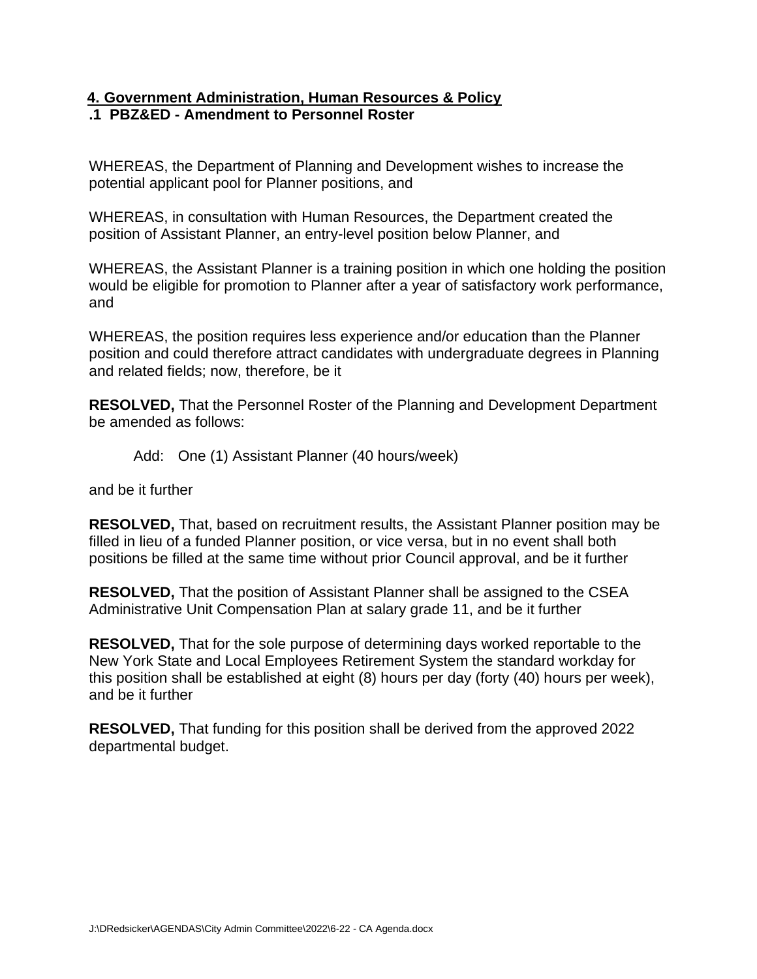### **4. Government Administration, Human Resources & Policy .1 PBZ&ED - Amendment to Personnel Roster**

WHEREAS, the Department of Planning and Development wishes to increase the potential applicant pool for Planner positions, and

WHEREAS, in consultation with Human Resources, the Department created the position of Assistant Planner, an entry-level position below Planner, and

WHEREAS, the Assistant Planner is a training position in which one holding the position would be eligible for promotion to Planner after a year of satisfactory work performance, and

WHEREAS, the position requires less experience and/or education than the Planner position and could therefore attract candidates with undergraduate degrees in Planning and related fields; now, therefore, be it

**RESOLVED,** That the Personnel Roster of the Planning and Development Department be amended as follows:

Add: One (1) Assistant Planner (40 hours/week)

and be it further

**RESOLVED,** That, based on recruitment results, the Assistant Planner position may be filled in lieu of a funded Planner position, or vice versa, but in no event shall both positions be filled at the same time without prior Council approval, and be it further

**RESOLVED,** That the position of Assistant Planner shall be assigned to the CSEA Administrative Unit Compensation Plan at salary grade 11, and be it further

**RESOLVED,** That for the sole purpose of determining days worked reportable to the New York State and Local Employees Retirement System the standard workday for this position shall be established at eight (8) hours per day (forty (40) hours per week), and be it further

**RESOLVED,** That funding for this position shall be derived from the approved 2022 departmental budget.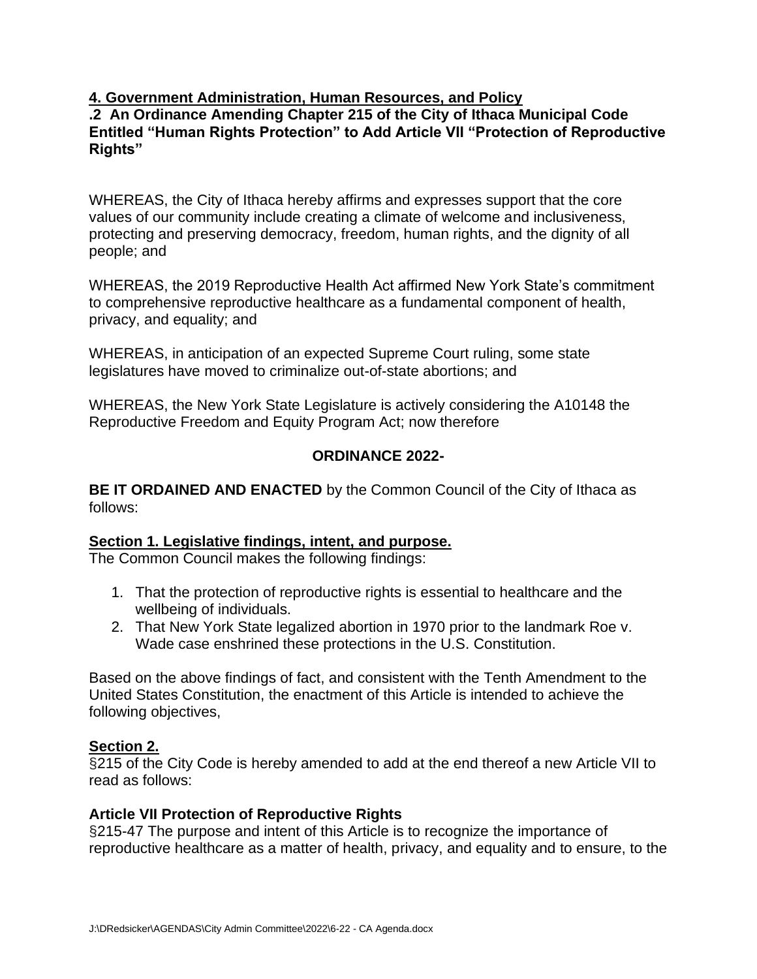## **4. Government Administration, Human Resources, and Policy**

### **.2 An Ordinance Amending Chapter 215 of the City of Ithaca Municipal Code Entitled "Human Rights Protection" to Add Article VII "Protection of Reproductive Rights"**

WHEREAS, the City of Ithaca hereby affirms and expresses support that the core values of our community include creating a climate of welcome and inclusiveness, protecting and preserving democracy, freedom, human rights, and the dignity of all people; and

WHEREAS, the 2019 Reproductive Health Act affirmed New York State's commitment to comprehensive reproductive healthcare as a fundamental component of health, privacy, and equality; and

WHEREAS, in anticipation of an expected Supreme Court ruling, some state legislatures have moved to criminalize out-of-state abortions; and

WHEREAS, the New York State Legislature is actively considering the A10148 the Reproductive Freedom and Equity Program Act; now therefore

## **ORDINANCE 2022-**

**BE IT ORDAINED AND ENACTED** by the Common Council of the City of Ithaca as follows:

### **Section 1. Legislative findings, intent, and purpose.**

The Common Council makes the following findings:

- 1. That the protection of reproductive rights is essential to healthcare and the wellbeing of individuals.
- 2. That New York State legalized abortion in 1970 prior to the landmark Roe v. Wade case enshrined these protections in the U.S. Constitution.

Based on the above findings of fact, and consistent with the Tenth Amendment to the United States Constitution, the enactment of this Article is intended to achieve the following objectives,

### **Section 2.**

§215 of the City Code is hereby amended to add at the end thereof a new Article VII to read as follows:

### **Article VII Protection of Reproductive Rights**

§215-47 The purpose and intent of this Article is to recognize the importance of reproductive healthcare as a matter of health, privacy, and equality and to ensure, to the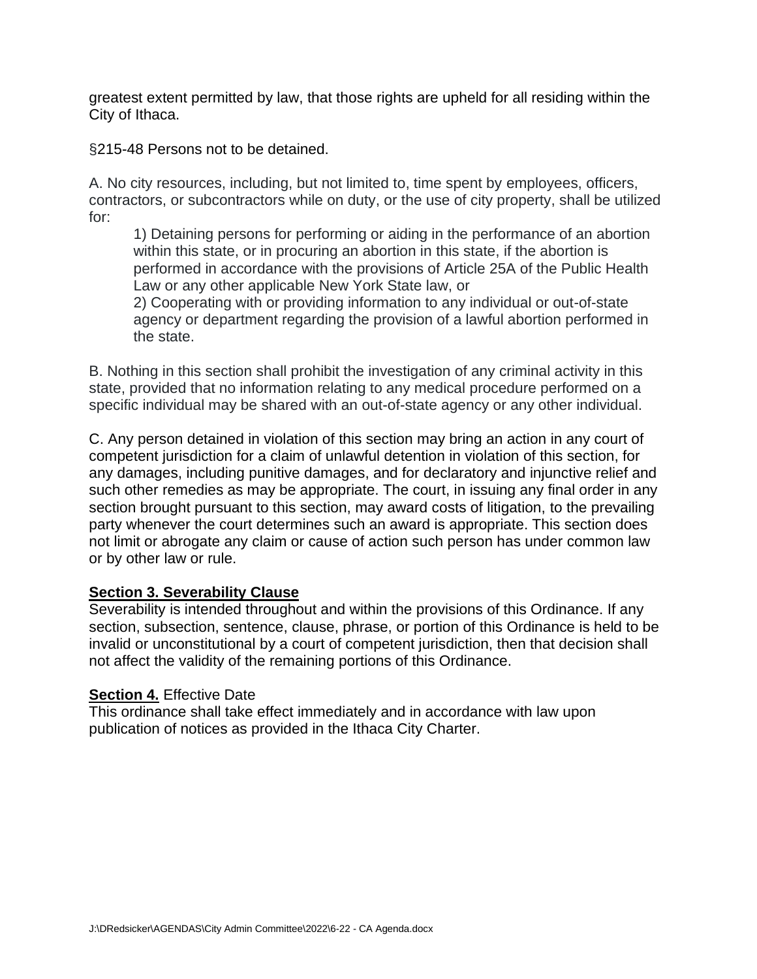greatest extent permitted by law, that those rights are upheld for all residing within the City of Ithaca.

§215-48 Persons not to be detained.

A. No city resources, including, but not limited to, time spent by employees, officers, contractors, or subcontractors while on duty, or the use of city property, shall be utilized for:

1) Detaining persons for performing or aiding in the performance of an abortion within this state, or in procuring an abortion in this state, if the abortion is performed in accordance with the provisions of Article 25A of the Public Health Law or any other applicable New York State law, or

2) Cooperating with or providing information to any individual or out-of-state agency or department regarding the provision of a lawful abortion performed in the state.

B. Nothing in this section shall prohibit the investigation of any criminal activity in this state, provided that no information relating to any medical procedure performed on a specific individual may be shared with an out-of-state agency or any other individual.

C. Any person detained in violation of this section may bring an action in any court of competent jurisdiction for a claim of unlawful detention in violation of this section, for any damages, including punitive damages, and for declaratory and injunctive relief and such other remedies as may be appropriate. The court, in issuing any final order in any section brought pursuant to this section, may award costs of litigation, to the prevailing party whenever the court determines such an award is appropriate. This section does not limit or abrogate any claim or cause of action such person has under common law or by other law or rule.

### **Section 3. Severability Clause**

Severability is intended throughout and within the provisions of this Ordinance. If any section, subsection, sentence, clause, phrase, or portion of this Ordinance is held to be invalid or unconstitutional by a court of competent jurisdiction, then that decision shall not affect the validity of the remaining portions of this Ordinance.

### **Section 4.** Effective Date

This ordinance shall take effect immediately and in accordance with law upon publication of notices as provided in the Ithaca City Charter.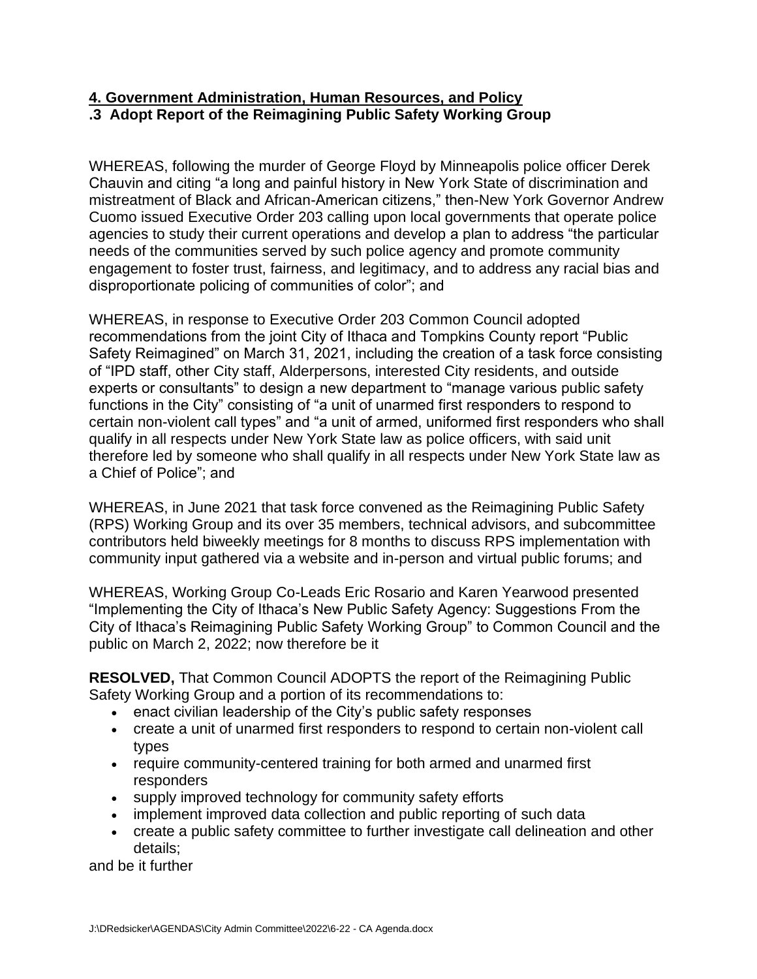### **4. Government Administration, Human Resources, and Policy .3 Adopt Report of the Reimagining Public Safety Working Group**

WHEREAS, following the murder of George Floyd by Minneapolis police officer Derek Chauvin and citing "a long and painful history in New York State of discrimination and mistreatment of Black and African-American citizens," then-New York Governor Andrew Cuomo issued Executive Order 203 calling upon local governments that operate police agencies to study their current operations and develop a plan to address "the particular needs of the communities served by such police agency and promote community engagement to foster trust, fairness, and legitimacy, and to address any racial bias and disproportionate policing of communities of color"; and

WHEREAS, in response to Executive Order 203 Common Council adopted recommendations from the joint City of Ithaca and Tompkins County report "Public Safety Reimagined" on March 31, 2021, including the creation of a task force consisting of "IPD staff, other City staff, Alderpersons, interested City residents, and outside experts or consultants" to design a new department to "manage various public safety functions in the City" consisting of "a unit of unarmed first responders to respond to certain non-violent call types" and "a unit of armed, uniformed first responders who shall qualify in all respects under New York State law as police officers, with said unit therefore led by someone who shall qualify in all respects under New York State law as a Chief of Police"; and

WHEREAS, in June 2021 that task force convened as the Reimagining Public Safety (RPS) Working Group and its over 35 members, technical advisors, and subcommittee contributors held biweekly meetings for 8 months to discuss RPS implementation with community input gathered via a website and in-person and virtual public forums; and

WHEREAS, Working Group Co-Leads Eric Rosario and Karen Yearwood presented "Implementing the City of Ithaca's New Public Safety Agency: Suggestions From the City of Ithaca's Reimagining Public Safety Working Group" to Common Council and the public on March 2, 2022; now therefore be it

**RESOLVED,** That Common Council ADOPTS the report of the Reimagining Public Safety Working Group and a portion of its recommendations to:

- enact civilian leadership of the City's public safety responses
- create a unit of unarmed first responders to respond to certain non-violent call types
- require community-centered training for both armed and unarmed first responders
- supply improved technology for community safety efforts
- implement improved data collection and public reporting of such data
- create a public safety committee to further investigate call delineation and other details;

and be it further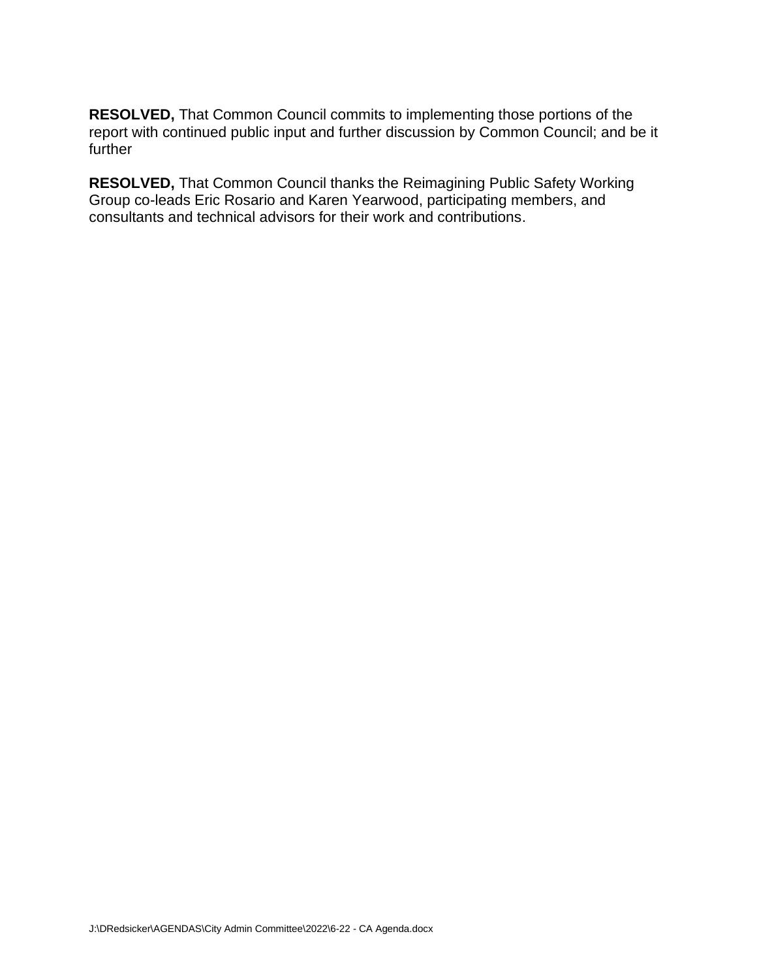**RESOLVED,** That Common Council commits to implementing those portions of the report with continued public input and further discussion by Common Council; and be it further

**RESOLVED,** That Common Council thanks the Reimagining Public Safety Working Group co-leads Eric Rosario and Karen Yearwood, participating members, and consultants and technical advisors for their work and contributions.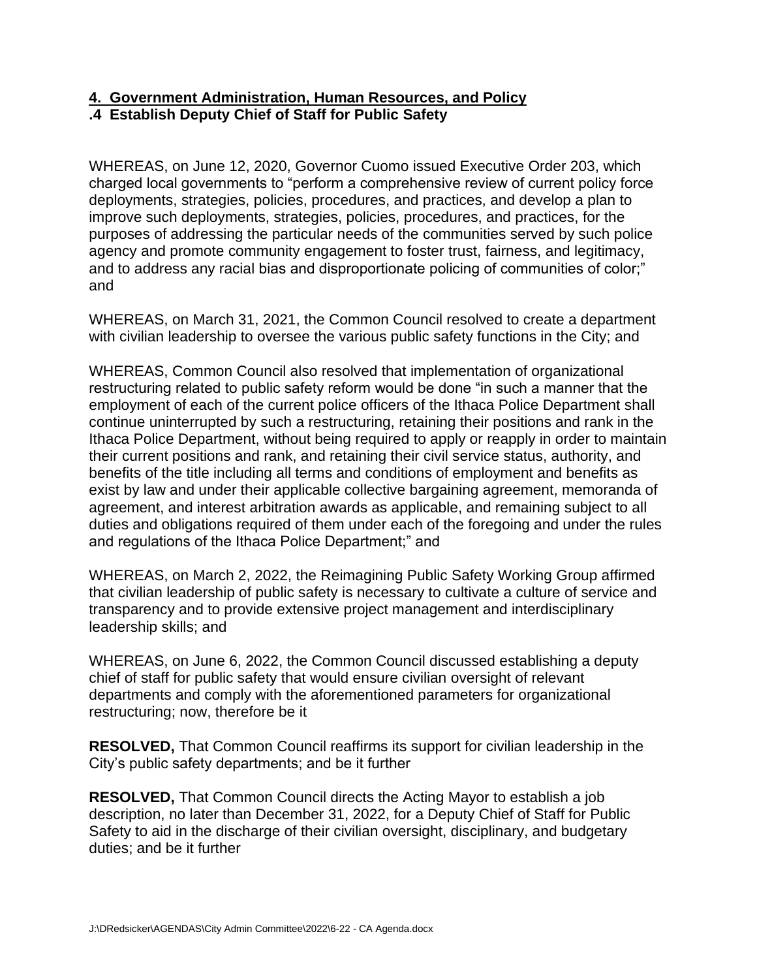### **4. Government Administration, Human Resources, and Policy .4 Establish Deputy Chief of Staff for Public Safety**

WHEREAS, on June 12, 2020, Governor Cuomo issued Executive Order 203, which charged local governments to "perform a comprehensive review of current policy force deployments, strategies, policies, procedures, and practices, and develop a plan to improve such deployments, strategies, policies, procedures, and practices, for the purposes of addressing the particular needs of the communities served by such police agency and promote community engagement to foster trust, fairness, and legitimacy, and to address any racial bias and disproportionate policing of communities of color;" and

WHEREAS, on March 31, 2021, the Common Council resolved to create a department with civilian leadership to oversee the various public safety functions in the City; and

WHEREAS, Common Council also resolved that implementation of organizational restructuring related to public safety reform would be done "in such a manner that the employment of each of the current police officers of the Ithaca Police Department shall continue uninterrupted by such a restructuring, retaining their positions and rank in the Ithaca Police Department, without being required to apply or reapply in order to maintain their current positions and rank, and retaining their civil service status, authority, and benefits of the title including all terms and conditions of employment and benefits as exist by law and under their applicable collective bargaining agreement, memoranda of agreement, and interest arbitration awards as applicable, and remaining subject to all duties and obligations required of them under each of the foregoing and under the rules and regulations of the Ithaca Police Department;" and

WHEREAS, on March 2, 2022, the Reimagining Public Safety Working Group affirmed that civilian leadership of public safety is necessary to cultivate a culture of service and transparency and to provide extensive project management and interdisciplinary leadership skills; and

WHEREAS, on June 6, 2022, the Common Council discussed establishing a deputy chief of staff for public safety that would ensure civilian oversight of relevant departments and comply with the aforementioned parameters for organizational restructuring; now, therefore be it

**RESOLVED,** That Common Council reaffirms its support for civilian leadership in the City's public safety departments; and be it further

**RESOLVED,** That Common Council directs the Acting Mayor to establish a job description, no later than December 31, 2022, for a Deputy Chief of Staff for Public Safety to aid in the discharge of their civilian oversight, disciplinary, and budgetary duties; and be it further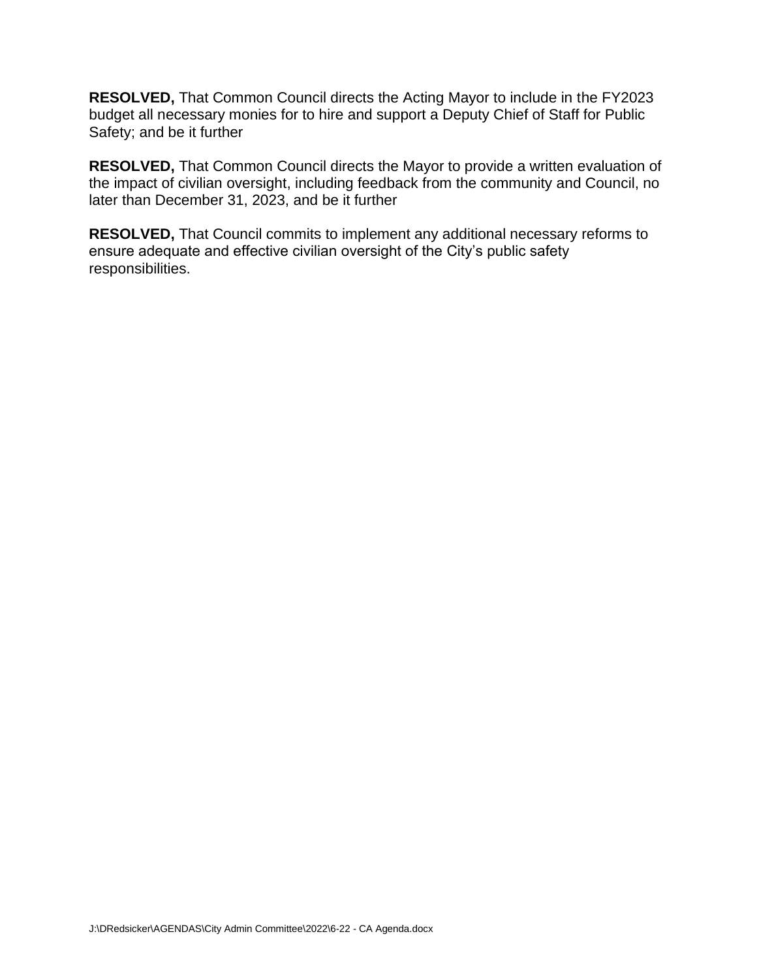**RESOLVED,** That Common Council directs the Acting Mayor to include in the FY2023 budget all necessary monies for to hire and support a Deputy Chief of Staff for Public Safety; and be it further

**RESOLVED,** That Common Council directs the Mayor to provide a written evaluation of the impact of civilian oversight, including feedback from the community and Council, no later than December 31, 2023, and be it further

**RESOLVED,** That Council commits to implement any additional necessary reforms to ensure adequate and effective civilian oversight of the City's public safety responsibilities.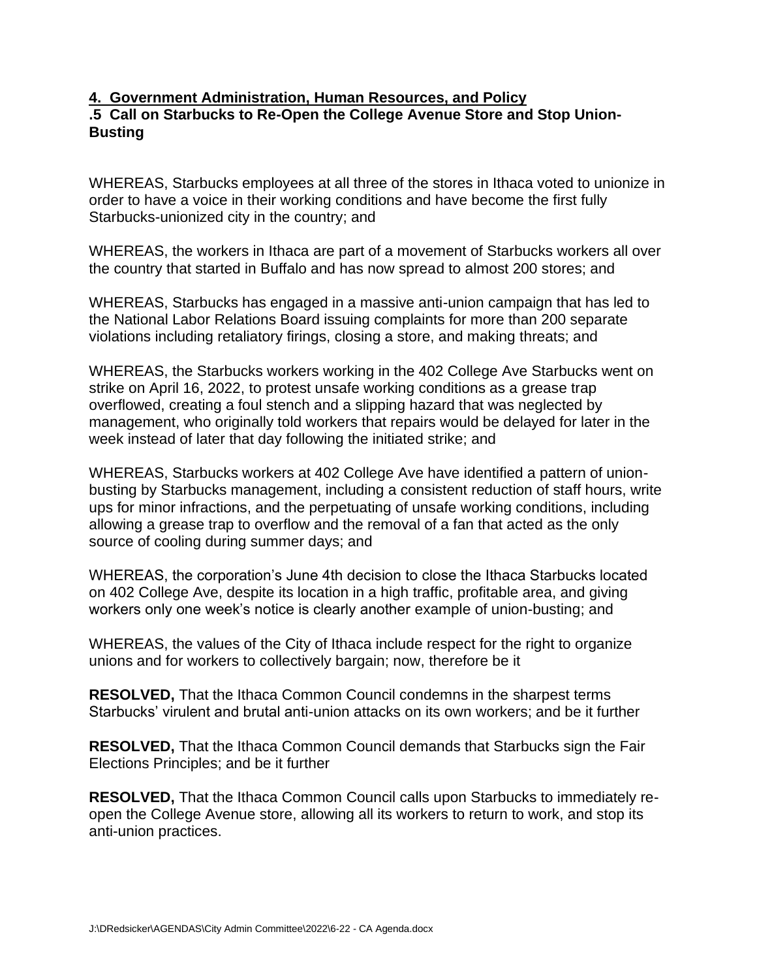### **4. Government Administration, Human Resources, and Policy .5 Call on Starbucks to Re-Open the College Avenue Store and Stop Union-Busting**

WHEREAS, Starbucks employees at all three of the stores in Ithaca voted to unionize in order to have a voice in their working conditions and have become the first fully Starbucks-unionized city in the country; and

WHEREAS, the workers in Ithaca are part of a movement of Starbucks workers all over the country that started in Buffalo and has now spread to almost 200 stores; and

WHEREAS, Starbucks has engaged in a massive anti-union campaign that has led to the National Labor Relations Board issuing complaints for more than 200 separate violations including retaliatory firings, closing a store, and making threats; and

WHEREAS, the Starbucks workers working in the 402 College Ave Starbucks went on strike on April 16, 2022, to protest unsafe working conditions as a grease trap overflowed, creating a foul stench and a slipping hazard that was neglected by management, who originally told workers that repairs would be delayed for later in the week instead of later that day following the initiated strike; and

WHEREAS, Starbucks workers at 402 College Ave have identified a pattern of unionbusting by Starbucks management, including a consistent reduction of staff hours, write ups for minor infractions, and the perpetuating of unsafe working conditions, including allowing a grease trap to overflow and the removal of a fan that acted as the only source of cooling during summer days; and

WHEREAS, the corporation's June 4th decision to close the Ithaca Starbucks located on 402 College Ave, despite its location in a high traffic, profitable area, and giving workers only one week's notice is clearly another example of union-busting; and

WHEREAS, the values of the City of Ithaca include respect for the right to organize unions and for workers to collectively bargain; now, therefore be it

**RESOLVED,** That the Ithaca Common Council condemns in the sharpest terms Starbucks' virulent and brutal anti-union attacks on its own workers; and be it further

**RESOLVED,** That the Ithaca Common Council demands that Starbucks sign the Fair Elections Principles; and be it further

**RESOLVED,** That the Ithaca Common Council calls upon Starbucks to immediately reopen the College Avenue store, allowing all its workers to return to work, and stop its anti-union practices.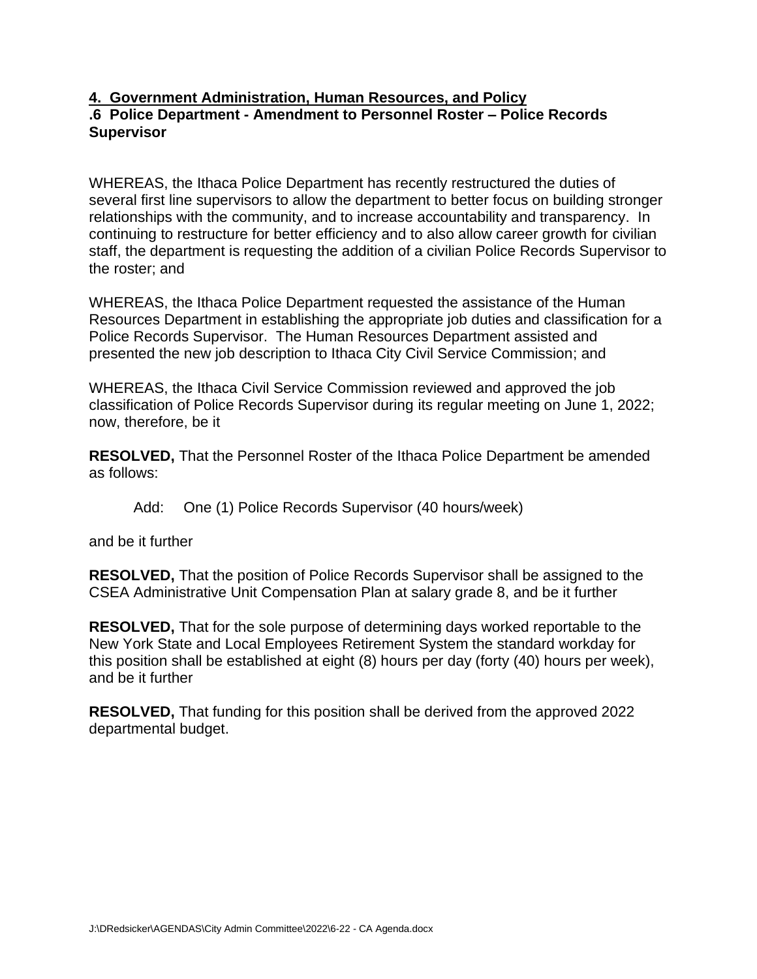### **4. Government Administration, Human Resources, and Policy .6 Police Department - Amendment to Personnel Roster – Police Records Supervisor**

WHEREAS, the Ithaca Police Department has recently restructured the duties of several first line supervisors to allow the department to better focus on building stronger relationships with the community, and to increase accountability and transparency. In continuing to restructure for better efficiency and to also allow career growth for civilian staff, the department is requesting the addition of a civilian Police Records Supervisor to the roster; and

WHEREAS, the Ithaca Police Department requested the assistance of the Human Resources Department in establishing the appropriate job duties and classification for a Police Records Supervisor. The Human Resources Department assisted and presented the new job description to Ithaca City Civil Service Commission; and

WHEREAS, the Ithaca Civil Service Commission reviewed and approved the job classification of Police Records Supervisor during its regular meeting on June 1, 2022; now, therefore, be it

**RESOLVED,** That the Personnel Roster of the Ithaca Police Department be amended as follows:

Add: One (1) Police Records Supervisor (40 hours/week)

and be it further

**RESOLVED,** That the position of Police Records Supervisor shall be assigned to the CSEA Administrative Unit Compensation Plan at salary grade 8, and be it further

**RESOLVED,** That for the sole purpose of determining days worked reportable to the New York State and Local Employees Retirement System the standard workday for this position shall be established at eight (8) hours per day (forty (40) hours per week), and be it further

**RESOLVED,** That funding for this position shall be derived from the approved 2022 departmental budget.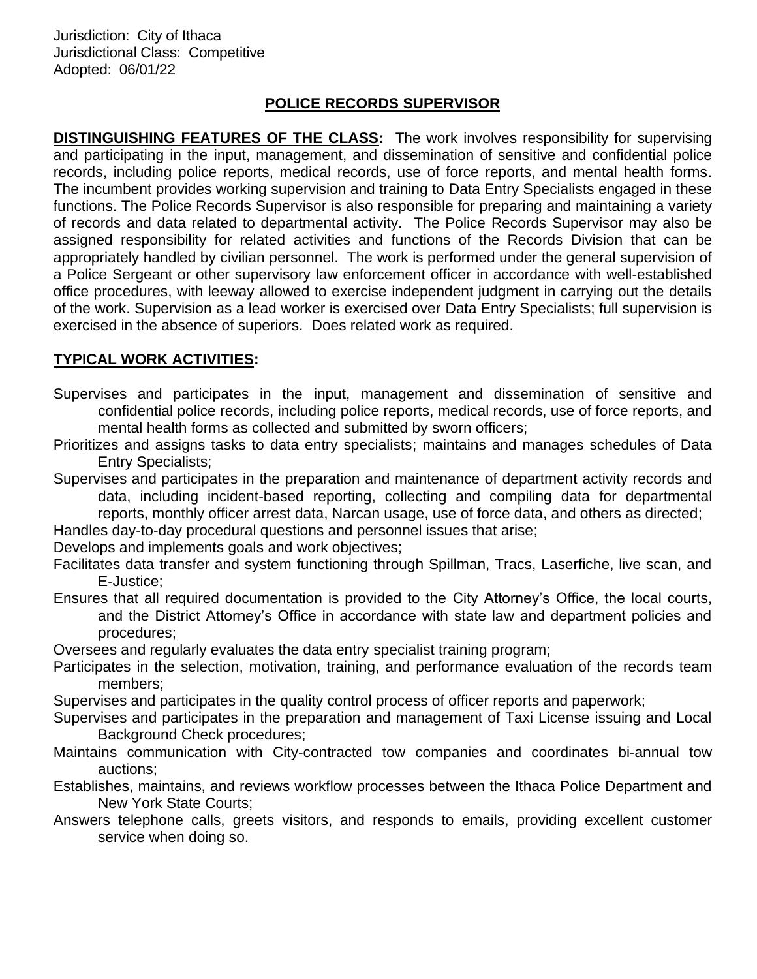Jurisdiction: City of Ithaca Jurisdictional Class: Competitive Adopted: 06/01/22

### **POLICE RECORDS SUPERVISOR**

**DISTINGUISHING FEATURES OF THE CLASS:** The work involves responsibility for supervising and participating in the input, management, and dissemination of sensitive and confidential police records, including police reports, medical records, use of force reports, and mental health forms. The incumbent provides working supervision and training to Data Entry Specialists engaged in these functions. The Police Records Supervisor is also responsible for preparing and maintaining a variety of records and data related to departmental activity. The Police Records Supervisor may also be assigned responsibility for related activities and functions of the Records Division that can be appropriately handled by civilian personnel. The work is performed under the general supervision of a Police Sergeant or other supervisory law enforcement officer in accordance with well-established office procedures, with leeway allowed to exercise independent judgment in carrying out the details of the work. Supervision as a lead worker is exercised over Data Entry Specialists; full supervision is exercised in the absence of superiors. Does related work as required.

### **TYPICAL WORK ACTIVITIES:**

Supervises and participates in the input, management and dissemination of sensitive and confidential police records, including police reports, medical records, use of force reports, and mental health forms as collected and submitted by sworn officers;

Prioritizes and assigns tasks to data entry specialists; maintains and manages schedules of Data Entry Specialists;

Supervises and participates in the preparation and maintenance of department activity records and data, including incident-based reporting, collecting and compiling data for departmental reports, monthly officer arrest data, Narcan usage, use of force data, and others as directed;

Handles day-to-day procedural questions and personnel issues that arise;

Develops and implements goals and work objectives;

Facilitates data transfer and system functioning through Spillman, Tracs, Laserfiche, live scan, and E-Justice;

Ensures that all required documentation is provided to the City Attorney's Office, the local courts, and the District Attorney's Office in accordance with state law and department policies and procedures;

Oversees and regularly evaluates the data entry specialist training program;

Participates in the selection, motivation, training, and performance evaluation of the records team members;

Supervises and participates in the quality control process of officer reports and paperwork;

- Supervises and participates in the preparation and management of Taxi License issuing and Local Background Check procedures;
- Maintains communication with City-contracted tow companies and coordinates bi-annual tow auctions;
- Establishes, maintains, and reviews workflow processes between the Ithaca Police Department and New York State Courts;
- Answers telephone calls, greets visitors, and responds to emails, providing excellent customer service when doing so.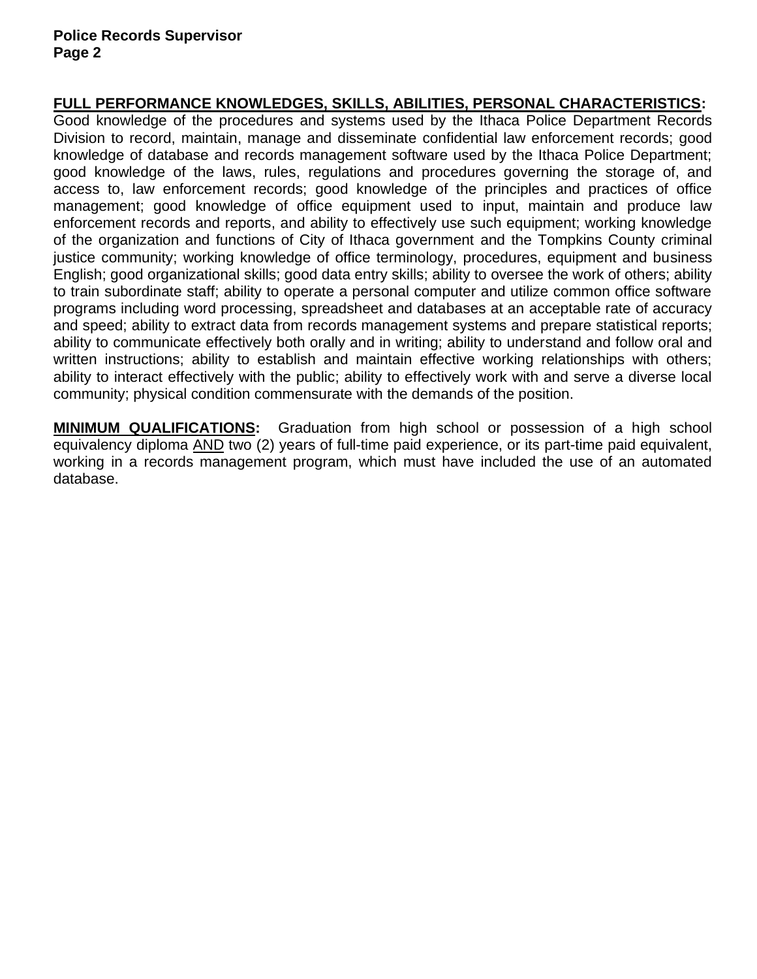### **FULL PERFORMANCE KNOWLEDGES, SKILLS, ABILITIES, PERSONAL CHARACTERISTICS:**

Good knowledge of the procedures and systems used by the Ithaca Police Department Records Division to record, maintain, manage and disseminate confidential law enforcement records; good knowledge of database and records management software used by the Ithaca Police Department; good knowledge of the laws, rules, regulations and procedures governing the storage of, and access to, law enforcement records; good knowledge of the principles and practices of office management; good knowledge of office equipment used to input, maintain and produce law enforcement records and reports, and ability to effectively use such equipment; working knowledge of the organization and functions of City of Ithaca government and the Tompkins County criminal justice community; working knowledge of office terminology, procedures, equipment and business English; good organizational skills; good data entry skills; ability to oversee the work of others; ability to train subordinate staff; ability to operate a personal computer and utilize common office software programs including word processing, spreadsheet and databases at an acceptable rate of accuracy and speed; ability to extract data from records management systems and prepare statistical reports; ability to communicate effectively both orally and in writing; ability to understand and follow oral and written instructions; ability to establish and maintain effective working relationships with others; ability to interact effectively with the public; ability to effectively work with and serve a diverse local community; physical condition commensurate with the demands of the position.

**MINIMUM QUALIFICATIONS:** Graduation from high school or possession of a high school equivalency diploma AND two (2) years of full-time paid experience, or its part-time paid equivalent, working in a records management program, which must have included the use of an automated database.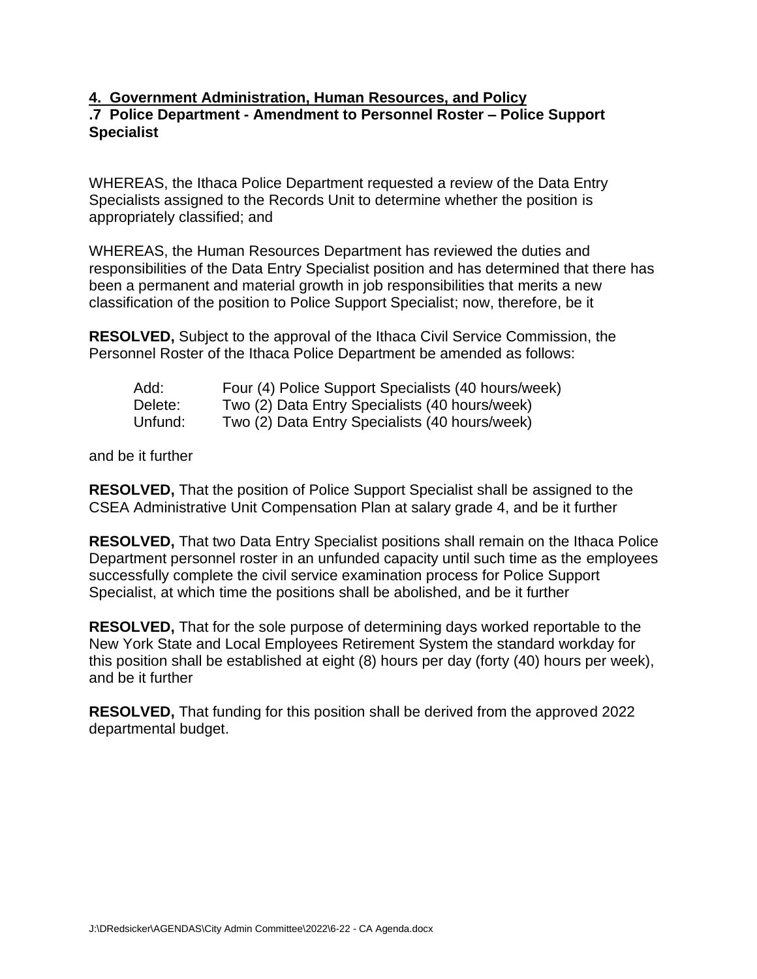### **4. Government Administration, Human Resources, and Policy .7 Police Department - Amendment to Personnel Roster – Police Support Specialist**

WHEREAS, the Ithaca Police Department requested a review of the Data Entry Specialists assigned to the Records Unit to determine whether the position is appropriately classified; and

WHEREAS, the Human Resources Department has reviewed the duties and responsibilities of the Data Entry Specialist position and has determined that there has been a permanent and material growth in job responsibilities that merits a new classification of the position to Police Support Specialist; now, therefore, be it

**RESOLVED,** Subject to the approval of the Ithaca Civil Service Commission, the Personnel Roster of the Ithaca Police Department be amended as follows:

| Add:    | Four (4) Police Support Specialists (40 hours/week) |
|---------|-----------------------------------------------------|
| Delete: | Two (2) Data Entry Specialists (40 hours/week)      |
| Unfund: | Two (2) Data Entry Specialists (40 hours/week)      |

and be it further

**RESOLVED,** That the position of Police Support Specialist shall be assigned to the CSEA Administrative Unit Compensation Plan at salary grade 4, and be it further

**RESOLVED,** That two Data Entry Specialist positions shall remain on the Ithaca Police Department personnel roster in an unfunded capacity until such time as the employees successfully complete the civil service examination process for Police Support Specialist, at which time the positions shall be abolished, and be it further

**RESOLVED,** That for the sole purpose of determining days worked reportable to the New York State and Local Employees Retirement System the standard workday for this position shall be established at eight (8) hours per day (forty (40) hours per week), and be it further

**RESOLVED,** That funding for this position shall be derived from the approved 2022 departmental budget.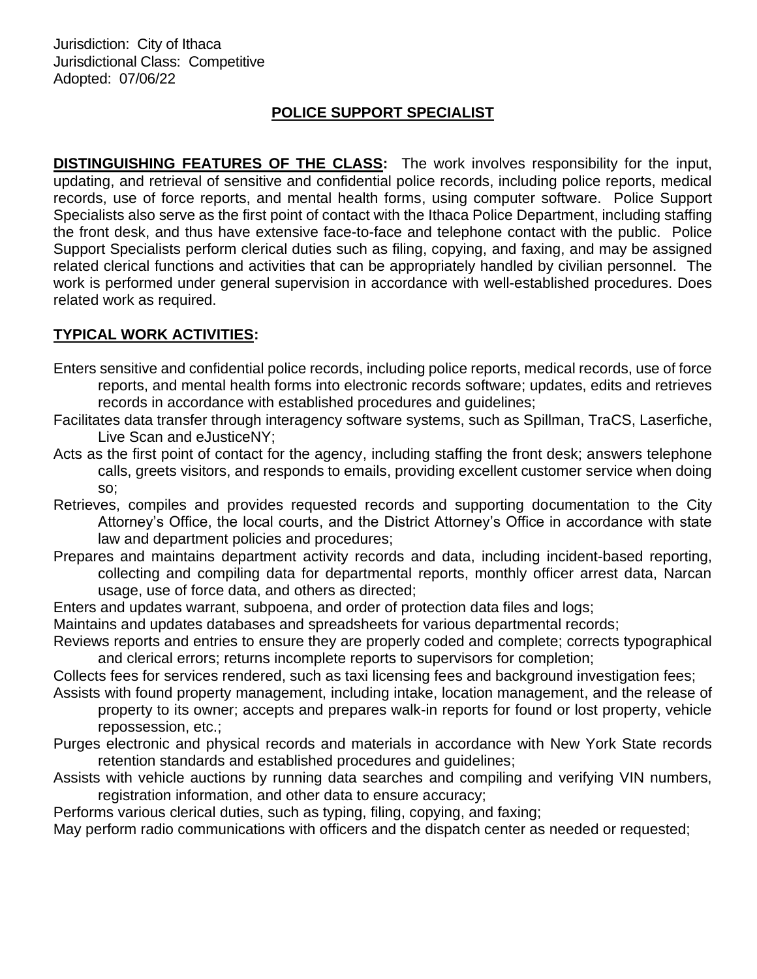Jurisdiction: City of Ithaca Jurisdictional Class: Competitive Adopted: 07/06/22

# **POLICE SUPPORT SPECIALIST**

**DISTINGUISHING FEATURES OF THE CLASS:** The work involves responsibility for the input, updating, and retrieval of sensitive and confidential police records, including police reports, medical records, use of force reports, and mental health forms, using computer software. Police Support Specialists also serve as the first point of contact with the Ithaca Police Department, including staffing the front desk, and thus have extensive face-to-face and telephone contact with the public. Police Support Specialists perform clerical duties such as filing, copying, and faxing, and may be assigned related clerical functions and activities that can be appropriately handled by civilian personnel. The work is performed under general supervision in accordance with well-established procedures. Does related work as required.

## **TYPICAL WORK ACTIVITIES:**

- Enters sensitive and confidential police records, including police reports, medical records, use of force reports, and mental health forms into electronic records software; updates, edits and retrieves records in accordance with established procedures and guidelines;
- Facilitates data transfer through interagency software systems, such as Spillman, TraCS, Laserfiche, Live Scan and eJusticeNY;
- Acts as the first point of contact for the agency, including staffing the front desk; answers telephone calls, greets visitors, and responds to emails, providing excellent customer service when doing so;
- Retrieves, compiles and provides requested records and supporting documentation to the City Attorney's Office, the local courts, and the District Attorney's Office in accordance with state law and department policies and procedures;
- Prepares and maintains department activity records and data, including incident-based reporting, collecting and compiling data for departmental reports, monthly officer arrest data, Narcan usage, use of force data, and others as directed;
- Enters and updates warrant, subpoena, and order of protection data files and logs;
- Maintains and updates databases and spreadsheets for various departmental records;
- Reviews reports and entries to ensure they are properly coded and complete; corrects typographical and clerical errors; returns incomplete reports to supervisors for completion;

Collects fees for services rendered, such as taxi licensing fees and background investigation fees;

- Assists with found property management, including intake, location management, and the release of property to its owner; accepts and prepares walk-in reports for found or lost property, vehicle repossession, etc.;
- Purges electronic and physical records and materials in accordance with New York State records retention standards and established procedures and guidelines;
- Assists with vehicle auctions by running data searches and compiling and verifying VIN numbers, registration information, and other data to ensure accuracy;

Performs various clerical duties, such as typing, filing, copying, and faxing;

May perform radio communications with officers and the dispatch center as needed or requested;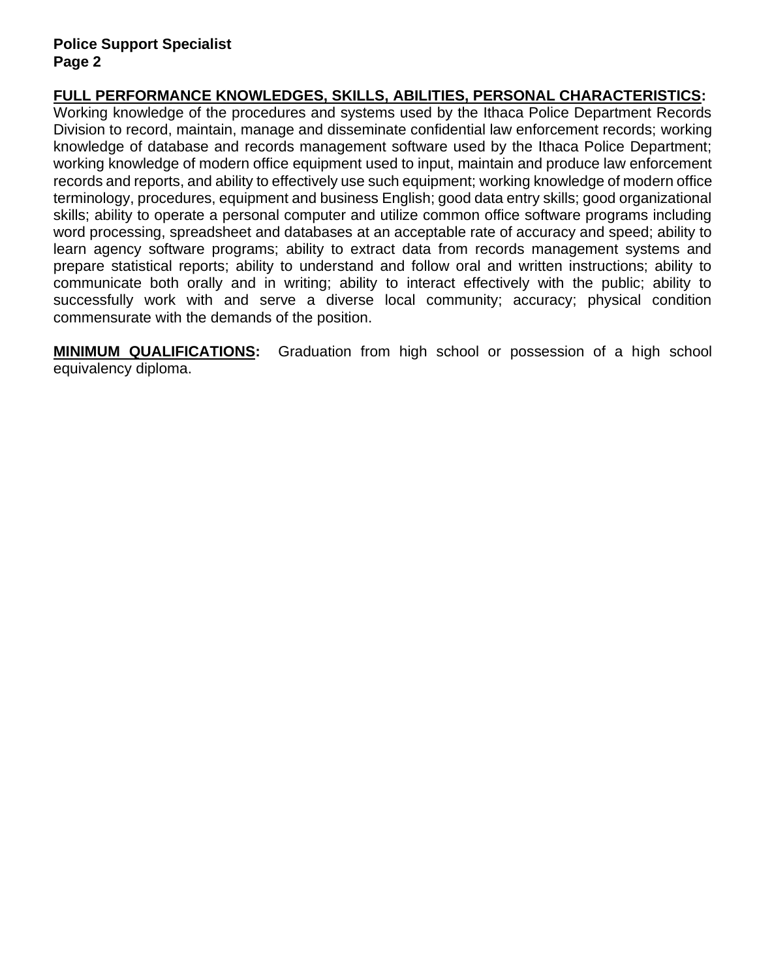## **FULL PERFORMANCE KNOWLEDGES, SKILLS, ABILITIES, PERSONAL CHARACTERISTICS:**

Working knowledge of the procedures and systems used by the Ithaca Police Department Records Division to record, maintain, manage and disseminate confidential law enforcement records; working knowledge of database and records management software used by the Ithaca Police Department; working knowledge of modern office equipment used to input, maintain and produce law enforcement records and reports, and ability to effectively use such equipment; working knowledge of modern office terminology, procedures, equipment and business English; good data entry skills; good organizational skills; ability to operate a personal computer and utilize common office software programs including word processing, spreadsheet and databases at an acceptable rate of accuracy and speed; ability to learn agency software programs; ability to extract data from records management systems and prepare statistical reports; ability to understand and follow oral and written instructions; ability to communicate both orally and in writing; ability to interact effectively with the public; ability to successfully work with and serve a diverse local community; accuracy; physical condition commensurate with the demands of the position.

**MINIMUM QUALIFICATIONS:** Graduation from high school or possession of a high school equivalency diploma.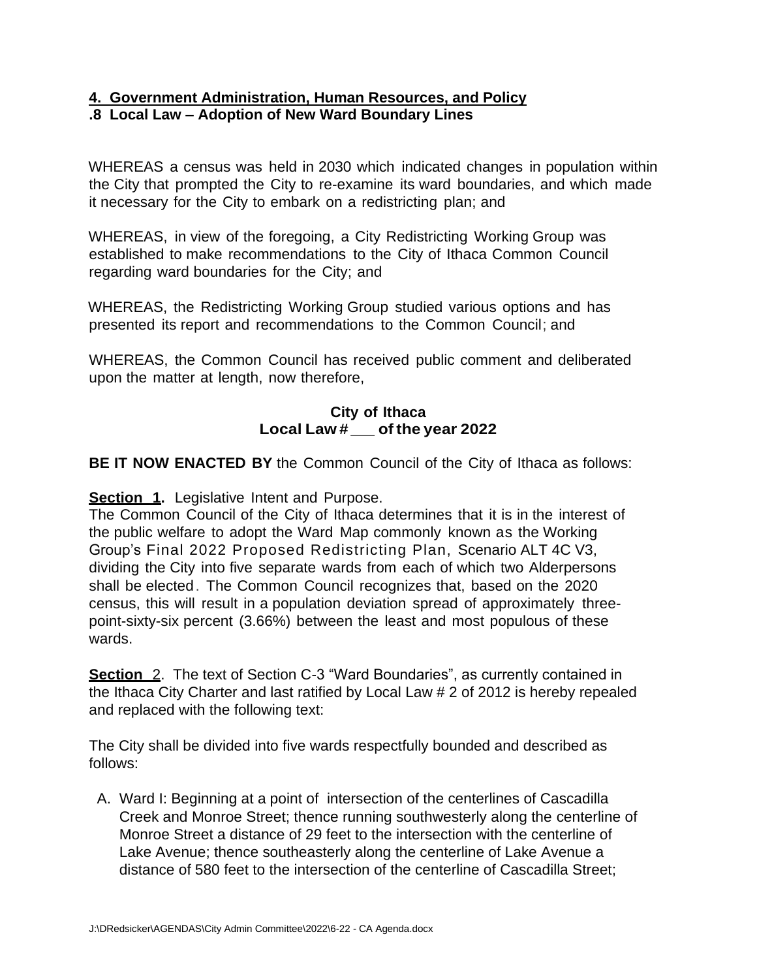### **4. Government Administration, Human Resources, and Policy .8 Local Law – Adoption of New Ward Boundary Lines**

WHEREAS a census was held in 2030 which indicated changes in population within the City that prompted the City to re-examine its ward boundaries, and which made it necessary for the City to embark on a redistricting plan; and

WHEREAS, in view of the foregoing, a City Redistricting Working Group was established to make recommendations to the City of Ithaca Common Council regarding ward boundaries for the City; and

WHEREAS, the Redistricting Working Group studied various options and has presented its report and recommendations to the Common Council; and

WHEREAS, the Common Council has received public comment and deliberated upon the matter at length, now therefore,

### **City of Ithaca Local Law # \_of the year <sup>2022</sup>**

**BE IT NOW ENACTED BY** the Common Council of the City of Ithaca as follows:

**Section 1.** Legislative Intent and Purpose.

The Common Council of the City of Ithaca determines that it is in the interest of the public welfare to adopt the Ward Map commonly known as the Working Group's Final 2022 Proposed Redistricting Plan, Scenario ALT 4C V3, dividing the City into five separate wards from each of which two Alderpersons shall be elected. The Common Council recognizes that, based on the 2020 census, this will result in a population deviation spread of approximately threepoint-sixty-six percent (3.66%) between the least and most populous of these wards.

**Section** 2. The text of Section C-3 "Ward Boundaries", as currently contained in the Ithaca City Charter and last ratified by Local Law # 2 of 2012 is hereby repealed and replaced with the following text:

The City shall be divided into five wards respectfully bounded and described as follows:

A. Ward I: Beginning at a point of intersection of the centerlines of Cascadilla Creek and Monroe Street; thence running southwesterly along the centerline of Monroe Street a distance of 29 feet to the intersection with the centerline of Lake Avenue; thence southeasterly along the centerline of Lake Avenue a distance of 580 feet to the intersection of the centerline of Cascadilla Street;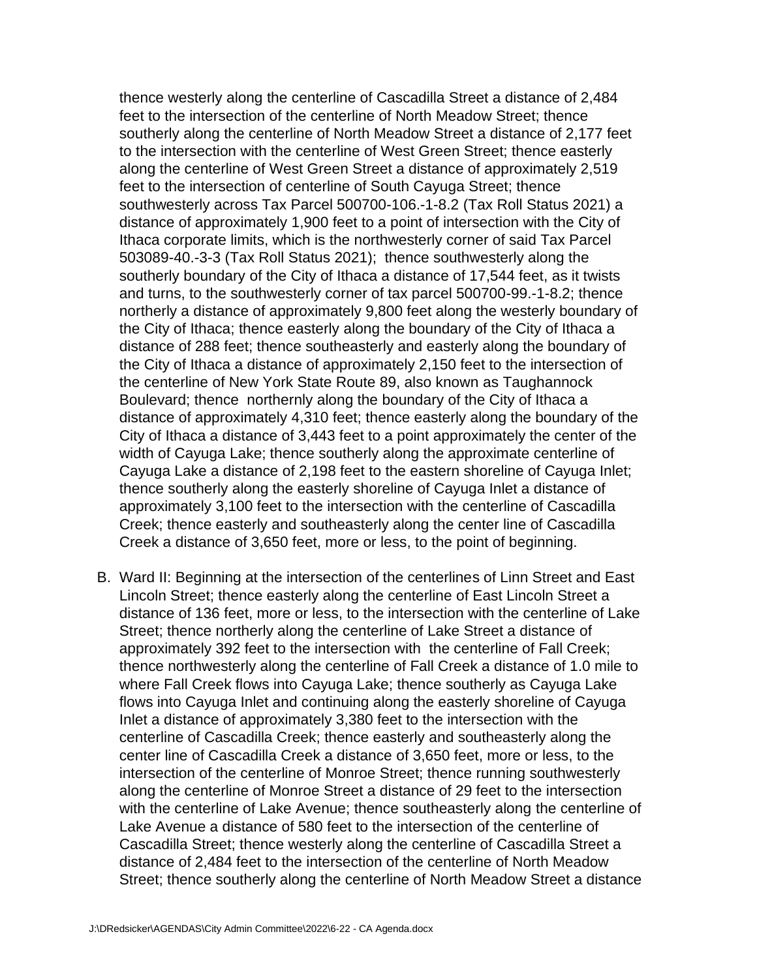thence westerly along the centerline of Cascadilla Street a distance of 2,484 feet to the intersection of the centerline of North Meadow Street; thence southerly along the centerline of North Meadow Street a distance of 2,177 feet to the intersection with the centerline of West Green Street; thence easterly along the centerline of West Green Street a distance of approximately 2,519 feet to the intersection of centerline of South Cayuga Street; thence southwesterly across Tax Parcel 500700-106.-1-8.2 (Tax Roll Status 2021) a distance of approximately 1,900 feet to a point of intersection with the City of Ithaca corporate limits, which is the northwesterly corner of said Tax Parcel 503089-40.-3-3 (Tax Roll Status 2021); thence southwesterly along the southerly boundary of the City of Ithaca a distance of 17,544 feet, as it twists and turns, to the southwesterly corner of tax parcel 500700-99.-1-8.2; thence northerly a distance of approximately 9,800 feet along the westerly boundary of the City of Ithaca; thence easterly along the boundary of the City of Ithaca a distance of 288 feet; thence southeasterly and easterly along the boundary of the City of Ithaca a distance of approximately 2,150 feet to the intersection of the centerline of New York State Route 89, also known as Taughannock Boulevard; thence northernly along the boundary of the City of Ithaca a distance of approximately 4,310 feet; thence easterly along the boundary of the City of Ithaca a distance of 3,443 feet to a point approximately the center of the width of Cayuga Lake; thence southerly along the approximate centerline of Cayuga Lake a distance of 2,198 feet to the eastern shoreline of Cayuga Inlet; thence southerly along the easterly shoreline of Cayuga Inlet a distance of approximately 3,100 feet to the intersection with the centerline of Cascadilla Creek; thence easterly and southeasterly along the center line of Cascadilla Creek a distance of 3,650 feet, more or less, to the point of beginning.

B. Ward II: Beginning at the intersection of the centerlines of Linn Street and East Lincoln Street; thence easterly along the centerline of East Lincoln Street a distance of 136 feet, more or less, to the intersection with the centerline of Lake Street; thence northerly along the centerline of Lake Street a distance of approximately 392 feet to the intersection with the centerline of Fall Creek; thence northwesterly along the centerline of Fall Creek a distance of 1.0 mile to where Fall Creek flows into Cayuga Lake; thence southerly as Cayuga Lake flows into Cayuga Inlet and continuing along the easterly shoreline of Cayuga Inlet a distance of approximately 3,380 feet to the intersection with the centerline of Cascadilla Creek; thence easterly and southeasterly along the center line of Cascadilla Creek a distance of 3,650 feet, more or less, to the intersection of the centerline of Monroe Street; thence running southwesterly along the centerline of Monroe Street a distance of 29 feet to the intersection with the centerline of Lake Avenue; thence southeasterly along the centerline of Lake Avenue a distance of 580 feet to the intersection of the centerline of Cascadilla Street; thence westerly along the centerline of Cascadilla Street a distance of 2,484 feet to the intersection of the centerline of North Meadow Street; thence southerly along the centerline of North Meadow Street a distance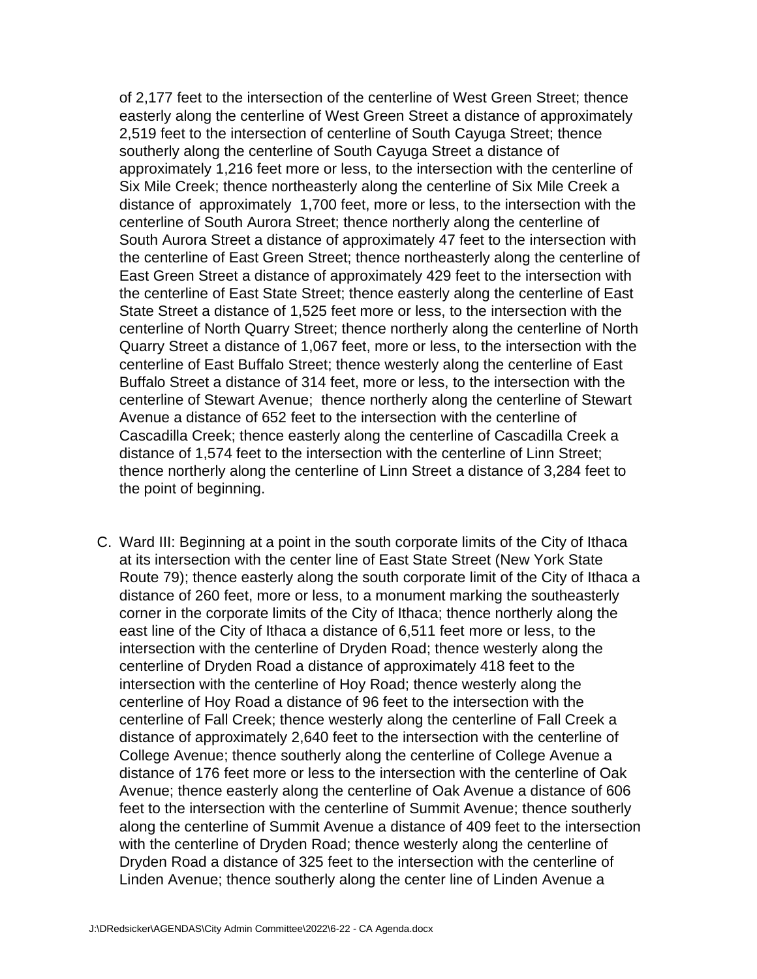of 2,177 feet to the intersection of the centerline of West Green Street; thence easterly along the centerline of West Green Street a distance of approximately 2,519 feet to the intersection of centerline of South Cayuga Street; thence southerly along the centerline of South Cayuga Street a distance of approximately 1,216 feet more or less, to the intersection with the centerline of Six Mile Creek; thence northeasterly along the centerline of Six Mile Creek a distance of approximately 1,700 feet, more or less, to the intersection with the centerline of South Aurora Street; thence northerly along the centerline of South Aurora Street a distance of approximately 47 feet to the intersection with the centerline of East Green Street; thence northeasterly along the centerline of East Green Street a distance of approximately 429 feet to the intersection with the centerline of East State Street; thence easterly along the centerline of East State Street a distance of 1,525 feet more or less, to the intersection with the centerline of North Quarry Street; thence northerly along the centerline of North Quarry Street a distance of 1,067 feet, more or less, to the intersection with the centerline of East Buffalo Street; thence westerly along the centerline of East Buffalo Street a distance of 314 feet, more or less, to the intersection with the centerline of Stewart Avenue; thence northerly along the centerline of Stewart Avenue a distance of 652 feet to the intersection with the centerline of Cascadilla Creek; thence easterly along the centerline of Cascadilla Creek a distance of 1,574 feet to the intersection with the centerline of Linn Street; thence northerly along the centerline of Linn Street a distance of 3,284 feet to the point of beginning.

C. Ward III: Beginning at a point in the south corporate limits of the City of Ithaca at its intersection with the center line of East State Street (New York State Route 79); thence easterly along the south corporate limit of the City of Ithaca a distance of 260 feet, more or less, to a monument marking the southeasterly corner in the corporate limits of the City of Ithaca; thence northerly along the east line of the City of Ithaca a distance of 6,511 feet more or less, to the intersection with the centerline of Dryden Road; thence westerly along the centerline of Dryden Road a distance of approximately 418 feet to the intersection with the centerline of Hoy Road; thence westerly along the centerline of Hoy Road a distance of 96 feet to the intersection with the centerline of Fall Creek; thence westerly along the centerline of Fall Creek a distance of approximately 2,640 feet to the intersection with the centerline of College Avenue; thence southerly along the centerline of College Avenue a distance of 176 feet more or less to the intersection with the centerline of Oak Avenue; thence easterly along the centerline of Oak Avenue a distance of 606 feet to the intersection with the centerline of Summit Avenue; thence southerly along the centerline of Summit Avenue a distance of 409 feet to the intersection with the centerline of Dryden Road; thence westerly along the centerline of Dryden Road a distance of 325 feet to the intersection with the centerline of Linden Avenue; thence southerly along the center line of Linden Avenue a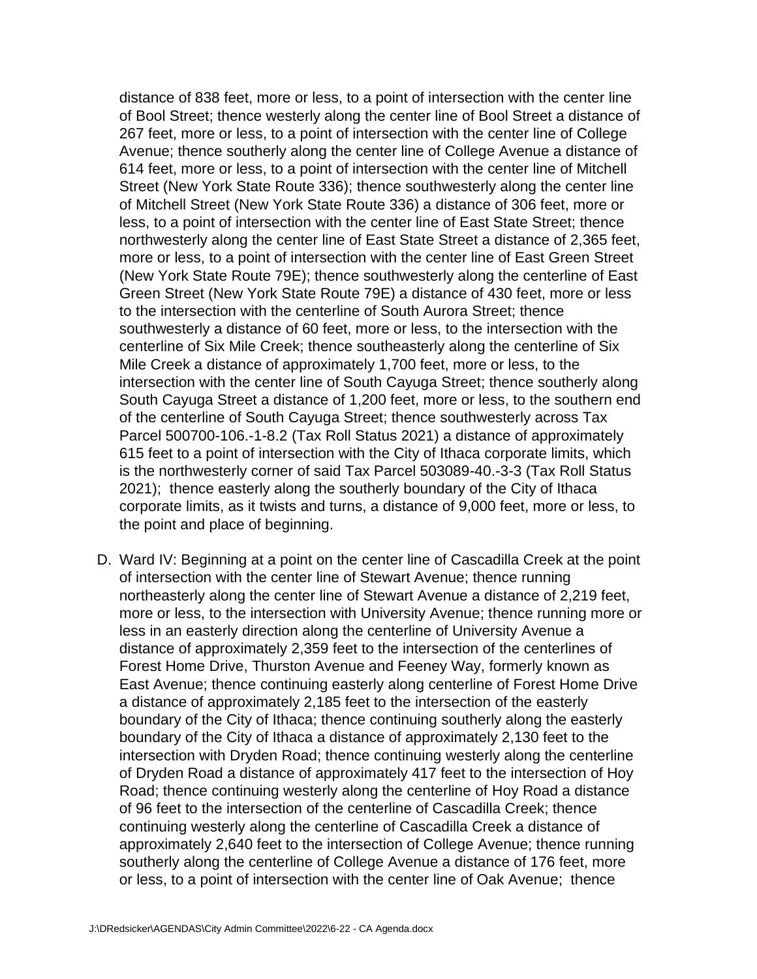distance of 838 feet, more or less, to a point of intersection with the center line of Bool Street; thence westerly along the center line of Bool Street a distance of 267 feet, more or less, to a point of intersection with the center line of College Avenue; thence southerly along the center line of College Avenue a distance of 614 feet, more or less, to a point of intersection with the center line of Mitchell Street (New York State Route 336); thence southwesterly along the center line of Mitchell Street (New York State Route 336) a distance of 306 feet, more or less, to a point of intersection with the center line of East State Street; thence northwesterly along the center line of East State Street a distance of 2,365 feet, more or less, to a point of intersection with the center line of East Green Street (New York State Route 79E); thence southwesterly along the centerline of East Green Street (New York State Route 79E) a distance of 430 feet, more or less to the intersection with the centerline of South Aurora Street; thence southwesterly a distance of 60 feet, more or less, to the intersection with the centerline of Six Mile Creek; thence southeasterly along the centerline of Six Mile Creek a distance of approximately 1,700 feet, more or less, to the intersection with the center line of South Cayuga Street; thence southerly along South Cayuga Street a distance of 1,200 feet, more or less, to the southern end of the centerline of South Cayuga Street; thence southwesterly across Tax Parcel 500700-106.-1-8.2 (Tax Roll Status 2021) a distance of approximately 615 feet to a point of intersection with the City of Ithaca corporate limits, which is the northwesterly corner of said Tax Parcel 503089-40.-3-3 (Tax Roll Status 2021); thence easterly along the southerly boundary of the City of Ithaca corporate limits, as it twists and turns, a distance of 9,000 feet, more or less, to the point and place of beginning.

D. Ward IV: Beginning at a point on the center line of Cascadilla Creek at the point of intersection with the center line of Stewart Avenue; thence running northeasterly along the center line of Stewart Avenue a distance of 2,219 feet, more or less, to the intersection with University Avenue; thence running more or less in an easterly direction along the centerline of University Avenue a distance of approximately 2,359 feet to the intersection of the centerlines of Forest Home Drive, Thurston Avenue and Feeney Way, formerly known as East Avenue; thence continuing easterly along centerline of Forest Home Drive a distance of approximately 2,185 feet to the intersection of the easterly boundary of the City of Ithaca; thence continuing southerly along the easterly boundary of the City of Ithaca a distance of approximately 2,130 feet to the intersection with Dryden Road; thence continuing westerly along the centerline of Dryden Road a distance of approximately 417 feet to the intersection of Hoy Road; thence continuing westerly along the centerline of Hoy Road a distance of 96 feet to the intersection of the centerline of Cascadilla Creek; thence continuing westerly along the centerline of Cascadilla Creek a distance of approximately 2,640 feet to the intersection of College Avenue; thence running southerly along the centerline of College Avenue a distance of 176 feet, more or less, to a point of intersection with the center line of Oak Avenue; thence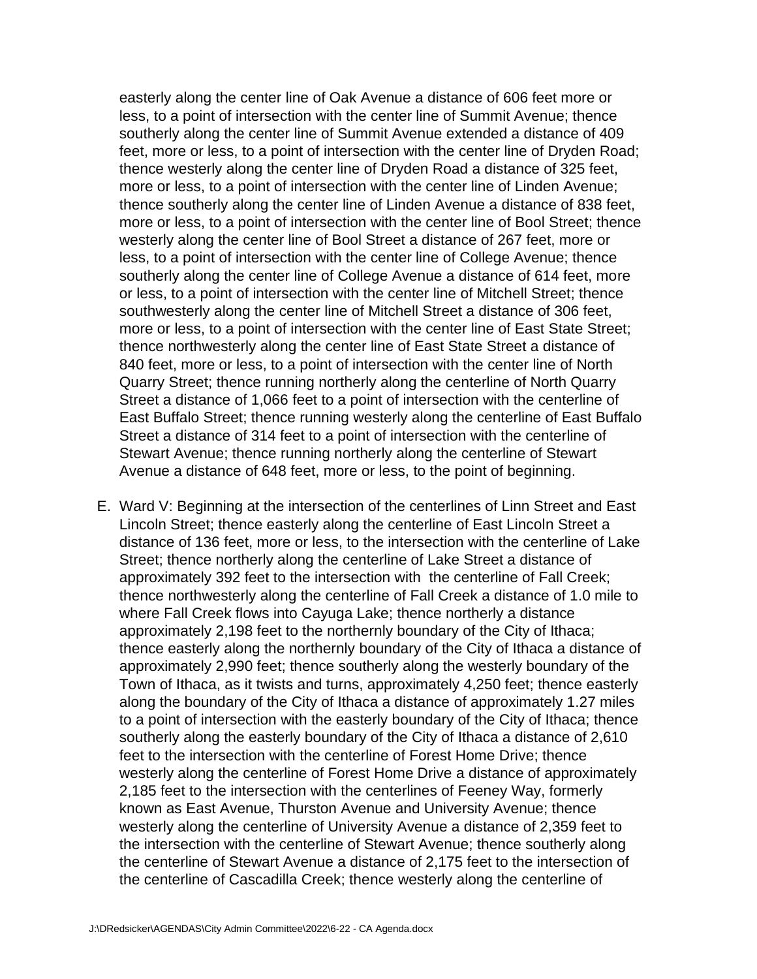easterly along the center line of Oak Avenue a distance of 606 feet more or less, to a point of intersection with the center line of Summit Avenue; thence southerly along the center line of Summit Avenue extended a distance of 409 feet, more or less, to a point of intersection with the center line of Dryden Road; thence westerly along the center line of Dryden Road a distance of 325 feet, more or less, to a point of intersection with the center line of Linden Avenue; thence southerly along the center line of Linden Avenue a distance of 838 feet, more or less, to a point of intersection with the center line of Bool Street; thence westerly along the center line of Bool Street a distance of 267 feet, more or less, to a point of intersection with the center line of College Avenue; thence southerly along the center line of College Avenue a distance of 614 feet, more or less, to a point of intersection with the center line of Mitchell Street; thence southwesterly along the center line of Mitchell Street a distance of 306 feet, more or less, to a point of intersection with the center line of East State Street; thence northwesterly along the center line of East State Street a distance of 840 feet, more or less, to a point of intersection with the center line of North Quarry Street; thence running northerly along the centerline of North Quarry Street a distance of 1,066 feet to a point of intersection with the centerline of East Buffalo Street; thence running westerly along the centerline of East Buffalo Street a distance of 314 feet to a point of intersection with the centerline of Stewart Avenue; thence running northerly along the centerline of Stewart Avenue a distance of 648 feet, more or less, to the point of beginning.

E. Ward V: Beginning at the intersection of the centerlines of Linn Street and East Lincoln Street; thence easterly along the centerline of East Lincoln Street a distance of 136 feet, more or less, to the intersection with the centerline of Lake Street; thence northerly along the centerline of Lake Street a distance of approximately 392 feet to the intersection with the centerline of Fall Creek; thence northwesterly along the centerline of Fall Creek a distance of 1.0 mile to where Fall Creek flows into Cayuga Lake; thence northerly a distance approximately 2,198 feet to the northernly boundary of the City of Ithaca; thence easterly along the northernly boundary of the City of Ithaca a distance of approximately 2,990 feet; thence southerly along the westerly boundary of the Town of Ithaca, as it twists and turns, approximately 4,250 feet; thence easterly along the boundary of the City of Ithaca a distance of approximately 1.27 miles to a point of intersection with the easterly boundary of the City of Ithaca; thence southerly along the easterly boundary of the City of Ithaca a distance of 2,610 feet to the intersection with the centerline of Forest Home Drive; thence westerly along the centerline of Forest Home Drive a distance of approximately 2,185 feet to the intersection with the centerlines of Feeney Way, formerly known as East Avenue, Thurston Avenue and University Avenue; thence westerly along the centerline of University Avenue a distance of 2,359 feet to the intersection with the centerline of Stewart Avenue; thence southerly along the centerline of Stewart Avenue a distance of 2,175 feet to the intersection of the centerline of Cascadilla Creek; thence westerly along the centerline of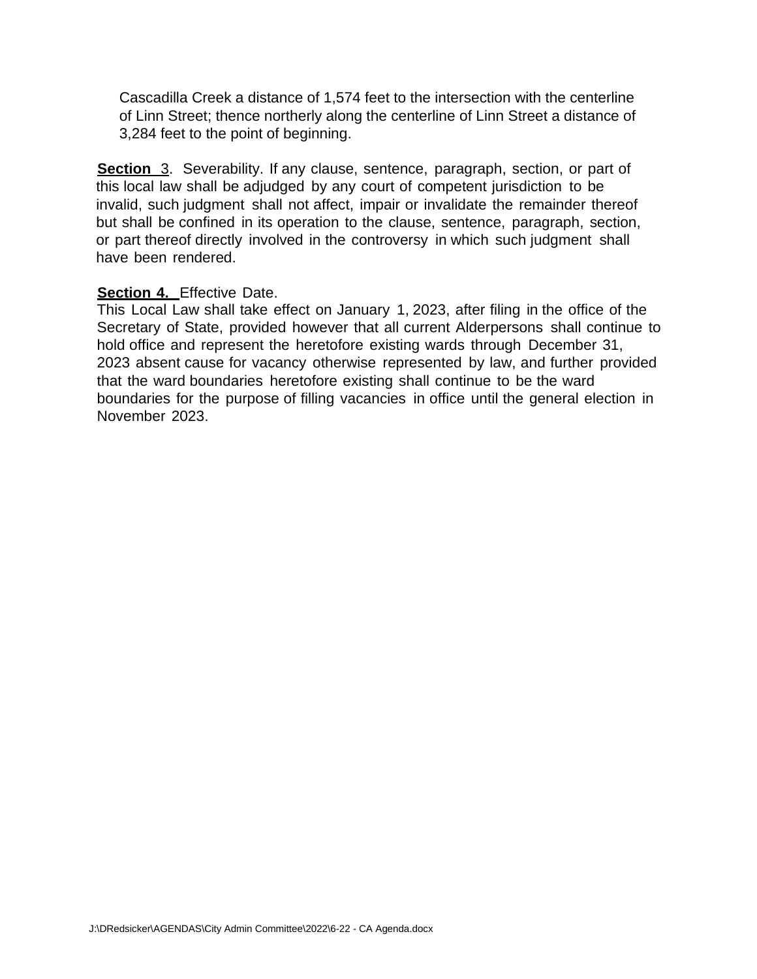Cascadilla Creek a distance of 1,574 feet to the intersection with the centerline of Linn Street; thence northerly along the centerline of Linn Street a distance of 3,284 feet to the point of beginning.

**Section** 3. Severability. If any clause, sentence, paragraph, section, or part of this local law shall be adjudged by any court of competent jurisdiction to be invalid, such judgment shall not affect, impair or invalidate the remainder thereof but shall be confined in its operation to the clause, sentence, paragraph, section, or part thereof directly involved in the controversy in which such judgment shall have been rendered.

#### **Section 4.** Effective Date.

This Local Law shall take effect on January 1, 2023, after filing in the office of the Secretary of State, provided however that all current Alderpersons shall continue to hold office and represent the heretofore existing wards through December 31, 2023 absent cause for vacancy otherwise represented by law, and further provided that the ward boundaries heretofore existing shall continue to be the ward boundaries for the purpose of filling vacancies in office until the general election in November 2023.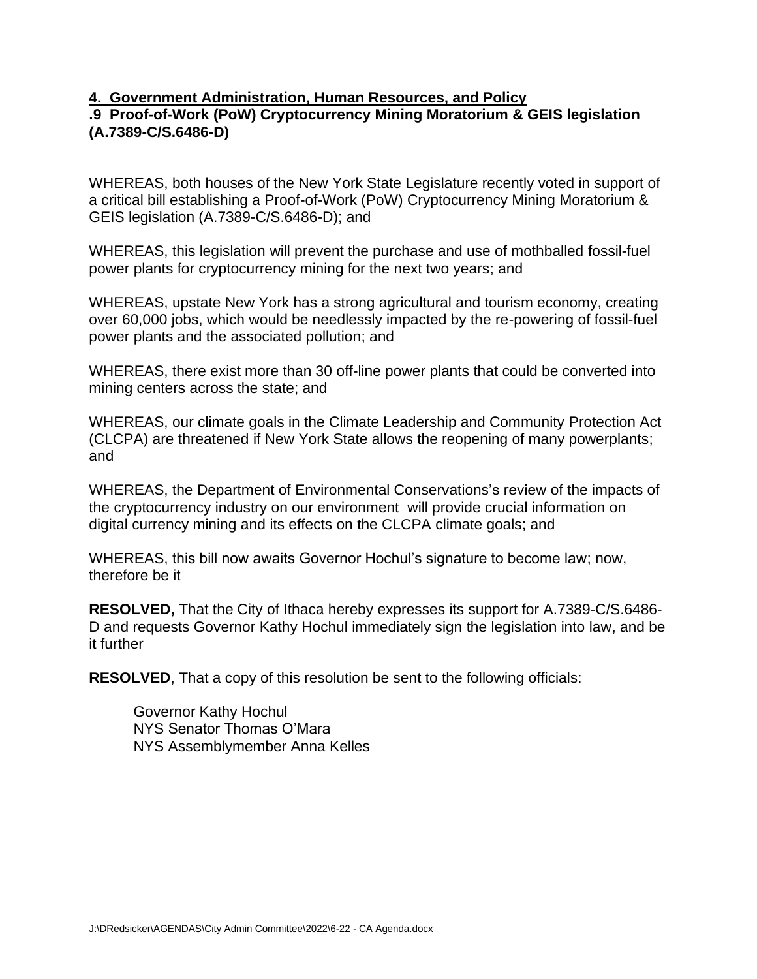### **4. Government Administration, Human Resources, and Policy**

### **.9 Proof-of-Work (PoW) Cryptocurrency Mining Moratorium & GEIS legislation (A.7389-C/S.6486-D)**

WHEREAS, both houses of the New York State Legislature recently voted in support of a critical bill establishing a Proof-of-Work (PoW) Cryptocurrency Mining Moratorium & GEIS legislation (A.7389-C/S.6486-D); and

WHEREAS, this legislation will prevent the purchase and use of mothballed fossil-fuel power plants for cryptocurrency mining for the next two years; and

WHEREAS, upstate New York has a strong agricultural and tourism economy, creating over 60,000 jobs, which would be needlessly impacted by the re-powering of fossil-fuel power plants and the associated pollution; and

WHEREAS, there exist more than 30 off-line power plants that could be converted into mining centers across the state; and

WHEREAS, our climate goals in the Climate Leadership and Community Protection Act (CLCPA) are threatened if New York State allows the reopening of many powerplants; and

WHEREAS, the Department of Environmental Conservations's review of the impacts of the cryptocurrency industry on our environment will provide crucial information on digital currency mining and its effects on the CLCPA climate goals; and

WHEREAS, this bill now awaits Governor Hochul's signature to become law; now, therefore be it

**RESOLVED,** That the City of Ithaca hereby expresses its support for A.7389-C/S.6486- D and requests Governor Kathy Hochul immediately sign the legislation into law, and be it further

**RESOLVED**, That a copy of this resolution be sent to the following officials:

Governor Kathy Hochul NYS Senator Thomas O'Mara NYS Assemblymember Anna Kelles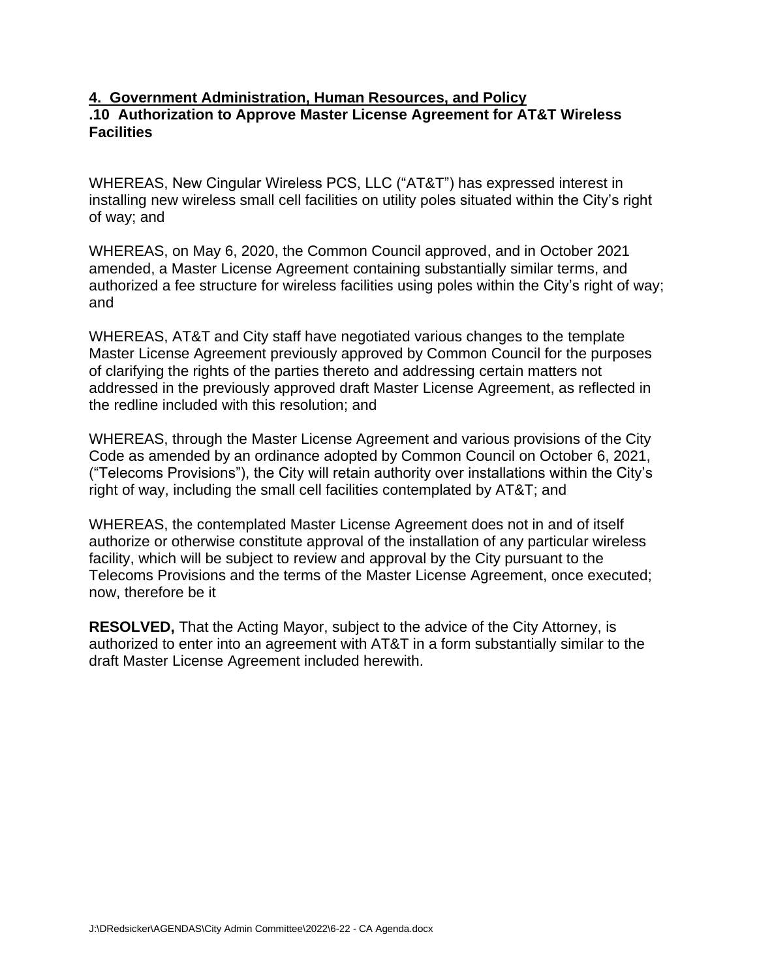### **4. Government Administration, Human Resources, and Policy .10 Authorization to Approve Master License Agreement for AT&T Wireless Facilities**

WHEREAS, New Cingular Wireless PCS, LLC ("AT&T") has expressed interest in installing new wireless small cell facilities on utility poles situated within the City's right of way; and

WHEREAS, on May 6, 2020, the Common Council approved, and in October 2021 amended, a Master License Agreement containing substantially similar terms, and authorized a fee structure for wireless facilities using poles within the City's right of way; and

WHEREAS, AT&T and City staff have negotiated various changes to the template Master License Agreement previously approved by Common Council for the purposes of clarifying the rights of the parties thereto and addressing certain matters not addressed in the previously approved draft Master License Agreement, as reflected in the redline included with this resolution; and

WHEREAS, through the Master License Agreement and various provisions of the City Code as amended by an ordinance adopted by Common Council on October 6, 2021, ("Telecoms Provisions"), the City will retain authority over installations within the City's right of way, including the small cell facilities contemplated by AT&T; and

WHEREAS, the contemplated Master License Agreement does not in and of itself authorize or otherwise constitute approval of the installation of any particular wireless facility, which will be subject to review and approval by the City pursuant to the Telecoms Provisions and the terms of the Master License Agreement, once executed; now, therefore be it

**RESOLVED,** That the Acting Mayor, subject to the advice of the City Attorney, is authorized to enter into an agreement with AT&T in a form substantially similar to the draft Master License Agreement included herewith.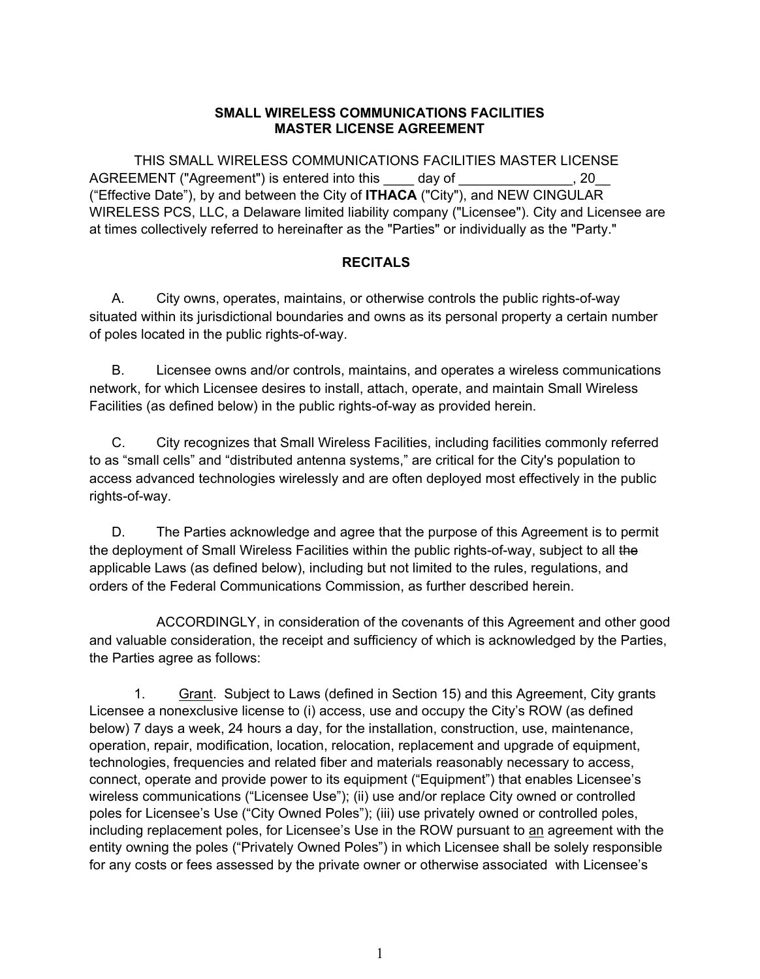#### **SMALL WIRELESS COMMUNICATIONS FACILITIES MASTER LICENSE AGREEMENT**

 THIS SMALL WIRELESS COMMUNICATIONS FACILITIES MASTER LICENSE AGREEMENT ("Agreement") is entered into this day of  $\qquad \qquad .20$ ("Effective Date"), by and between the City of **ITHACA** ("City"), and NEW CINGULAR WIRELESS PCS, LLC, a Delaware limited liability company ("Licensee"). City and Licensee are at times collectively referred to hereinafter as the "Parties" or individually as the "Party."

#### **RECITALS**

A. City owns, operates, maintains, or otherwise controls the public rights-of-way situated within its jurisdictional boundaries and owns as its personal property a certain number of poles located in the public rights-of-way.

B. Licensee owns and/or controls, maintains, and operates a wireless communications network, for which Licensee desires to install, attach, operate, and maintain Small Wireless Facilities (as defined below) in the public rights-of-way as provided herein.

C. City recognizes that Small Wireless Facilities, including facilities commonly referred to as "small cells" and "distributed antenna systems," are critical for the City's population to access advanced technologies wirelessly and are often deployed most effectively in the public rights-of-way.

D. The Parties acknowledge and agree that the purpose of this Agreement is to permit the deployment of Small Wireless Facilities within the public rights-of-way, subject to all the applicable Laws (as defined below), including but not limited to the rules, regulations, and orders of the Federal Communications Commission, as further described herein.

ACCORDINGLY, in consideration of the covenants of this Agreement and other good and valuable consideration, the receipt and sufficiency of which is acknowledged by the Parties, the Parties agree as follows:

1. Grant. Subject to Laws (defined in Section 15) and this Agreement, City grants Licensee a nonexclusive license to (i) access, use and occupy the City's ROW (as defined below) 7 days a week, 24 hours a day, for the installation, construction, use, maintenance, operation, repair, modification, location, relocation, replacement and upgrade of equipment, technologies, frequencies and related fiber and materials reasonably necessary to access, connect, operate and provide power to its equipment ("Equipment") that enables Licensee's wireless communications ("Licensee Use"); (ii) use and/or replace City owned or controlled poles for Licensee's Use ("City Owned Poles"); (iii) use privately owned or controlled poles, including replacement poles, for Licensee's Use in the ROW pursuant to an agreement with the entity owning the poles ("Privately Owned Poles") in which Licensee shall be solely responsible for any costs or fees assessed by the private owner or otherwise associated with Licensee's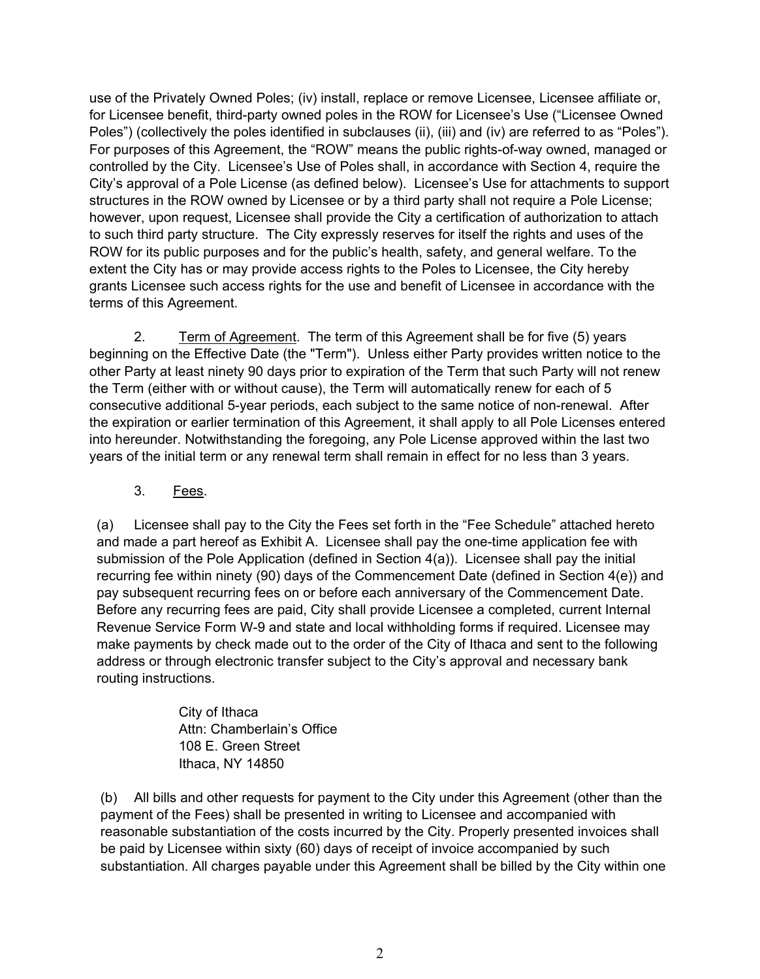use of the Privately Owned Poles; (iv) install, replace or remove Licensee, Licensee affiliate or, for Licensee benefit, third-party owned poles in the ROW for Licensee's Use ("Licensee Owned Poles") (collectively the poles identified in subclauses (ii), (iii) and (iv) are referred to as "Poles"). For purposes of this Agreement, the "ROW" means the public rights-of-way owned, managed or controlled by the City. Licensee's Use of Poles shall, in accordance with Section 4, require the City's approval of a Pole License (as defined below). Licensee's Use for attachments to support structures in the ROW owned by Licensee or by a third party shall not require a Pole License; however, upon request, Licensee shall provide the City a certification of authorization to attach to such third party structure. The City expressly reserves for itself the rights and uses of the ROW for its public purposes and for the public's health, safety, and general welfare. To the extent the City has or may provide access rights to the Poles to Licensee, the City hereby grants Licensee such access rights for the use and benefit of Licensee in accordance with the terms of this Agreement.

2. Term of Agreement.The term of this Agreement shall be for five (5) years beginning on the Effective Date (the "Term"). Unless either Party provides written notice to the other Party at least ninety 90 days prior to expiration of the Term that such Party will not renew the Term (either with or without cause), the Term will automatically renew for each of 5 consecutive additional 5-year periods, each subject to the same notice of non-renewal. After the expiration or earlier termination of this Agreement, it shall apply to all Pole Licenses entered into hereunder. Notwithstanding the foregoing, any Pole License approved within the last two years of the initial term or any renewal term shall remain in effect for no less than 3 years.

### 3. Fees.

(a) Licensee shall pay to the City the Fees set forth in the "Fee Schedule" attached hereto and made a part hereof as Exhibit A. Licensee shall pay the one-time application fee with submission of the Pole Application (defined in Section 4(a)). Licensee shall pay the initial recurring fee within ninety (90) days of the Commencement Date (defined in Section 4(e)) and pay subsequent recurring fees on or before each anniversary of the Commencement Date. Before any recurring fees are paid, City shall provide Licensee a completed, current Internal Revenue Service Form W-9 and state and local withholding forms if required. Licensee may make payments by check made out to the order of the City of Ithaca and sent to the following address or through electronic transfer subject to the City's approval and necessary bank routing instructions.

> City of Ithaca Attn: Chamberlain's Office 108 E. Green Street Ithaca, NY 14850

(b) All bills and other requests for payment to the City under this Agreement (other than the payment of the Fees) shall be presented in writing to Licensee and accompanied with reasonable substantiation of the costs incurred by the City. Properly presented invoices shall be paid by Licensee within sixty (60) days of receipt of invoice accompanied by such substantiation. All charges payable under this Agreement shall be billed by the City within one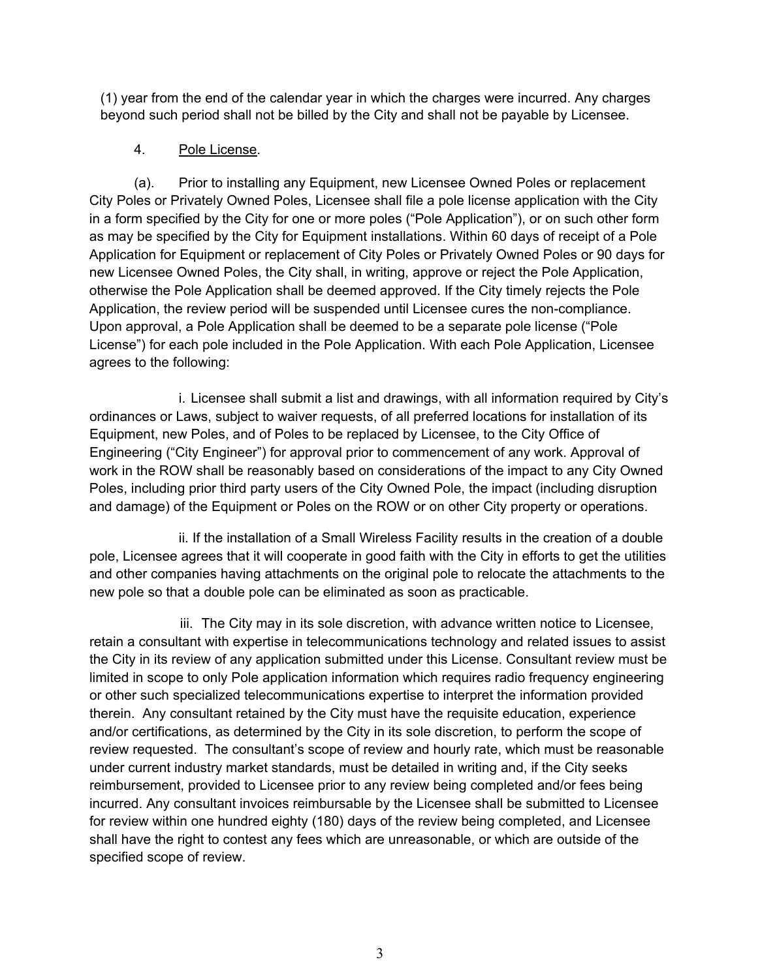(1) year from the end of the calendar year in which the charges were incurred. Any charges beyond such period shall not be billed by the City and shall not be payable by Licensee.

### 4. Pole License.

 (a). Prior to installing any Equipment, new Licensee Owned Poles or replacement City Poles or Privately Owned Poles, Licensee shall file a pole license application with the City in a form specified by the City for one or more poles ("Pole Application"), or on such other form as may be specified by the City for Equipment installations. Within 60 days of receipt of a Pole Application for Equipment or replacement of City Poles or Privately Owned Poles or 90 days for new Licensee Owned Poles, the City shall, in writing, approve or reject the Pole Application, otherwise the Pole Application shall be deemed approved. If the City timely rejects the Pole Application, the review period will be suspended until Licensee cures the non-compliance. Upon approval, a Pole Application shall be deemed to be a separate pole license ("Pole License") for each pole included in the Pole Application. With each Pole Application, Licensee agrees to the following:

 i. Licensee shall submit a list and drawings, with all information required by City's ordinances or Laws, subject to waiver requests, of all preferred locations for installation of its Equipment, new Poles, and of Poles to be replaced by Licensee, to the City Office of Engineering ("City Engineer") for approval prior to commencement of any work. Approval of work in the ROW shall be reasonably based on considerations of the impact to any City Owned Poles, including prior third party users of the City Owned Pole, the impact (including disruption and damage) of the Equipment or Poles on the ROW or on other City property or operations.

 ii. If the installation of a Small Wireless Facility results in the creation of a double pole, Licensee agrees that it will cooperate in good faith with the City in efforts to get the utilities and other companies having attachments on the original pole to relocate the attachments to the new pole so that a double pole can be eliminated as soon as practicable.

 iii. The City may in its sole discretion, with advance written notice to Licensee, retain a consultant with expertise in telecommunications technology and related issues to assist the City in its review of any application submitted under this License. Consultant review must be limited in scope to only Pole application information which requires radio frequency engineering or other such specialized telecommunications expertise to interpret the information provided therein. Any consultant retained by the City must have the requisite education, experience and/or certifications, as determined by the City in its sole discretion, to perform the scope of review requested. The consultant's scope of review and hourly rate, which must be reasonable under current industry market standards, must be detailed in writing and, if the City seeks reimbursement, provided to Licensee prior to any review being completed and/or fees being incurred. Any consultant invoices reimbursable by the Licensee shall be submitted to Licensee for review within one hundred eighty (180) days of the review being completed, and Licensee shall have the right to contest any fees which are unreasonable, or which are outside of the specified scope of review.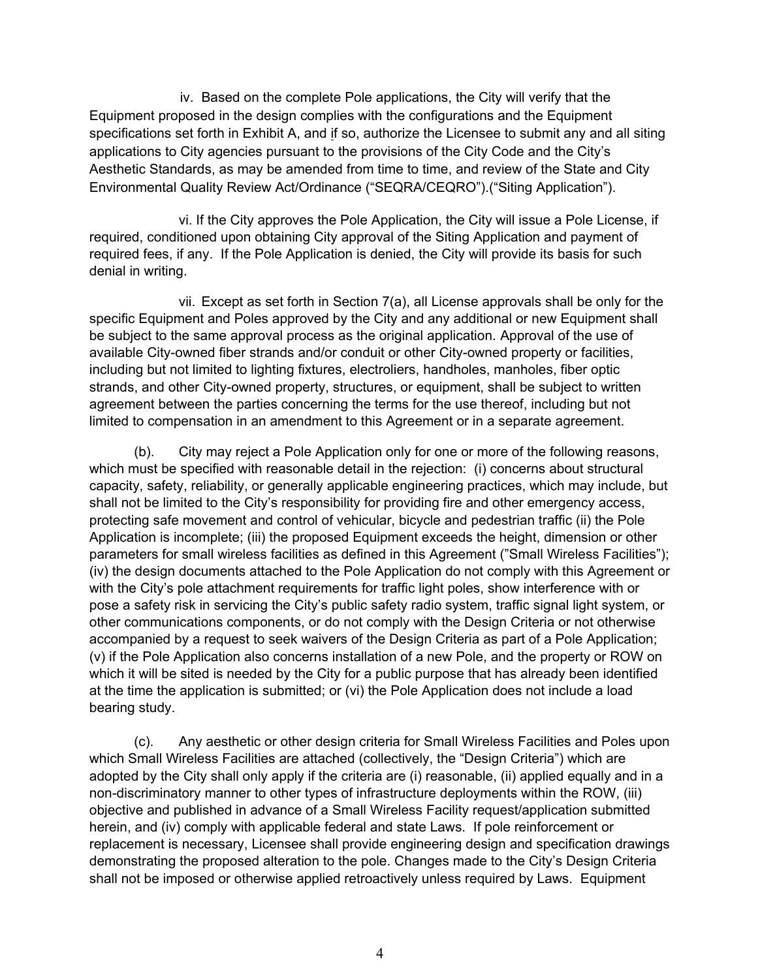iv. Based on the complete Pole applications, the City will verify that the Equipment proposed in the design complies with the configurations and the Equipment specifications set forth in Exhibit A, and if so, authorize the Licensee to submit any and all siting applications to City agencies pursuant to the provisions of the City Code and the City's Aesthetic Standards, as may be amended from time to time, and review of the State and City Environmental Quality Review Act/Ordinance ("SEQRA/CEQRO").("Siting Application").

 vi. If the City approves the Pole Application, the City will issue a Pole License, if required, conditioned upon obtaining City approval of the Siting Application and payment of required fees, if any. If the Pole Application is denied, the City will provide its basis for such denial in writing.

 vii. Except as set forth in Section 7(a), all License approvals shall be only for the specific Equipment and Poles approved by the City and any additional or new Equipment shall be subject to the same approval process as the original application. Approval of the use of available City-owned fiber strands and/or conduit or other City-owned property or facilities, including but not limited to lighting fixtures, electroliers, handholes, manholes, fiber optic strands, and other City-owned property, structures, or equipment, shall be subject to written agreement between the parties concerning the terms for the use thereof, including but not limited to compensation in an amendment to this Agreement or in a separate agreement.

 (b). City may reject a Pole Application only for one or more of the following reasons, which must be specified with reasonable detail in the rejection: (i) concerns about structural capacity, safety, reliability, or generally applicable engineering practices, which may include, but shall not be limited to the City's responsibility for providing fire and other emergency access, protecting safe movement and control of vehicular, bicycle and pedestrian traffic (ii) the Pole Application is incomplete; (iii) the proposed Equipment exceeds the height, dimension or other parameters for small wireless facilities as defined in this Agreement ("Small Wireless Facilities"); (iv) the design documents attached to the Pole Application do not comply with this Agreement or with the City's pole attachment requirements for traffic light poles, show interference with or pose a safety risk in servicing the City's public safety radio system, traffic signal light system, or other communications components, or do not comply with the Design Criteria or not otherwise accompanied by a request to seek waivers of the Design Criteria as part of a Pole Application; (v) if the Pole Application also concerns installation of a new Pole, and the property or ROW on which it will be sited is needed by the City for a public purpose that has already been identified at the time the application is submitted; or (vi) the Pole Application does not include a load bearing study.

 (c). Any aesthetic or other design criteria for Small Wireless Facilities and Poles upon which Small Wireless Facilities are attached (collectively, the "Design Criteria") which are adopted by the City shall only apply if the criteria are (i) reasonable, (ii) applied equally and in a non-discriminatory manner to other types of infrastructure deployments within the ROW, (iii) objective and published in advance of a Small Wireless Facility request/application submitted herein, and (iv) comply with applicable federal and state Laws. If pole reinforcement or replacement is necessary, Licensee shall provide engineering design and specification drawings demonstrating the proposed alteration to the pole. Changes made to the City's Design Criteria shall not be imposed or otherwise applied retroactively unless required by Laws. Equipment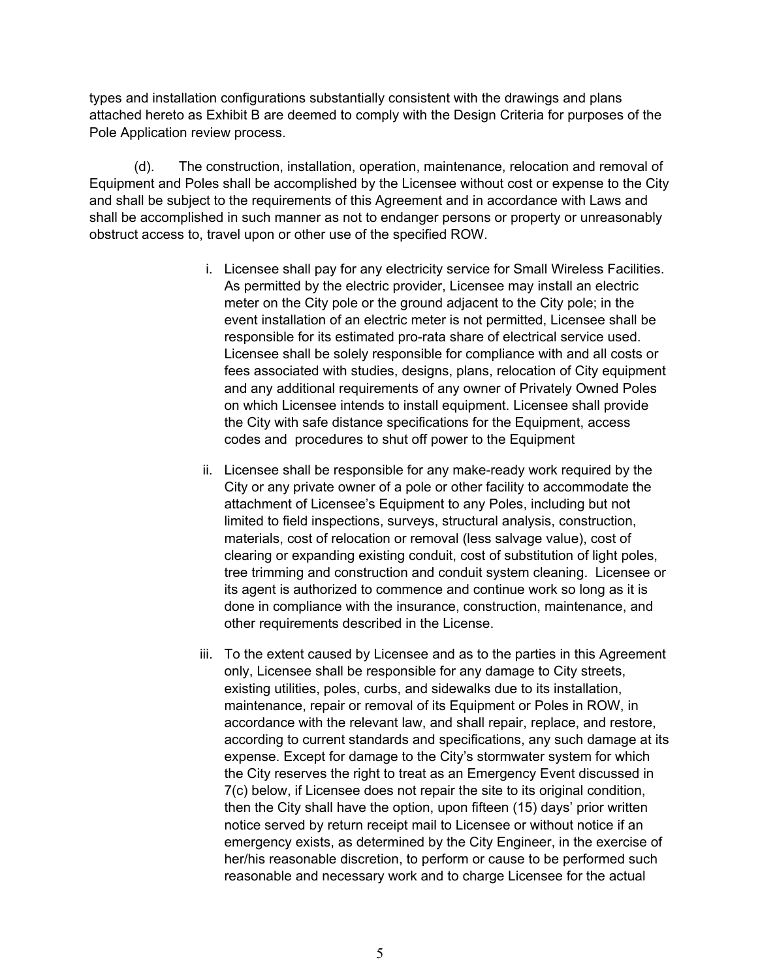types and installation configurations substantially consistent with the drawings and plans attached hereto as Exhibit B are deemed to comply with the Design Criteria for purposes of the Pole Application review process.

 (d). The construction, installation, operation, maintenance, relocation and removal of Equipment and Poles shall be accomplished by the Licensee without cost or expense to the City and shall be subject to the requirements of this Agreement and in accordance with Laws and shall be accomplished in such manner as not to endanger persons or property or unreasonably obstruct access to, travel upon or other use of the specified ROW.

- i. Licensee shall pay for any electricity service for Small Wireless Facilities. As permitted by the electric provider, Licensee may install an electric meter on the City pole or the ground adjacent to the City pole; in the event installation of an electric meter is not permitted, Licensee shall be responsible for its estimated pro-rata share of electrical service used. Licensee shall be solely responsible for compliance with and all costs or fees associated with studies, designs, plans, relocation of City equipment and any additional requirements of any owner of Privately Owned Poles on which Licensee intends to install equipment. Licensee shall provide the City with safe distance specifications for the Equipment, access codes and procedures to shut off power to the Equipment
- ii. Licensee shall be responsible for any make-ready work required by the City or any private owner of a pole or other facility to accommodate the attachment of Licensee's Equipment to any Poles, including but not limited to field inspections, surveys, structural analysis, construction, materials, cost of relocation or removal (less salvage value), cost of clearing or expanding existing conduit, cost of substitution of light poles, tree trimming and construction and conduit system cleaning. Licensee or its agent is authorized to commence and continue work so long as it is done in compliance with the insurance, construction, maintenance, and other requirements described in the License.
- iii. To the extent caused by Licensee and as to the parties in this Agreement only, Licensee shall be responsible for any damage to City streets, existing utilities, poles, curbs, and sidewalks due to its installation, maintenance, repair or removal of its Equipment or Poles in ROW, in accordance with the relevant law, and shall repair, replace, and restore, according to current standards and specifications, any such damage at its expense. Except for damage to the City's stormwater system for which the City reserves the right to treat as an Emergency Event discussed in 7(c) below, if Licensee does not repair the site to its original condition, then the City shall have the option, upon fifteen (15) days' prior written notice served by return receipt mail to Licensee or without notice if an emergency exists, as determined by the City Engineer, in the exercise of her/his reasonable discretion, to perform or cause to be performed such reasonable and necessary work and to charge Licensee for the actual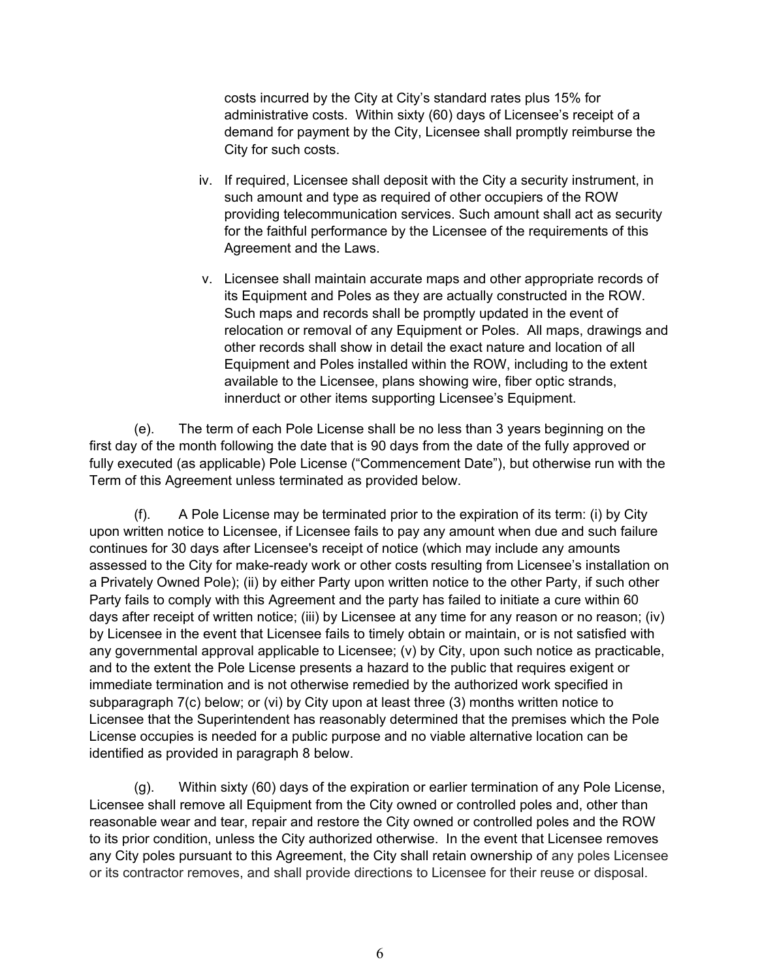costs incurred by the City at City's standard rates plus 15% for administrative costs. Within sixty (60) days of Licensee's receipt of a demand for payment by the City, Licensee shall promptly reimburse the City for such costs.

- iv. If required, Licensee shall deposit with the City a security instrument, in such amount and type as required of other occupiers of the ROW providing telecommunication services. Such amount shall act as security for the faithful performance by the Licensee of the requirements of this Agreement and the Laws.
- v. Licensee shall maintain accurate maps and other appropriate records of its Equipment and Poles as they are actually constructed in the ROW. Such maps and records shall be promptly updated in the event of relocation or removal of any Equipment or Poles. All maps, drawings and other records shall show in detail the exact nature and location of all Equipment and Poles installed within the ROW, including to the extent available to the Licensee, plans showing wire, fiber optic strands, innerduct or other items supporting Licensee's Equipment.

 (e). The term of each Pole License shall be no less than 3 years beginning on the first day of the month following the date that is 90 days from the date of the fully approved or fully executed (as applicable) Pole License ("Commencement Date"), but otherwise run with the Term of this Agreement unless terminated as provided below.

 (f). A Pole License may be terminated prior to the expiration of its term: (i) by City upon written notice to Licensee, if Licensee fails to pay any amount when due and such failure continues for 30 days after Licensee's receipt of notice (which may include any amounts assessed to the City for make-ready work or other costs resulting from Licensee's installation on a Privately Owned Pole); (ii) by either Party upon written notice to the other Party, if such other Party fails to comply with this Agreement and the party has failed to initiate a cure within 60 days after receipt of written notice; (iii) by Licensee at any time for any reason or no reason; (iv) by Licensee in the event that Licensee fails to timely obtain or maintain, or is not satisfied with any governmental approval applicable to Licensee; (v) by City, upon such notice as practicable, and to the extent the Pole License presents a hazard to the public that requires exigent or immediate termination and is not otherwise remedied by the authorized work specified in subparagraph 7(c) below; or (vi) by City upon at least three (3) months written notice to Licensee that the Superintendent has reasonably determined that the premises which the Pole License occupies is needed for a public purpose and no viable alternative location can be identified as provided in paragraph 8 below.

 (g). Within sixty (60) days of the expiration or earlier termination of any Pole License, Licensee shall remove all Equipment from the City owned or controlled poles and, other than reasonable wear and tear, repair and restore the City owned or controlled poles and the ROW to its prior condition, unless the City authorized otherwise. In the event that Licensee removes any City poles pursuant to this Agreement, the City shall retain ownership of any poles Licensee or its contractor removes, and shall provide directions to Licensee for their reuse or disposal.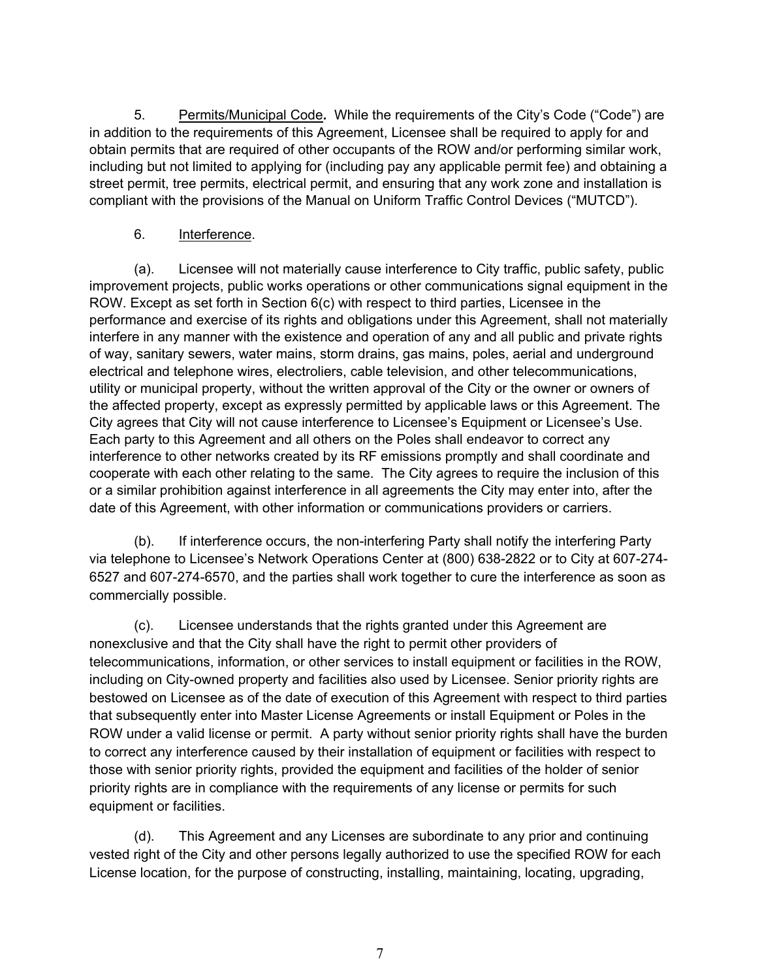5. Permits/Municipal Code**.** While the requirements of the City's Code ("Code") are in addition to the requirements of this Agreement, Licensee shall be required to apply for and obtain permits that are required of other occupants of the ROW and/or performing similar work, including but not limited to applying for (including pay any applicable permit fee) and obtaining a street permit, tree permits, electrical permit, and ensuring that any work zone and installation is compliant with the provisions of the Manual on Uniform Traffic Control Devices ("MUTCD").

### 6. Interference.

 (a). Licensee will not materially cause interference to City traffic, public safety, public improvement projects, public works operations or other communications signal equipment in the ROW. Except as set forth in Section 6(c) with respect to third parties, Licensee in the performance and exercise of its rights and obligations under this Agreement, shall not materially interfere in any manner with the existence and operation of any and all public and private rights of way, sanitary sewers, water mains, storm drains, gas mains, poles, aerial and underground electrical and telephone wires, electroliers, cable television, and other telecommunications, utility or municipal property, without the written approval of the City or the owner or owners of the affected property, except as expressly permitted by applicable laws or this Agreement. The City agrees that City will not cause interference to Licensee's Equipment or Licensee's Use. Each party to this Agreement and all others on the Poles shall endeavor to correct any interference to other networks created by its RF emissions promptly and shall coordinate and cooperate with each other relating to the same. The City agrees to require the inclusion of this or a similar prohibition against interference in all agreements the City may enter into, after the date of this Agreement, with other information or communications providers or carriers.

 (b). If interference occurs, the non-interfering Party shall notify the interfering Party via telephone to Licensee's Network Operations Center at (800) 638-2822 or to City at 607-274- 6527 and 607-274-6570, and the parties shall work together to cure the interference as soon as commercially possible.

 (c). Licensee understands that the rights granted under this Agreement are nonexclusive and that the City shall have the right to permit other providers of telecommunications, information, or other services to install equipment or facilities in the ROW, including on City-owned property and facilities also used by Licensee. Senior priority rights are bestowed on Licensee as of the date of execution of this Agreement with respect to third parties that subsequently enter into Master License Agreements or install Equipment or Poles in the ROW under a valid license or permit. A party without senior priority rights shall have the burden to correct any interference caused by their installation of equipment or facilities with respect to those with senior priority rights, provided the equipment and facilities of the holder of senior priority rights are in compliance with the requirements of any license or permits for such equipment or facilities.

 (d). This Agreement and any Licenses are subordinate to any prior and continuing vested right of the City and other persons legally authorized to use the specified ROW for each License location, for the purpose of constructing, installing, maintaining, locating, upgrading,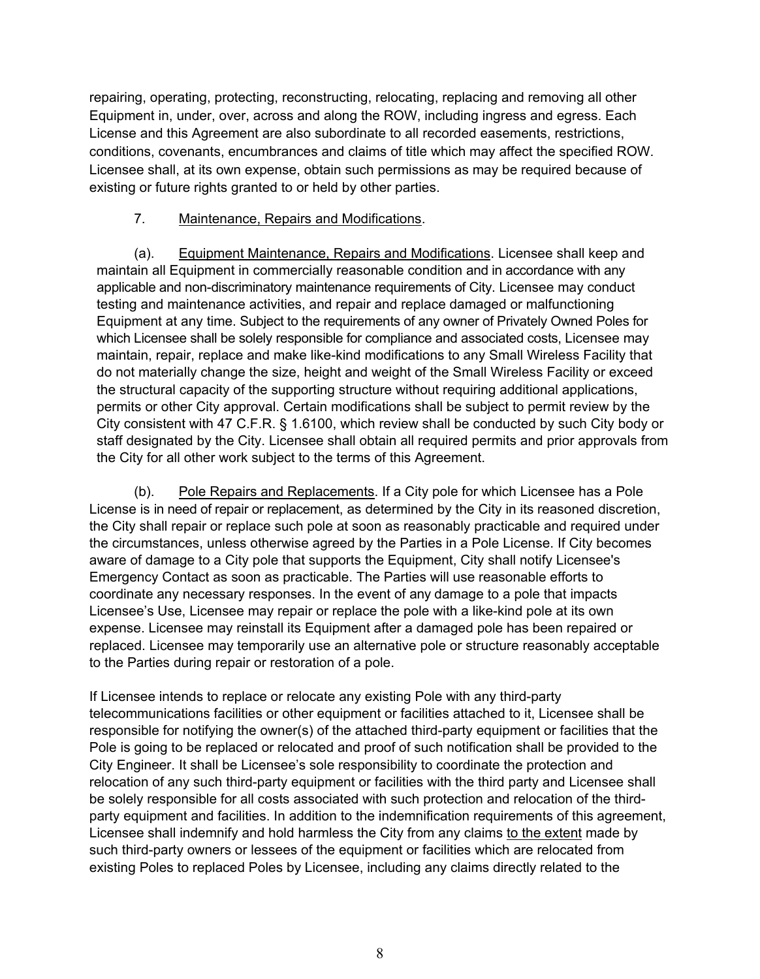repairing, operating, protecting, reconstructing, relocating, replacing and removing all other Equipment in, under, over, across and along the ROW, including ingress and egress. Each License and this Agreement are also subordinate to all recorded easements, restrictions, conditions, covenants, encumbrances and claims of title which may affect the specified ROW. Licensee shall, at its own expense, obtain such permissions as may be required because of existing or future rights granted to or held by other parties.

#### 7. Maintenance, Repairs and Modifications.

 (a). Equipment Maintenance, Repairs and Modifications. Licensee shall keep and maintain all Equipment in commercially reasonable condition and in accordance with any applicable and non-discriminatory maintenance requirements of City. Licensee may conduct testing and maintenance activities, and repair and replace damaged or malfunctioning Equipment at any time. Subject to the requirements of any owner of Privately Owned Poles for which Licensee shall be solely responsible for compliance and associated costs, Licensee may maintain, repair, replace and make like-kind modifications to any Small Wireless Facility that do not materially change the size, height and weight of the Small Wireless Facility or exceed the structural capacity of the supporting structure without requiring additional applications, permits or other City approval. Certain modifications shall be subject to permit review by the City consistent with 47 C.F.R. § 1.6100, which review shall be conducted by such City body or staff designated by the City. Licensee shall obtain all required permits and prior approvals from the City for all other work subject to the terms of this Agreement.

 (b). Pole Repairs and Replacements. If a City pole for which Licensee has a Pole License is in need of repair or replacement, as determined by the City in its reasoned discretion, the City shall repair or replace such pole at soon as reasonably practicable and required under the circumstances, unless otherwise agreed by the Parties in a Pole License. If City becomes aware of damage to a City pole that supports the Equipment, City shall notify Licensee's Emergency Contact as soon as practicable. The Parties will use reasonable efforts to coordinate any necessary responses. In the event of any damage to a pole that impacts Licensee's Use, Licensee may repair or replace the pole with a like-kind pole at its own expense. Licensee may reinstall its Equipment after a damaged pole has been repaired or replaced. Licensee may temporarily use an alternative pole or structure reasonably acceptable to the Parties during repair or restoration of a pole.

If Licensee intends to replace or relocate any existing Pole with any third-party telecommunications facilities or other equipment or facilities attached to it, Licensee shall be responsible for notifying the owner(s) of the attached third-party equipment or facilities that the Pole is going to be replaced or relocated and proof of such notification shall be provided to the City Engineer. It shall be Licensee's sole responsibility to coordinate the protection and relocation of any such third-party equipment or facilities with the third party and Licensee shall be solely responsible for all costs associated with such protection and relocation of the thirdparty equipment and facilities. In addition to the indemnification requirements of this agreement, Licensee shall indemnify and hold harmless the City from any claims to the extent made by such third-party owners or lessees of the equipment or facilities which are relocated from existing Poles to replaced Poles by Licensee, including any claims directly related to the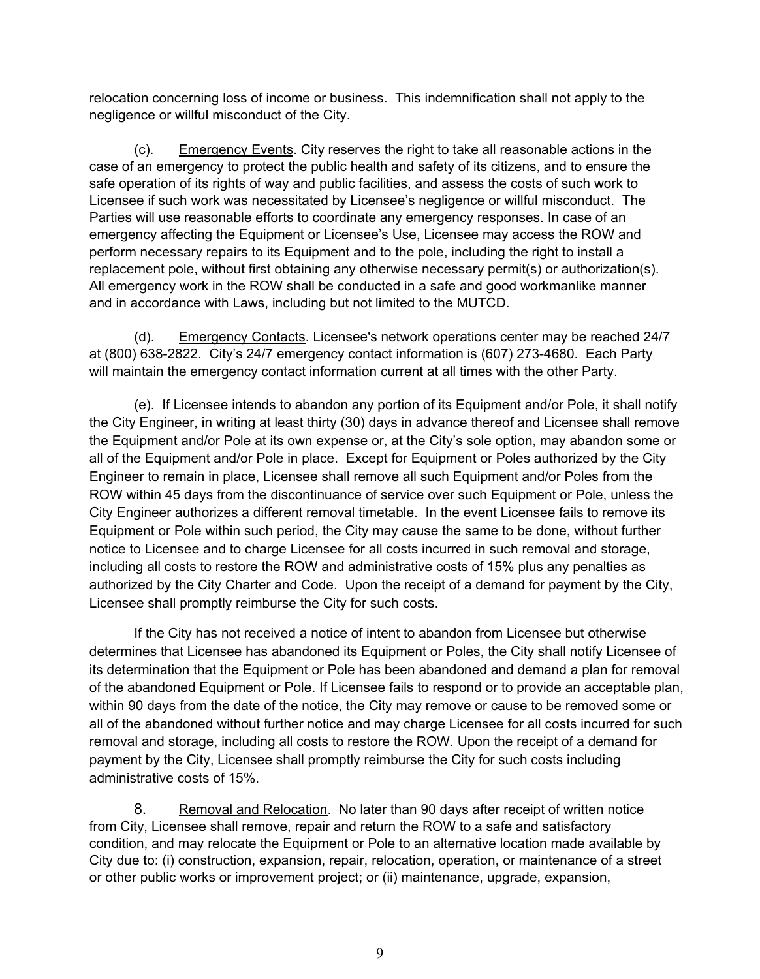relocation concerning loss of income or business. This indemnification shall not apply to the negligence or willful misconduct of the City.

 (c). Emergency Events. City reserves the right to take all reasonable actions in the case of an emergency to protect the public health and safety of its citizens, and to ensure the safe operation of its rights of way and public facilities, and assess the costs of such work to Licensee if such work was necessitated by Licensee's negligence or willful misconduct. The Parties will use reasonable efforts to coordinate any emergency responses. In case of an emergency affecting the Equipment or Licensee's Use, Licensee may access the ROW and perform necessary repairs to its Equipment and to the pole, including the right to install a replacement pole, without first obtaining any otherwise necessary permit(s) or authorization(s). All emergency work in the ROW shall be conducted in a safe and good workmanlike manner and in accordance with Laws, including but not limited to the MUTCD.

(d). Emergency Contacts. Licensee's network operations center may be reached 24/7 at (800) 638-2822. City's 24/7 emergency contact information is (607) 273-4680. Each Party will maintain the emergency contact information current at all times with the other Party.

 (e). If Licensee intends to abandon any portion of its Equipment and/or Pole, it shall notify the City Engineer, in writing at least thirty (30) days in advance thereof and Licensee shall remove the Equipment and/or Pole at its own expense or, at the City's sole option, may abandon some or all of the Equipment and/or Pole in place. Except for Equipment or Poles authorized by the City Engineer to remain in place, Licensee shall remove all such Equipment and/or Poles from the ROW within 45 days from the discontinuance of service over such Equipment or Pole, unless the City Engineer authorizes a different removal timetable. In the event Licensee fails to remove its Equipment or Pole within such period, the City may cause the same to be done, without further notice to Licensee and to charge Licensee for all costs incurred in such removal and storage, including all costs to restore the ROW and administrative costs of 15% plus any penalties as authorized by the City Charter and Code. Upon the receipt of a demand for payment by the City, Licensee shall promptly reimburse the City for such costs.

If the City has not received a notice of intent to abandon from Licensee but otherwise determines that Licensee has abandoned its Equipment or Poles, the City shall notify Licensee of its determination that the Equipment or Pole has been abandoned and demand a plan for removal of the abandoned Equipment or Pole. If Licensee fails to respond or to provide an acceptable plan, within 90 days from the date of the notice, the City may remove or cause to be removed some or all of the abandoned without further notice and may charge Licensee for all costs incurred for such removal and storage, including all costs to restore the ROW. Upon the receipt of a demand for payment by the City, Licensee shall promptly reimburse the City for such costs including administrative costs of 15%.

8. Removal and Relocation. No later than 90 days after receipt of written notice from City, Licensee shall remove, repair and return the ROW to a safe and satisfactory condition, and may relocate the Equipment or Pole to an alternative location made available by City due to: (i) construction, expansion, repair, relocation, operation, or maintenance of a street or other public works or improvement project; or (ii) maintenance, upgrade, expansion,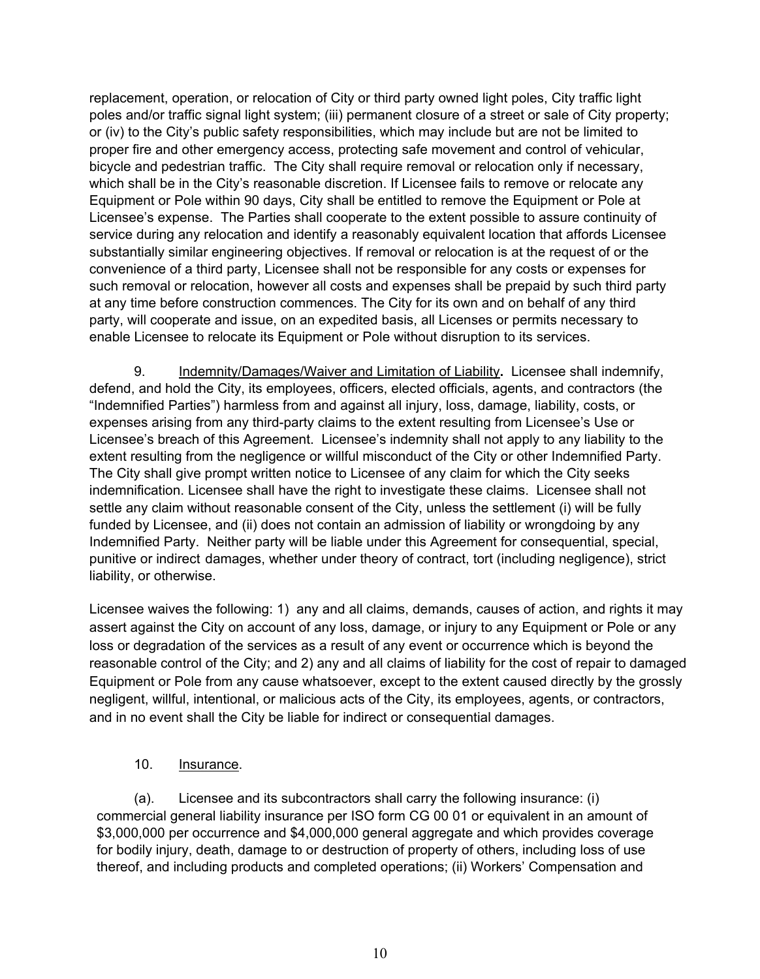replacement, operation, or relocation of City or third party owned light poles, City traffic light poles and/or traffic signal light system; (iii) permanent closure of a street or sale of City property; or (iv) to the City's public safety responsibilities, which may include but are not be limited to proper fire and other emergency access, protecting safe movement and control of vehicular, bicycle and pedestrian traffic. The City shall require removal or relocation only if necessary, which shall be in the City's reasonable discretion. If Licensee fails to remove or relocate any Equipment or Pole within 90 days, City shall be entitled to remove the Equipment or Pole at Licensee's expense. The Parties shall cooperate to the extent possible to assure continuity of service during any relocation and identify a reasonably equivalent location that affords Licensee substantially similar engineering objectives. If removal or relocation is at the request of or the convenience of a third party, Licensee shall not be responsible for any costs or expenses for such removal or relocation, however all costs and expenses shall be prepaid by such third party at any time before construction commences. The City for its own and on behalf of any third party, will cooperate and issue, on an expedited basis, all Licenses or permits necessary to enable Licensee to relocate its Equipment or Pole without disruption to its services.

9. Indemnity/Damages/Waiver and Limitation of Liability**.** Licensee shall indemnify, defend, and hold the City, its employees, officers, elected officials, agents, and contractors (the "Indemnified Parties") harmless from and against all injury, loss, damage, liability, costs, or expenses arising from any third-party claims to the extent resulting from Licensee's Use or Licensee's breach of this Agreement. Licensee's indemnity shall not apply to any liability to the extent resulting from the negligence or willful misconduct of the City or other Indemnified Party. The City shall give prompt written notice to Licensee of any claim for which the City seeks indemnification. Licensee shall have the right to investigate these claims. Licensee shall not settle any claim without reasonable consent of the City, unless the settlement (i) will be fully funded by Licensee, and (ii) does not contain an admission of liability or wrongdoing by any Indemnified Party. Neither party will be liable under this Agreement for consequential, special, punitive or indirect damages, whether under theory of contract, tort (including negligence), strict liability, or otherwise.

Licensee waives the following: 1) any and all claims, demands, causes of action, and rights it may assert against the City on account of any loss, damage, or injury to any Equipment or Pole or any loss or degradation of the services as a result of any event or occurrence which is beyond the reasonable control of the City; and 2) any and all claims of liability for the cost of repair to damaged Equipment or Pole from any cause whatsoever, except to the extent caused directly by the grossly negligent, willful, intentional, or malicious acts of the City, its employees, agents, or contractors, and in no event shall the City be liable for indirect or consequential damages.

### 10. Insurance.

 (a). Licensee and its subcontractors shall carry the following insurance: (i) commercial general liability insurance per ISO form CG 00 01 or equivalent in an amount of \$3,000,000 per occurrence and \$4,000,000 general aggregate and which provides coverage for bodily injury, death, damage to or destruction of property of others, including loss of use thereof, and including products and completed operations; (ii) Workers' Compensation and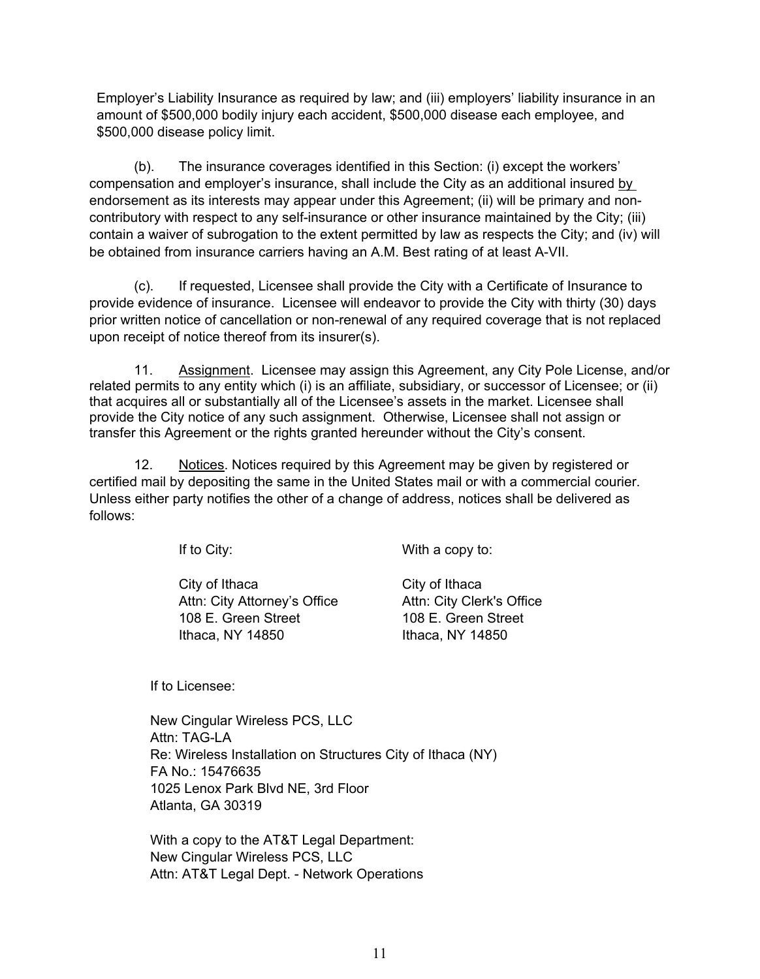Employer's Liability Insurance as required by law; and (iii) employers' liability insurance in an amount of \$500,000 bodily injury each accident, \$500,000 disease each employee, and \$500,000 disease policy limit.

 (b). The insurance coverages identified in this Section: (i) except the workers' compensation and employer's insurance, shall include the City as an additional insured by endorsement as its interests may appear under this Agreement; (ii) will be primary and noncontributory with respect to any self-insurance or other insurance maintained by the City; (iii) contain a waiver of subrogation to the extent permitted by law as respects the City; and (iv) will be obtained from insurance carriers having an A.M. Best rating of at least A-VII.

 (c). If requested, Licensee shall provide the City with a Certificate of Insurance to provide evidence of insurance. Licensee will endeavor to provide the City with thirty (30) days prior written notice of cancellation or non-renewal of any required coverage that is not replaced upon receipt of notice thereof from its insurer(s).

11. Assignment. Licensee may assign this Agreement, any City Pole License, and/or related permits to any entity which (i) is an affiliate, subsidiary, or successor of Licensee; or (ii) that acquires all or substantially all of the Licensee's assets in the market. Licensee shall provide the City notice of any such assignment. Otherwise, Licensee shall not assign or transfer this Agreement or the rights granted hereunder without the City's consent.

12. Notices. Notices required by this Agreement may be given by registered or certified mail by depositing the same in the United States mail or with a commercial courier. Unless either party notifies the other of a change of address, notices shall be delivered as follows:

If to City: With a copy to:

City of Ithaca City of Ithaca Attn: City Attorney's Office Attn: City Clerk's Office 108 E. Green Street 108 E. Green Street Ithaca, NY 14850 Ithaca, NY 14850

If to Licensee:

New Cingular Wireless PCS, LLC Attn: TAG-LA Re: Wireless Installation on Structures City of Ithaca (NY) FA No.: 15476635 1025 Lenox Park Blvd NE, 3rd Floor Atlanta, GA 30319

With a copy to the AT&T Legal Department: New Cingular Wireless PCS, LLC Attn: AT&T Legal Dept. - Network Operations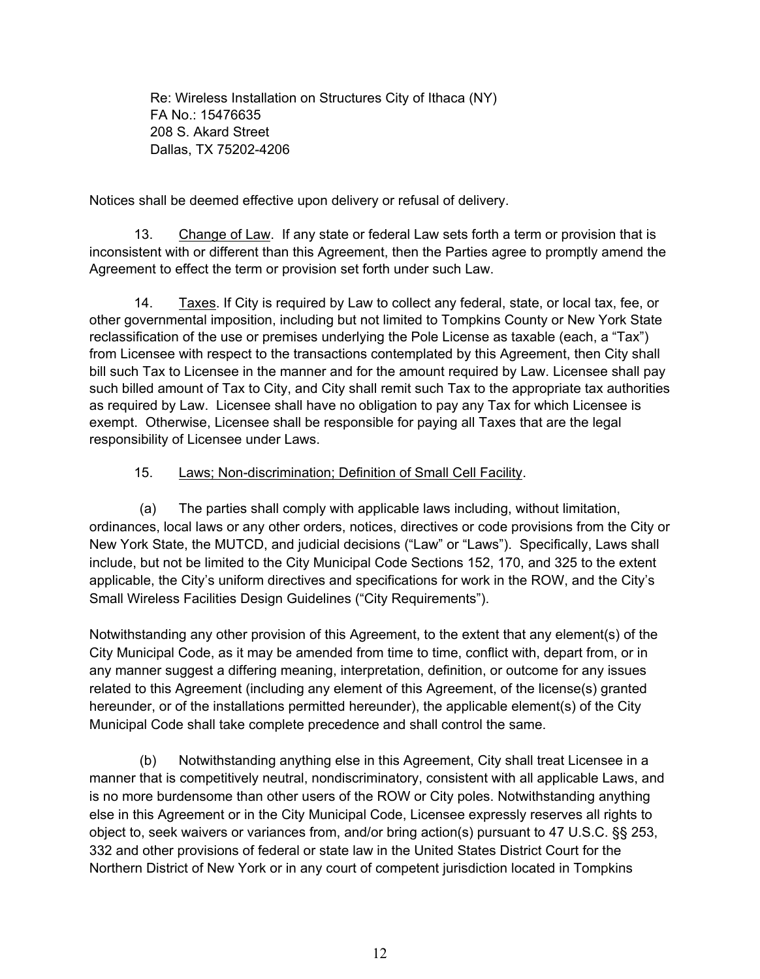Re: Wireless Installation on Structures City of Ithaca (NY) FA No.: 15476635 208 S. Akard Street Dallas, TX 75202-4206

Notices shall be deemed effective upon delivery or refusal of delivery.

 13. Change of Law. If any state or federal Law sets forth a term or provision that is inconsistent with or different than this Agreement, then the Parties agree to promptly amend the Agreement to effect the term or provision set forth under such Law.

14. Taxes. If City is required by Law to collect any federal, state, or local tax, fee, or other governmental imposition, including but not limited to Tompkins County or New York State reclassification of the use or premises underlying the Pole License as taxable (each, a "Tax") from Licensee with respect to the transactions contemplated by this Agreement, then City shall bill such Tax to Licensee in the manner and for the amount required by Law. Licensee shall pay such billed amount of Tax to City, and City shall remit such Tax to the appropriate tax authorities as required by Law. Licensee shall have no obligation to pay any Tax for which Licensee is exempt. Otherwise, Licensee shall be responsible for paying all Taxes that are the legal responsibility of Licensee under Laws.

#### 15. Laws; Non-discrimination; Definition of Small Cell Facility.

(a) The parties shall comply with applicable laws including, without limitation, ordinances, local laws or any other orders, notices, directives or code provisions from the City or New York State, the MUTCD, and judicial decisions ("Law" or "Laws"). Specifically, Laws shall include, but not be limited to the City Municipal Code Sections 152, 170, and 325 to the extent applicable, the City's uniform directives and specifications for work in the ROW, and the City's Small Wireless Facilities Design Guidelines ("City Requirements").

Notwithstanding any other provision of this Agreement, to the extent that any element(s) of the City Municipal Code, as it may be amended from time to time, conflict with, depart from, or in any manner suggest a differing meaning, interpretation, definition, or outcome for any issues related to this Agreement (including any element of this Agreement, of the license(s) granted hereunder, or of the installations permitted hereunder), the applicable element(s) of the City Municipal Code shall take complete precedence and shall control the same.

(b) Notwithstanding anything else in this Agreement, City shall treat Licensee in a manner that is competitively neutral, nondiscriminatory, consistent with all applicable Laws, and is no more burdensome than other users of the ROW or City poles. Notwithstanding anything else in this Agreement or in the City Municipal Code, Licensee expressly reserves all rights to object to, seek waivers or variances from, and/or bring action(s) pursuant to 47 U.S.C. §§ 253, 332 and other provisions of federal or state law in the United States District Court for the Northern District of New York or in any court of competent jurisdiction located in Tompkins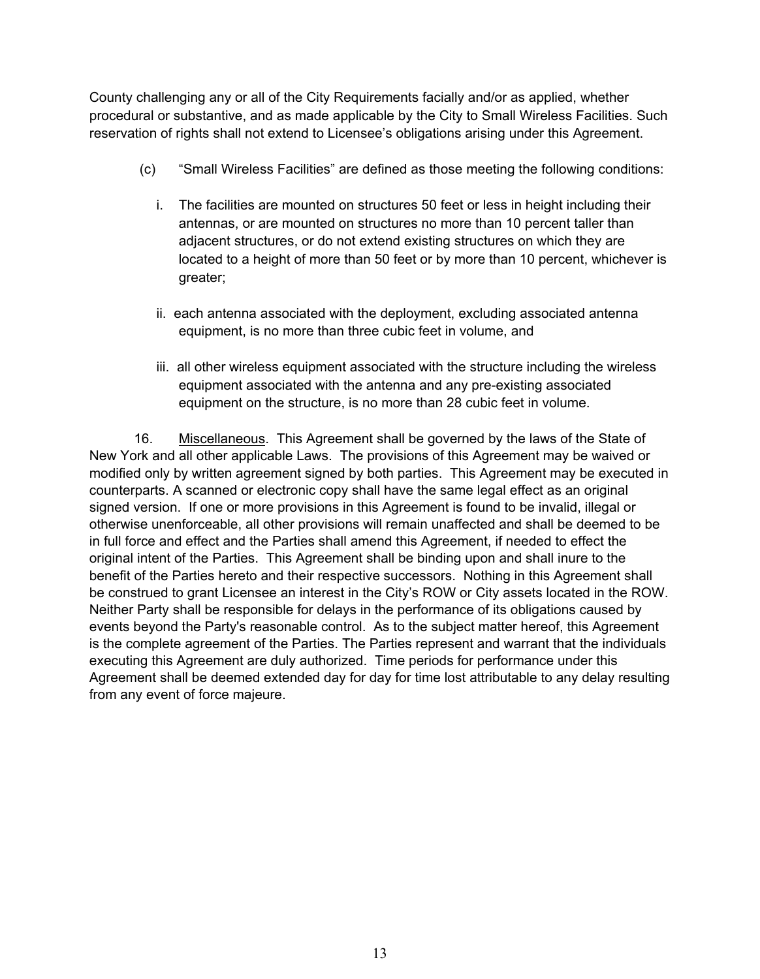County challenging any or all of the City Requirements facially and/or as applied, whether procedural or substantive, and as made applicable by the City to Small Wireless Facilities. Such reservation of rights shall not extend to Licensee's obligations arising under this Agreement.

- (c) "Small Wireless Facilities" are defined as those meeting the following conditions:
	- i. The facilities are mounted on structures 50 feet or less in height including their antennas, or are mounted on structures no more than 10 percent taller than adjacent structures, or do not extend existing structures on which they are located to a height of more than 50 feet or by more than 10 percent, whichever is greater;
	- ii. each antenna associated with the deployment, excluding associated antenna equipment, is no more than three cubic feet in volume, and
	- iii. all other wireless equipment associated with the structure including the wireless equipment associated with the antenna and any pre-existing associated equipment on the structure, is no more than 28 cubic feet in volume.

16. Miscellaneous. This Agreement shall be governed by the laws of the State of New York and all other applicable Laws. The provisions of this Agreement may be waived or modified only by written agreement signed by both parties. This Agreement may be executed in counterparts. A scanned or electronic copy shall have the same legal effect as an original signed version. If one or more provisions in this Agreement is found to be invalid, illegal or otherwise unenforceable, all other provisions will remain unaffected and shall be deemed to be in full force and effect and the Parties shall amend this Agreement, if needed to effect the original intent of the Parties. This Agreement shall be binding upon and shall inure to the benefit of the Parties hereto and their respective successors. Nothing in this Agreement shall be construed to grant Licensee an interest in the City's ROW or City assets located in the ROW. Neither Party shall be responsible for delays in the performance of its obligations caused by events beyond the Party's reasonable control. As to the subject matter hereof, this Agreement is the complete agreement of the Parties. The Parties represent and warrant that the individuals executing this Agreement are duly authorized. Time periods for performance under this Agreement shall be deemed extended day for day for time lost attributable to any delay resulting from any event of force majeure.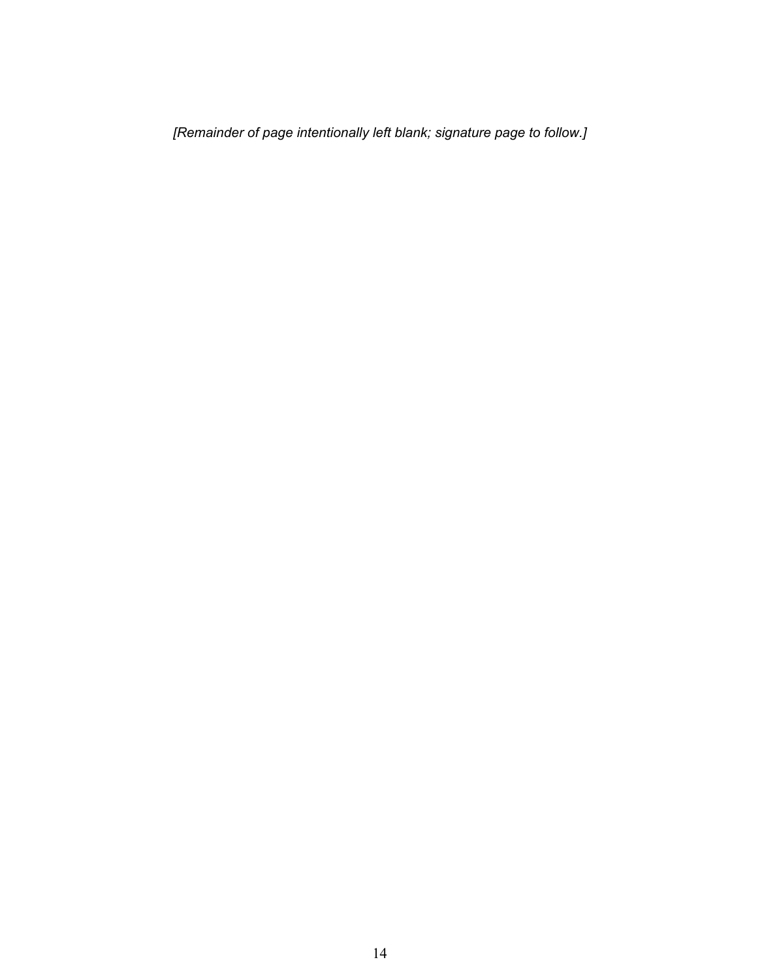*[Remainder of page intentionally left blank; signature page to follow.]*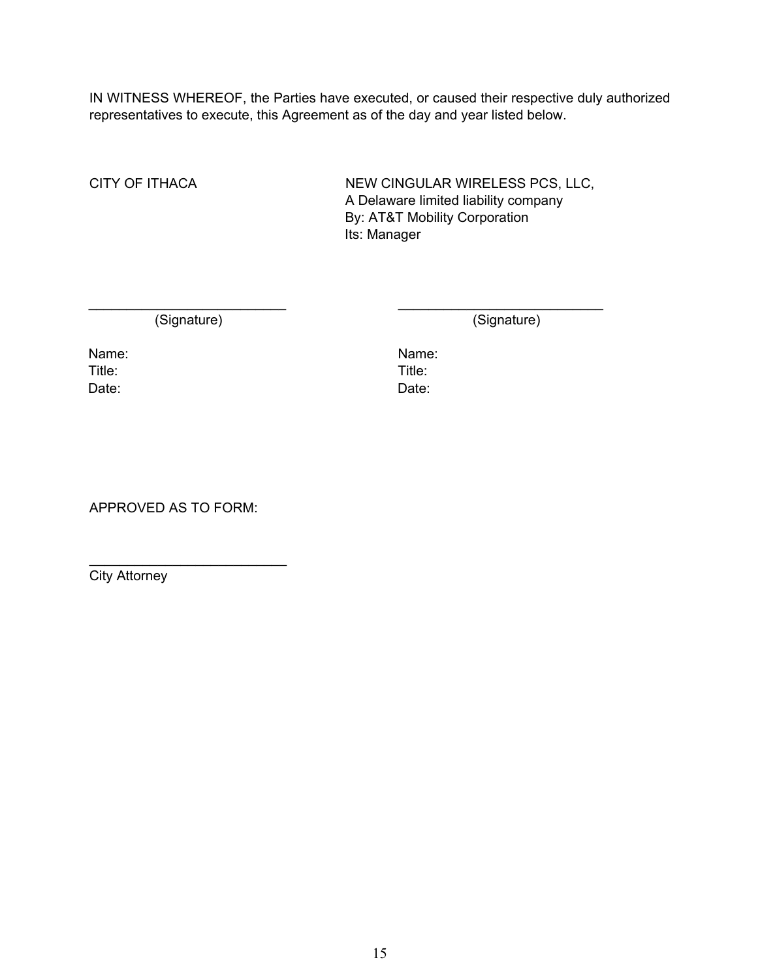IN WITNESS WHEREOF, the Parties have executed, or caused their respective duly authorized representatives to execute, this Agreement as of the day and year listed below.

\_\_\_\_\_\_\_\_\_\_\_\_\_\_\_\_\_\_\_\_\_\_\_\_\_\_ \_\_\_\_\_\_\_\_\_\_\_\_\_\_\_\_\_\_\_\_\_\_\_\_\_\_\_

CITY OF ITHACA NEW CINGULAR WIRELESS PCS, LLC, A Delaware limited liability company By: AT&T Mobility Corporation Its: Manager

(Signature) (Signature)

Title: Title: Date: Date:

Name: Name: Name: Name: Name: Name: Name: Name: Name: Name: Name: Name: Name: Name: Name: Name: Name: Name: Name: Name: Name: Name: Name: Name: Name: Name: Name: Name: Name: Name: Name: Name: Name: Name: Name: Name: Name:

APPROVED AS TO FORM:

 $\overline{\phantom{a}}$  , where  $\overline{\phantom{a}}$  , where  $\overline{\phantom{a}}$  , where  $\overline{\phantom{a}}$ 

City Attorney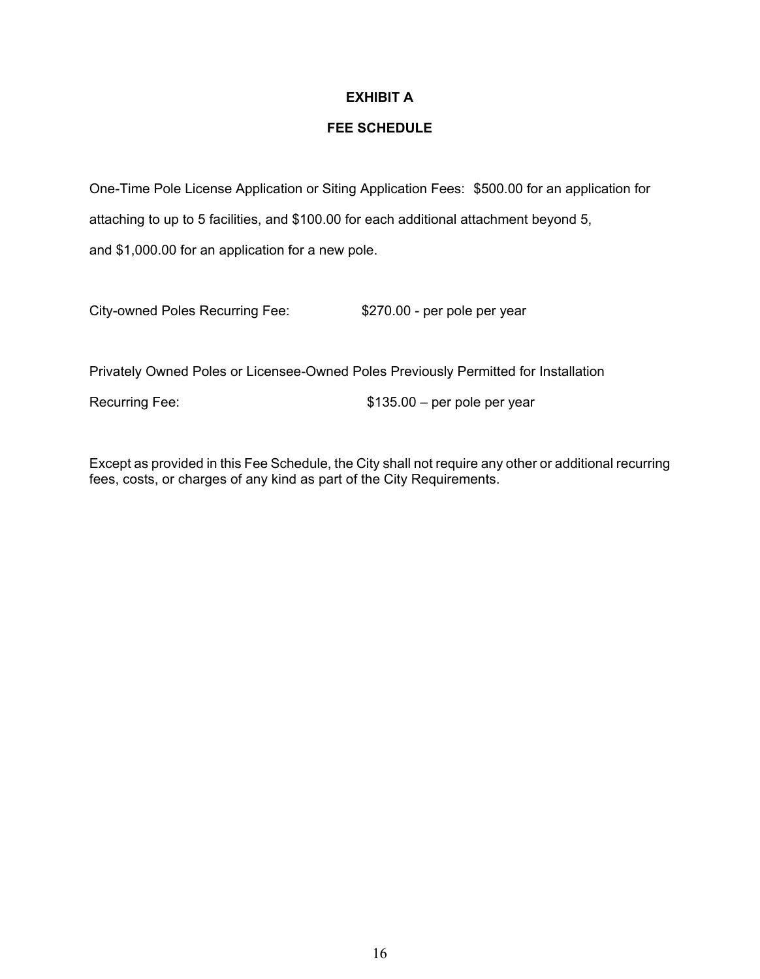# **EXHIBIT A**

### **FEE SCHEDULE**

One-Time Pole License Application or Siting Application Fees: \$500.00 for an application for attaching to up to 5 facilities, and \$100.00 for each additional attachment beyond 5, and \$1,000.00 for an application for a new pole.

City-owned Poles Recurring Fee: \$270.00 - per pole per year

Privately Owned Poles or Licensee-Owned Poles Previously Permitted for Installation

Recurring Fee:  $$135.00 - per pole per year$ 

Except as provided in this Fee Schedule, the City shall not require any other or additional recurring fees, costs, or charges of any kind as part of the City Requirements.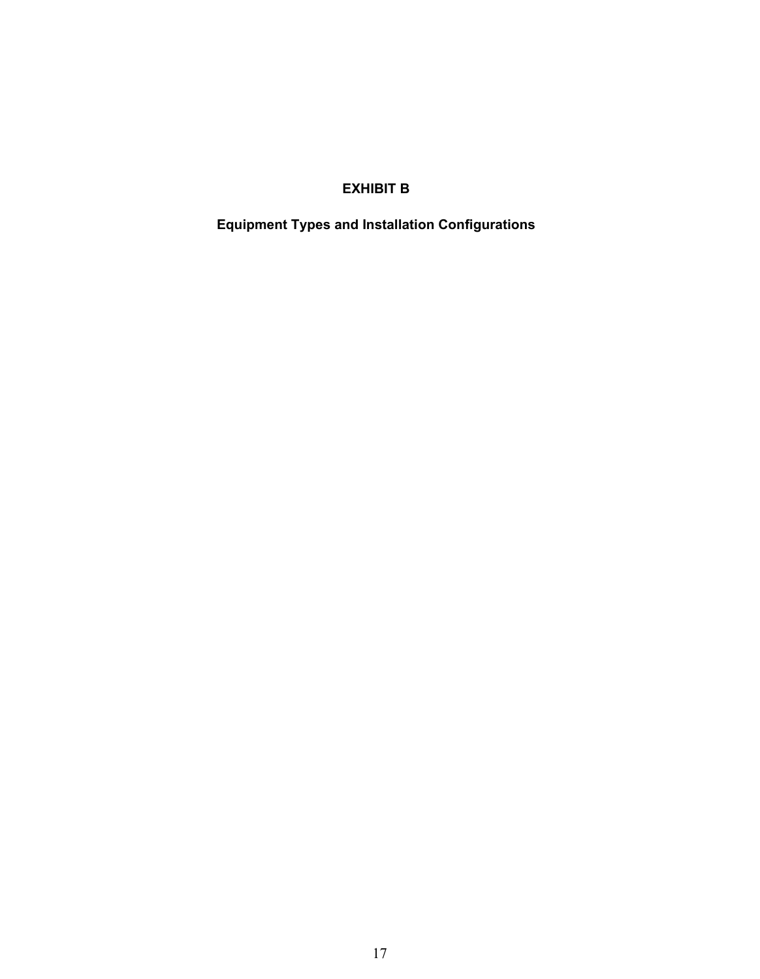# **EXHIBIT B**

**Equipment Types and Installation Configurations**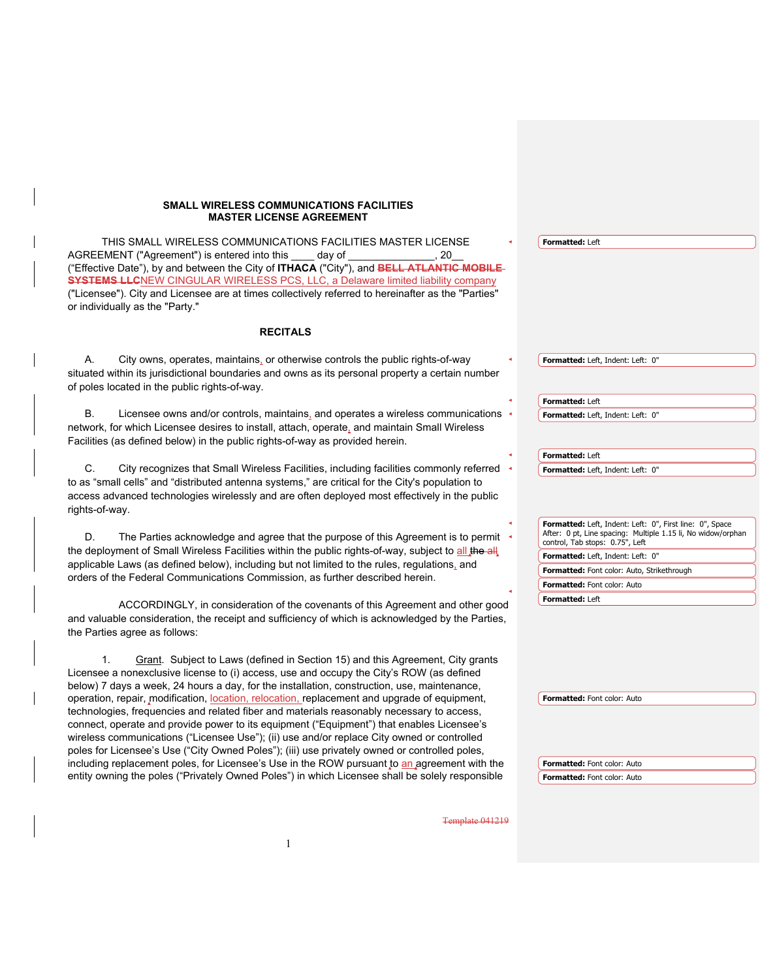#### **SMALL WIRELESS COMMUNICATIONS FACILITIES MASTER LICENSE AGREEMENT**

 THIS SMALL WIRELESS COMMUNICATIONS FACILITIES MASTER LICENSE AGREEMENT ("Agreement") is entered into this \_\_\_\_ day of \_\_\_\_\_\_\_\_\_\_\_\_\_\_\_\_, 20 ("Effective Date"), by and between the City of **ITHACA** ("City"), and **BELL ATLANTIC MOBILE SYSTEMS LLC**NEW CINGULAR WIRELESS PCS, LLC, a Delaware limited liability company ("Licensee"). City and Licensee are at times collectively referred to hereinafter as the "Parties" or individually as the "Party."

#### **RECITALS**

A. City owns, operates, maintains, or otherwise controls the public rights-of-way situated within its jurisdictional boundaries and owns as its personal property a certain number of poles located in the public rights-of-way.

Licensee owns and/or controls, maintains, and operates a wireless communications network, for which Licensee desires to install, attach, operate, and maintain Small Wireless Facilities (as defined below) in the public rights-of-way as provided herein.

C. City recognizes that Small Wireless Facilities, including facilities commonly referred to as "small cells" and "distributed antenna systems," are critical for the City's population to access advanced technologies wirelessly and are often deployed most effectively in the public rights-of-way.

D. The Parties acknowledge and agree that the purpose of this Agreement is to permit the deployment of Small Wireless Facilities within the public rights-of-way, subject to all the all applicable Laws (as defined below), including but not limited to the rules, regulations, and orders of the Federal Communications Commission, as further described herein.

ACCORDINGLY, in consideration of the covenants of this Agreement and other good and valuable consideration, the receipt and sufficiency of which is acknowledged by the Parties, the Parties agree as follows:

1. Grant. Subject to Laws (defined in Section 15) and this Agreement, City grants Licensee a nonexclusive license to (i) access, use and occupy the City's ROW (as defined below) 7 days a week, 24 hours a day, for the installation, construction, use, maintenance, operation, repair, modification, location, relocation, replacement and upgrade of equipment, technologies, frequencies and related fiber and materials reasonably necessary to access, connect, operate and provide power to its equipment ("Equipment") that enables Licensee's wireless communications ("Licensee Use"); (ii) use and/or replace City owned or controlled poles for Licensee's Use ("City Owned Poles"); (iii) use privately owned or controlled poles, including replacement poles, for Licensee's Use in the ROW pursuant to an agreement with the entity owning the poles ("Privately Owned Poles") in which Licensee shall be solely responsible

# **Formatted:** Left **Formatted:** Left, Indent: Left: 0" **Formatted:** Left **Formatted:** Left, Indent: Left: 0" **Formatted:** Left **Formatted:** Left, Indent: Left: 0" **Formatted:** Left, Indent: Left: 0", First line: 0", Space After: 0 pt, Line spacing: Multiple 1.15 li, No widow/orphan control, Tab stops: 0.75", Left **Formatted:** Left, Indent: Left: 0" **Formatted:** Font color: Auto, Strikethrough **Formatted:** Font color: Auto **Formatted:** Left

**Formatted:** Font color: Auto

**Formatted:** Font color: Auto **Formatted:** Font color: Auto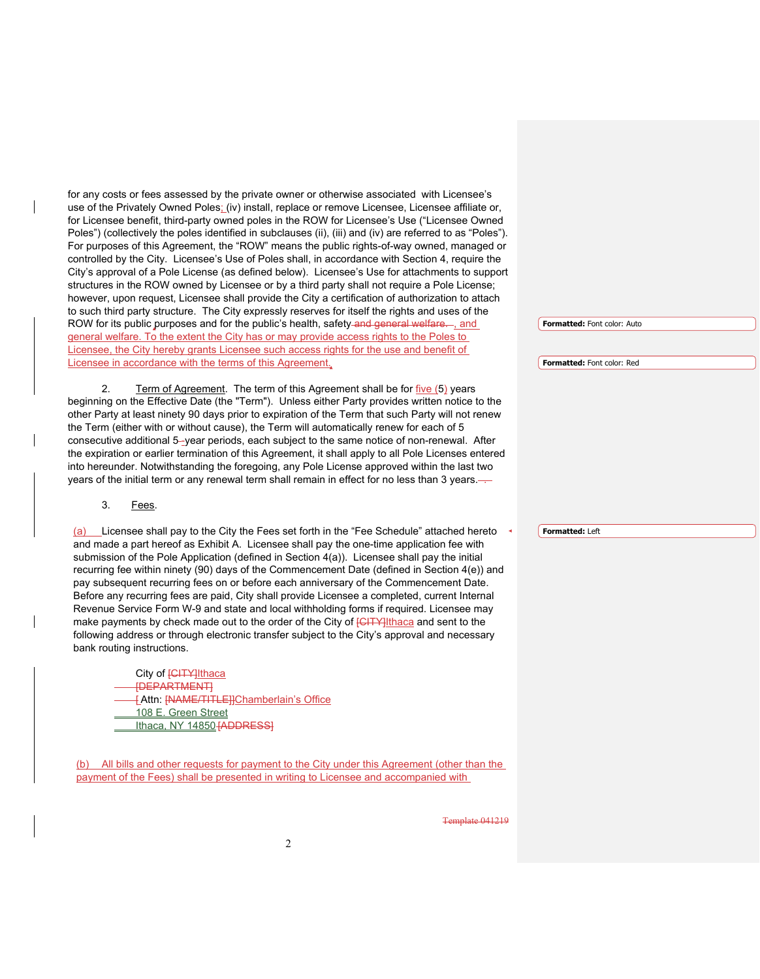for any costs or fees assessed by the private owner or otherwise associated with Licensee's use of the Privately Owned Poles; (iv) install, replace or remove Licensee, Licensee affiliate or, for Licensee benefit, third-party owned poles in the ROW for Licensee's Use ("Licensee Owned Poles") (collectively the poles identified in subclauses (ii), (iii) and (iv) are referred to as "Poles"). For purposes of this Agreement, the "ROW" means the public rights-of-way owned, managed or controlled by the City. Licensee's Use of Poles shall, in accordance with Section 4, require the City's approval of a Pole License (as defined below). Licensee's Use for attachments to support structures in the ROW owned by Licensee or by a third party shall not require a Pole License; however, upon request, Licensee shall provide the City a certification of authorization to attach to such third party structure. The City expressly reserves for itself the rights and uses of the ROW for its public purposes and for the public's health, safety and general welfare. - and general welfare. To the extent the City has or may provide access rights to the Poles to Licensee, the City hereby grants Licensee such access rights for the use and benefit of Licensee in accordance with the terms of this Agreement.

2. Term of Agreement.The term of this Agreement shall be for five (5) years beginning on the Effective Date (the "Term"). Unless either Party provides written notice to the other Party at least ninety 90 days prior to expiration of the Term that such Party will not renew the Term (either with or without cause), the Term will automatically renew for each of 5 consecutive additional 5-year periods, each subject to the same notice of non-renewal. After the expiration or earlier termination of this Agreement, it shall apply to all Pole Licenses entered into hereunder. Notwithstanding the foregoing, any Pole License approved within the last two years of the initial term or any renewal term shall remain in effect for no less than 3 years.

3. Fees.

Licensee shall pay to the City the Fees set forth in the "Fee Schedule" attached hereto and made a part hereof as Exhibit A. Licensee shall pay the one-time application fee with submission of the Pole Application (defined in Section 4(a)). Licensee shall pay the initial recurring fee within ninety (90) days of the Commencement Date (defined in Section 4(e)) and pay subsequent recurring fees on or before each anniversary of the Commencement Date. Before any recurring fees are paid, City shall provide Licensee a completed, current Internal Revenue Service Form W-9 and state and local withholding forms if required. Licensee may make payments by check made out to the order of the City of **[CITY]**Ithaca and sent to the following address or through electronic transfer subject to the City's approval and necessary bank routing instructions.

City of **[CITY]**Ithaca [DEPARTMENT] [ Attn: [NAME/TITLE]]Chamberlain's Office 108 E. Green Street Ithaca, NY 14850 **[ADDRESS]** 

(b) All bills and other requests for payment to the City under this Agreement (other than the payment of the Fees) shall be presented in writing to Licensee and accompanied with

**Formatted:** Font color: Auto

**Formatted:** Font color: Red

**Formatted:** Left

Template 041219

2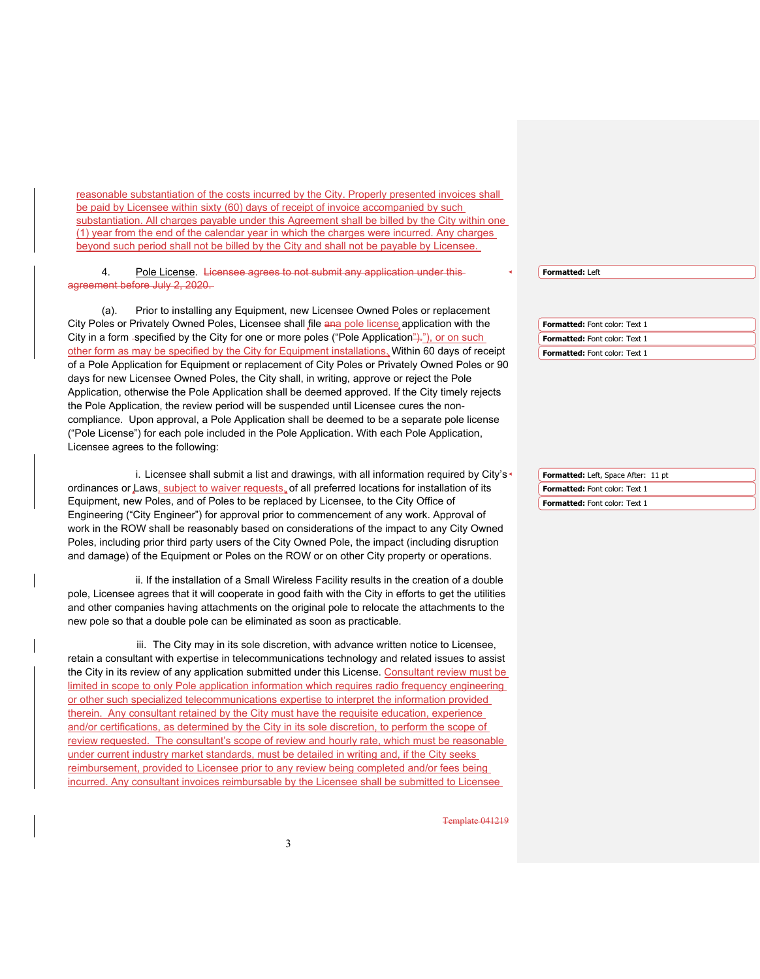reasonable substantiation of the costs incurred by the City. Properly presented invoices shall be paid by Licensee within sixty (60) days of receipt of invoice accompanied by such substantiation. All charges payable under this Agreement shall be billed by the City within one (1) year from the end of the calendar year in which the charges were incurred. Any charges beyond such period shall not be billed by the City and shall not be payable by Licensee.

4. Pole License. Licensee agrees to not submit any application under thisagreement before July 2, 2020.

 (a). Prior to installing any Equipment, new Licensee Owned Poles or replacement City Poles or Privately Owned Poles, Licensee shall file ana pole license application with the City in a form -specified by the City for one or more poles ("Pole Application")."), or on such other form as may be specified by the City for Equipment installations. Within 60 days of receipt of a Pole Application for Equipment or replacement of City Poles or Privately Owned Poles or 90 days for new Licensee Owned Poles, the City shall, in writing, approve or reject the Pole Application, otherwise the Pole Application shall be deemed approved. If the City timely rejects the Pole Application, the review period will be suspended until Licensee cures the noncompliance. Upon approval, a Pole Application shall be deemed to be a separate pole license ("Pole License") for each pole included in the Pole Application. With each Pole Application, Licensee agrees to the following:

i. Licensee shall submit a list and drawings, with all information required by City's<sup>\*</sup> ordinances or Laws, subject to waiver requests, of all preferred locations for installation of its Equipment, new Poles, and of Poles to be replaced by Licensee, to the City Office of Engineering ("City Engineer") for approval prior to commencement of any work. Approval of work in the ROW shall be reasonably based on considerations of the impact to any City Owned Poles, including prior third party users of the City Owned Pole, the impact (including disruption and damage) of the Equipment or Poles on the ROW or on other City property or operations.

 ii. If the installation of a Small Wireless Facility results in the creation of a double pole, Licensee agrees that it will cooperate in good faith with the City in efforts to get the utilities and other companies having attachments on the original pole to relocate the attachments to the new pole so that a double pole can be eliminated as soon as practicable.

 iii. The City may in its sole discretion, with advance written notice to Licensee, retain a consultant with expertise in telecommunications technology and related issues to assist the City in its review of any application submitted under this License. Consultant review must be limited in scope to only Pole application information which requires radio frequency engineering or other such specialized telecommunications expertise to interpret the information provided therein. Any consultant retained by the City must have the requisite education, experience and/or certifications, as determined by the City in its sole discretion, to perform the scope of review requested. The consultant's scope of review and hourly rate, which must be reasonable under current industry market standards, must be detailed in writing and, if the City seeks reimbursement, provided to Licensee prior to any review being completed and/or fees being incurred. Any consultant invoices reimbursable by the Licensee shall be submitted to Licensee

**Formatted:** Left

**Formatted:** Font color: Text 1 **Formatted:** Font color: Text 1 **Formatted:** Font color: Text 1

**Formatted:** Left, Space After: 11 pt **Formatted:** Font color: Text 1 **Formatted:** Font color: Text 1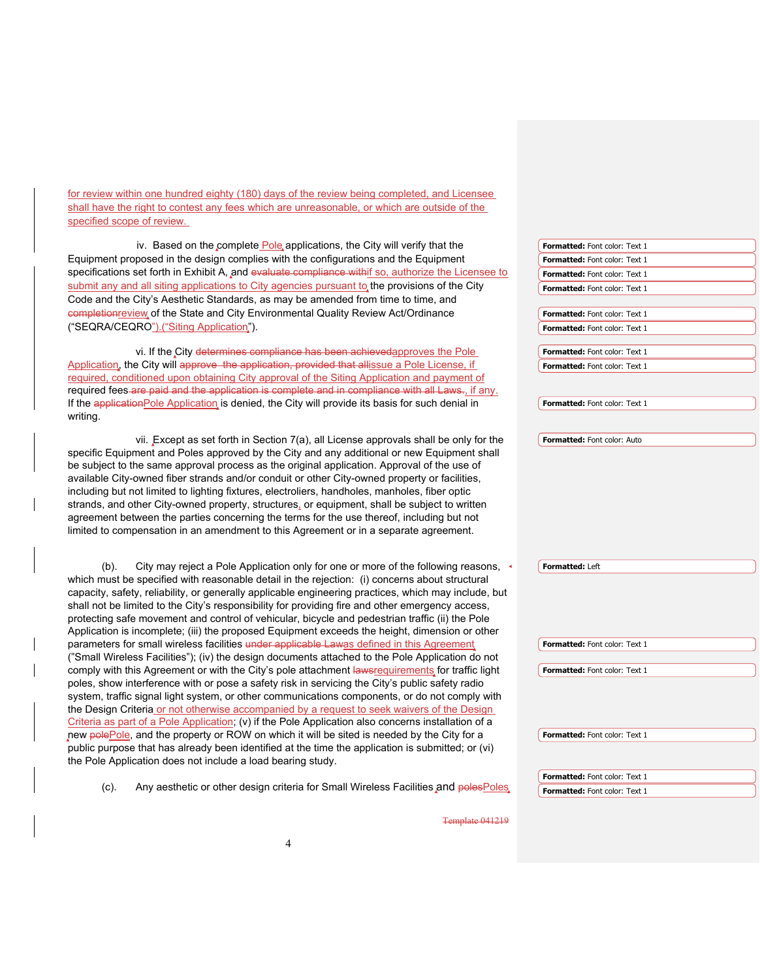for review within one hundred eighty (180) days of the review being completed, and Licensee shall have the right to contest any fees which are unreasonable, or which are outside of the specified scope of review.

| iv. Based on the complete Pole applications, the City will verify that the                            | Formatted: Font color: Text 1        |
|-------------------------------------------------------------------------------------------------------|--------------------------------------|
| Equipment proposed in the design complies with the configurations and the Equipment                   | Formatted: Font color: Text 1        |
| specifications set forth in Exhibit A, and evaluate compliance withif so, authorize the Licensee to   | Formatted: Font color: Text 1        |
| submit any and all siting applications to City agencies pursuant to the provisions of the City        | Formatted: Font color: Text 1        |
| Code and the City's Aesthetic Standards, as may be amended from time to time, and                     |                                      |
| completionreview of the State and City Environmental Quality Review Act/Ordinance                     | Formatted: Font color: Text 1        |
| ("SEQRA/CEQRO").("Siting Application").                                                               | Formatted: Font color: Text 1        |
|                                                                                                       |                                      |
| vi. If the City determines compliance has been achieved approves the Pole                             | Formatted: Font color: Text 1        |
| Application, the City will approve the application, provided that allissue a Pole License, if         | <b>Formatted: Font color: Text 1</b> |
| required, conditioned upon obtaining City approval of the Siting Application and payment of           |                                      |
| required fees are paid and the application is complete and in compliance with all Laws., if any.      |                                      |
| If the application Pole Application is denied, the City will provide its basis for such denial in     | Formatted: Font color: Text 1        |
| writing.                                                                                              |                                      |
| vii. Except as set forth in Section 7(a), all License approvals shall be only for the                 | Formatted: Font color: Auto          |
| specific Equipment and Poles approved by the City and any additional or new Equipment shall           |                                      |
| be subject to the same approval process as the original application. Approval of the use of           |                                      |
| available City-owned fiber strands and/or conduit or other City-owned property or facilities,         |                                      |
| including but not limited to lighting fixtures, electroliers, handholes, manholes, fiber optic        |                                      |
| strands, and other City-owned property, structures, or equipment, shall be subject to written         |                                      |
| agreement between the parties concerning the terms for the use thereof, including but not             |                                      |
|                                                                                                       |                                      |
|                                                                                                       |                                      |
| limited to compensation in an amendment to this Agreement or in a separate agreement.                 |                                      |
|                                                                                                       |                                      |
| City may reject a Pole Application only for one or more of the following reasons,<br>$(b)$ .          | Formatted: Left                      |
| which must be specified with reasonable detail in the rejection: (i) concerns about structural        |                                      |
| capacity, safety, reliability, or generally applicable engineering practices, which may include, but  |                                      |
| shall not be limited to the City's responsibility for providing fire and other emergency access,      |                                      |
| protecting safe movement and control of vehicular, bicycle and pedestrian traffic (ii) the Pole       |                                      |
| Application is incomplete; (iii) the proposed Equipment exceeds the height, dimension or other        |                                      |
| parameters for small wireless facilities under applicable Lawas defined in this Agreement             | Formatted: Font color: Text 1        |
| ("Small Wireless Facilities"); (iv) the design documents attached to the Pole Application do not      |                                      |
| comply with this Agreement or with the City's pole attachment lawsrequirements for traffic light      | Formatted: Font color: Text 1        |
| poles, show interference with or pose a safety risk in servicing the City's public safety radio       |                                      |
| system, traffic signal light system, or other communications components, or do not comply with        |                                      |
| the Design Criteria or not otherwise accompanied by a request to seek waivers of the Design           |                                      |
| Criteria as part of a Pole Application; $(v)$ if the Pole Application also concerns installation of a |                                      |
| new polePole, and the property or ROW on which it will be sited is needed by the City for a           | Formatted: Font color: Text 1        |
| public purpose that has already been identified at the time the application is submitted; or (vi)     |                                      |
| the Pole Application does not include a load bearing study.                                           |                                      |
|                                                                                                       | Formatted: Font color: Text 1        |
| Any aesthetic or other design criteria for Small Wireless Facilities and polesPoles<br>$(c)$ .        | Formatted: Font color: Text 1        |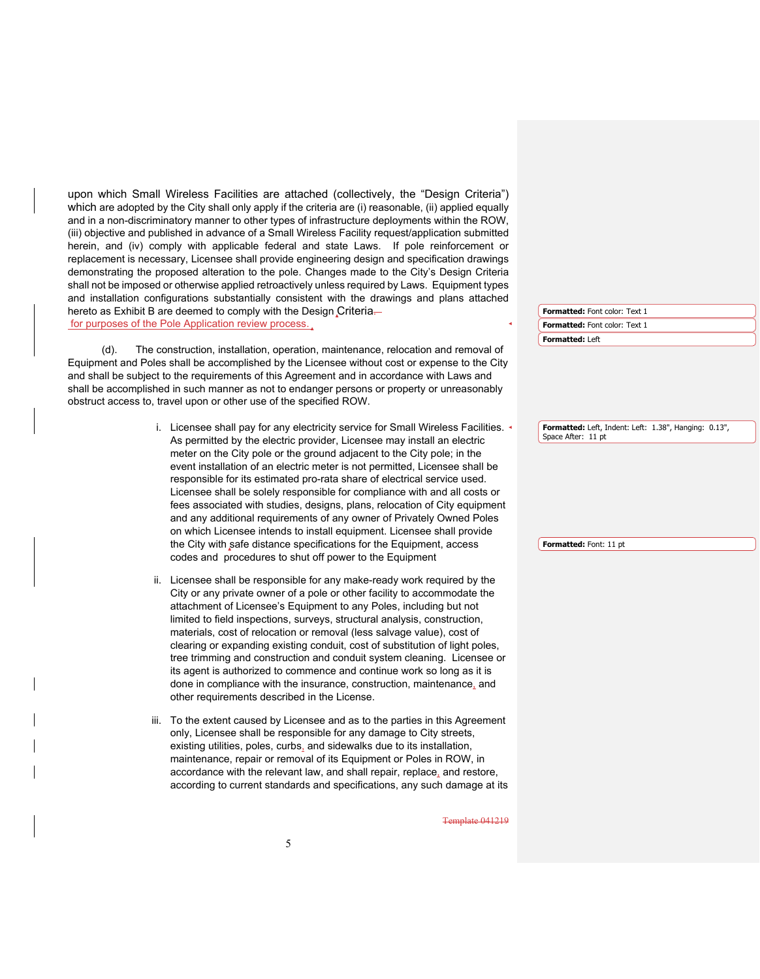upon which Small Wireless Facilities are attached (collectively, the "Design Criteria") which are adopted by the City shall only apply if the criteria are (i) reasonable, (ii) applied equally and in a non-discriminatory manner to other types of infrastructure deployments within the ROW, (iii) objective and published in advance of a Small Wireless Facility request/application submitted herein, and (iv) comply with applicable federal and state Laws. If pole reinforcement or replacement is necessary, Licensee shall provide engineering design and specification drawings demonstrating the proposed alteration to the pole. Changes made to the City's Design Criteria shall not be imposed or otherwise applied retroactively unless required by Laws. Equipment types and installation configurations substantially consistent with the drawings and plans attached hereto as Exhibit B are deemed to comply with the Design Criteriafor purposes of the Pole Application review process (d). The construction, installation, operation, maintenance, relocation and removal of Equipment and Poles shall be accomplished by the Licensee without cost or expense to the City and shall be subject to the requirements of this Agreement and in accordance with Laws and shall be accomplished in such manner as not to endanger persons or property or unreasonably obstruct access to, travel upon or other use of the specified ROW. i. Licensee shall pay for any electricity service for Small Wireless Facilities. As permitted by the electric provider, Licensee may install an electric meter on the City pole or the ground adjacent to the City pole; in the event installation of an electric meter is not permitted, Licensee shall be responsible for its estimated pro-rata share of electrical service used. Licensee shall be solely responsible for compliance with and all costs or fees associated with studies, designs, plans, relocation of City equipment and any additional requirements of any owner of Privately Owned Poles on which Licensee intends to install equipment. Licensee shall provide the City with safe distance specifications for the Equipment, access codes and procedures to shut off power to the Equipment ii. Licensee shall be responsible for any make-ready work required by the City or any private owner of a pole or other facility to accommodate the attachment of Licensee's Equipment to any Poles, including but not limited to field inspections, surveys, structural analysis, construction, materials, cost of relocation or removal (less salvage value), cost of clearing or expanding existing conduit, cost of substitution of light poles, tree trimming and construction and conduit system cleaning. Licensee or its agent is authorized to commence and continue work so long as it is done in compliance with the insurance, construction, maintenance, and other requirements described in the License. iii. To the extent caused by Licensee and as to the parties in this Agreement only, Licensee shall be responsible for any damage to City streets, existing utilities, poles, curbs, and sidewalks due to its installation, maintenance, repair or removal of its Equipment or Poles in ROW, in accordance with the relevant law, and shall repair, replace, and restore, according to current standards and specifications, any such damage at its **Formatted:** Font color: Text 1 **Formatted:** Left **Formatted:** Font color: Text 1 **Formatted:** Left, Indent: Left: 1.38", Hanging: 0.13", Space After: 11 pt **Formatted:** Font: 11 pt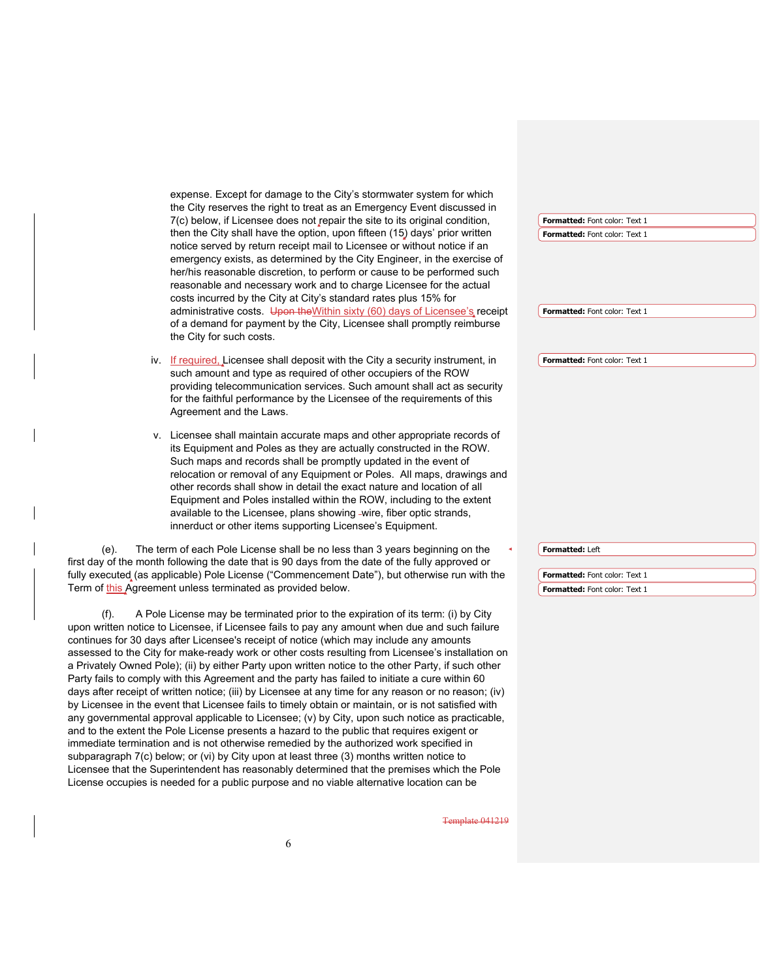|         | expense. Except for damage to the City's stormwater system for which                                                                                                                   |                                      |  |
|---------|----------------------------------------------------------------------------------------------------------------------------------------------------------------------------------------|--------------------------------------|--|
|         | the City reserves the right to treat as an Emergency Event discussed in                                                                                                                |                                      |  |
|         | 7(c) below, if Licensee does not repair the site to its original condition,                                                                                                            | Formatted: Font color: Text 1        |  |
|         | then the City shall have the option, upon fifteen (15) days' prior written                                                                                                             | Formatted: Font color: Text 1        |  |
|         | notice served by return receipt mail to Licensee or without notice if an                                                                                                               |                                      |  |
|         | emergency exists, as determined by the City Engineer, in the exercise of                                                                                                               |                                      |  |
|         | her/his reasonable discretion, to perform or cause to be performed such                                                                                                                |                                      |  |
|         | reasonable and necessary work and to charge Licensee for the actual                                                                                                                    |                                      |  |
|         | costs incurred by the City at City's standard rates plus 15% for                                                                                                                       |                                      |  |
|         | administrative costs. Upon the Within sixty (60) days of Licensee's receipt                                                                                                            | <b>Formatted:</b> Font color: Text 1 |  |
|         | of a demand for payment by the City, Licensee shall promptly reimburse<br>the City for such costs.                                                                                     |                                      |  |
|         |                                                                                                                                                                                        |                                      |  |
|         | iv. If required, Licensee shall deposit with the City a security instrument, in                                                                                                        | Formatted: Font color: Text 1        |  |
|         | such amount and type as required of other occupiers of the ROW                                                                                                                         |                                      |  |
|         | providing telecommunication services. Such amount shall act as security<br>for the faithful performance by the Licensee of the requirements of this                                    |                                      |  |
|         | Agreement and the Laws.                                                                                                                                                                |                                      |  |
|         |                                                                                                                                                                                        |                                      |  |
|         | v. Licensee shall maintain accurate maps and other appropriate records of                                                                                                              |                                      |  |
|         | its Equipment and Poles as they are actually constructed in the ROW.                                                                                                                   |                                      |  |
|         | Such maps and records shall be promptly updated in the event of                                                                                                                        |                                      |  |
|         | relocation or removal of any Equipment or Poles. All maps, drawings and                                                                                                                |                                      |  |
|         | other records shall show in detail the exact nature and location of all                                                                                                                |                                      |  |
|         | Equipment and Poles installed within the ROW, including to the extent                                                                                                                  |                                      |  |
|         | available to the Licensee, plans showing -wire, fiber optic strands,                                                                                                                   |                                      |  |
|         | innerduct or other items supporting Licensee's Equipment.                                                                                                                              |                                      |  |
| (e).    | The term of each Pole License shall be no less than 3 years beginning on the                                                                                                           | Formatted: Left                      |  |
|         | first day of the month following the date that is 90 days from the date of the fully approved or                                                                                       |                                      |  |
|         | fully executed (as applicable) Pole License ("Commencement Date"), but otherwise run with the                                                                                          | Formatted: Font color: Text 1        |  |
|         | Term of <u>this Ag</u> reement unless terminated as provided below.                                                                                                                    | Formatted: Font color: Text 1        |  |
|         |                                                                                                                                                                                        |                                      |  |
| $(f)$ . | A Pole License may be terminated prior to the expiration of its term: (i) by City                                                                                                      |                                      |  |
|         | upon written notice to Licensee, if Licensee fails to pay any amount when due and such failure                                                                                         |                                      |  |
|         | continues for 30 days after Licensee's receipt of notice (which may include any amounts                                                                                                |                                      |  |
|         | assessed to the City for make-ready work or other costs resulting from Licensee's installation on                                                                                      |                                      |  |
|         | a Privately Owned Pole); (ii) by either Party upon written notice to the other Party, if such other                                                                                    |                                      |  |
|         | Party fails to comply with this Agreement and the party has failed to initiate a cure within 60 P                                                                                      |                                      |  |
|         | (iv) days after receipt of written notice; (iii) by Licensee at any time for any reason or no reason; (iv                                                                              |                                      |  |
|         | by Licensee in the event that Licensee fails to timely obtain or maintain, or is not satisfied with                                                                                    |                                      |  |
|         | any governmental approval applicable to Licensee; (v) by City, upon such notice as practicable,                                                                                        |                                      |  |
|         | and to the extent the Pole License presents a hazard to the public that requires exigent or<br>immediate termination and is not otherwise remedied by the authorized work specified in |                                      |  |
|         | subparagraph 7(c) below; or (vi) by City upon at least three (3) months written notice to                                                                                              |                                      |  |
|         | Licensee that the Superintendent has reasonably determined that the premises which the Pole                                                                                            |                                      |  |
|         | License occupies is needed for a public purpose and no viable alternative location can be                                                                                              |                                      |  |
|         |                                                                                                                                                                                        |                                      |  |
|         |                                                                                                                                                                                        |                                      |  |

Template 041219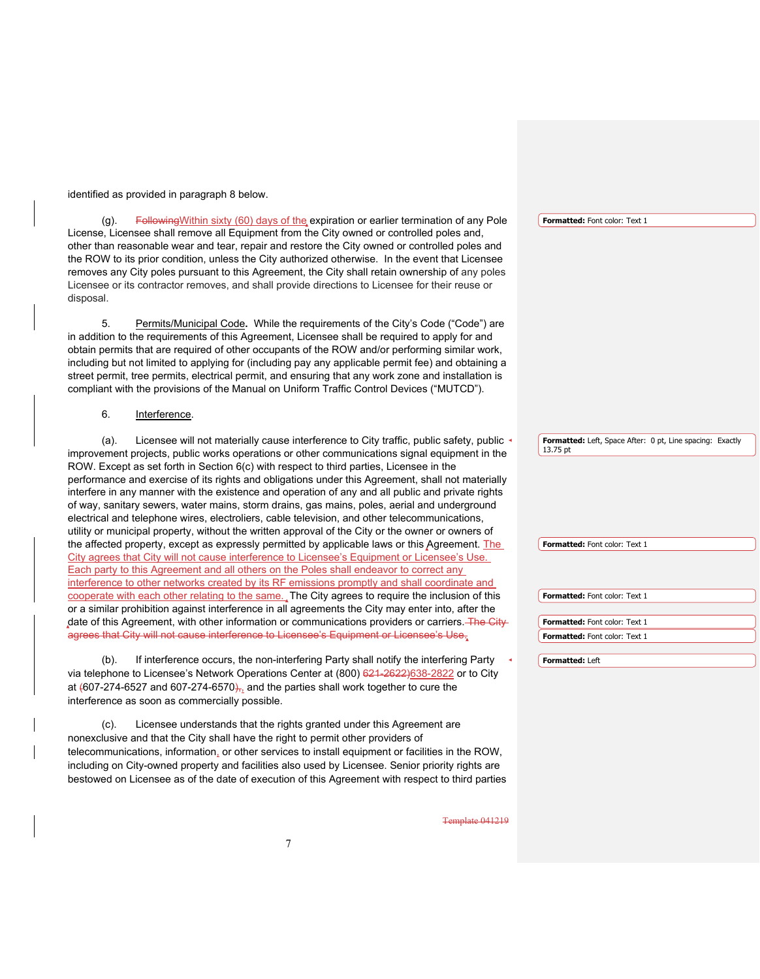identified as provided in paragraph 8 below.

 (g). FollowingWithin sixty (60) days of the expiration or earlier termination of any Pole License, Licensee shall remove all Equipment from the City owned or controlled poles and, other than reasonable wear and tear, repair and restore the City owned or controlled poles and the ROW to its prior condition, unless the City authorized otherwise. In the event that Licensee removes any City poles pursuant to this Agreement, the City shall retain ownership of any poles Licensee or its contractor removes, and shall provide directions to Licensee for their reuse or disposal.

 5. Permits/Municipal Code**.** While the requirements of the City's Code ("Code") are in addition to the requirements of this Agreement, Licensee shall be required to apply for and obtain permits that are required of other occupants of the ROW and/or performing similar work, including but not limited to applying for (including pay any applicable permit fee) and obtaining a street permit, tree permits, electrical permit, and ensuring that any work zone and installation is compliant with the provisions of the Manual on Uniform Traffic Control Devices ("MUTCD").

#### 6. Interference.

(a). Licensee will not materially cause interference to City traffic, public safety, public  $\cdot$ improvement projects, public works operations or other communications signal equipment in the ROW. Except as set forth in Section 6(c) with respect to third parties, Licensee in the performance and exercise of its rights and obligations under this Agreement, shall not materially interfere in any manner with the existence and operation of any and all public and private rights of way, sanitary sewers, water mains, storm drains, gas mains, poles, aerial and underground electrical and telephone wires, electroliers, cable television, and other telecommunications, utility or municipal property, without the written approval of the City or the owner or owners of the affected property, except as expressly permitted by applicable laws or this Agreement. The City agrees that City will not cause interference to Licensee's Equipment or Licensee's Use. Each party to this Agreement and all others on the Poles shall endeavor to correct any interference to other networks created by its RF emissions promptly and shall coordinate and cooperate with each other relating to the same. The City agrees to require the inclusion of this or a similar prohibition against interference in all agreements the City may enter into, after the date of this Agreement, with other information or communications providers or carriers. The City agrees that City will not cause interference to Licensee's Equipment or Lic

 (b). If interference occurs, the non-interfering Party shall notify the interfering Party via telephone to Licensee's Network Operations Center at (800) 621-2622)638-2822 or to City at  $(607-274-6527$  and 607-274-6570 $)_{72}$  and the parties shall work together to cure the interference as soon as commercially possible.

 (c). Licensee understands that the rights granted under this Agreement are nonexclusive and that the City shall have the right to permit other providers of telecommunications, information, or other services to install equipment or facilities in the ROW, including on City-owned property and facilities also used by Licensee. Senior priority rights are bestowed on Licensee as of the date of execution of this Agreement with respect to third parties **Formatted:** Font color: Text 1

**Formatted:** Left, Space After: 0 pt, Line spacing: Exactly 13.75 pt

**Formatted:** Font color: Text 1

**Formatted:** Font color: Text 1

**Formatted:** Font color: Text 1

**Formatted:** Font color: Text 1

**Formatted:** Left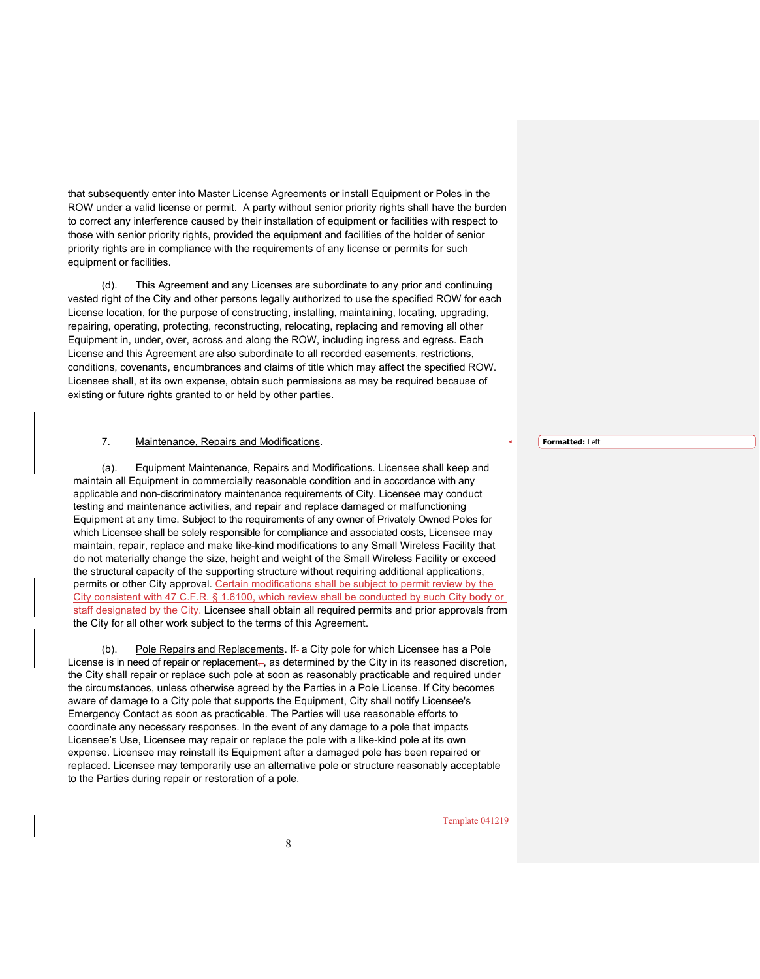that subsequently enter into Master License Agreements or install Equipment or Poles in the ROW under a valid license or permit. A party without senior priority rights shall have the burden to correct any interference caused by their installation of equipment or facilities with respect to those with senior priority rights, provided the equipment and facilities of the holder of senior priority rights are in compliance with the requirements of any license or permits for such equipment or facilities.

 (d). This Agreement and any Licenses are subordinate to any prior and continuing vested right of the City and other persons legally authorized to use the specified ROW for each License location, for the purpose of constructing, installing, maintaining, locating, upgrading, repairing, operating, protecting, reconstructing, relocating, replacing and removing all other Equipment in, under, over, across and along the ROW, including ingress and egress. Each License and this Agreement are also subordinate to all recorded easements, restrictions, conditions, covenants, encumbrances and claims of title which may affect the specified ROW. Licensee shall, at its own expense, obtain such permissions as may be required because of existing or future rights granted to or held by other parties.

### 7. Maintenance, Repairs and Modifications.

 (a). Equipment Maintenance, Repairs and Modifications. Licensee shall keep and maintain all Equipment in commercially reasonable condition and in accordance with any applicable and non-discriminatory maintenance requirements of City. Licensee may conduct testing and maintenance activities, and repair and replace damaged or malfunctioning Equipment at any time. Subject to the requirements of any owner of Privately Owned Poles for which Licensee shall be solely responsible for compliance and associated costs, Licensee may maintain, repair, replace and make like-kind modifications to any Small Wireless Facility that do not materially change the size, height and weight of the Small Wireless Facility or exceed the structural capacity of the supporting structure without requiring additional applications, permits or other City approval. Certain modifications shall be subject to permit review by the City consistent with 47 C.F.R. § 1.6100, which review shall be conducted by such City body or staff designated by the City. Licensee shall obtain all required permits and prior approvals from the City for all other work subject to the terms of this Agreement.

Pole Repairs and Replacements. If- a City pole for which Licensee has a Pole License is in need of repair or replacement, as determined by the City in its reasoned discretion, the City shall repair or replace such pole at soon as reasonably practicable and required under the circumstances, unless otherwise agreed by the Parties in a Pole License. If City becomes aware of damage to a City pole that supports the Equipment, City shall notify Licensee's Emergency Contact as soon as practicable. The Parties will use reasonable efforts to coordinate any necessary responses. In the event of any damage to a pole that impacts Licensee's Use, Licensee may repair or replace the pole with a like-kind pole at its own expense. Licensee may reinstall its Equipment after a damaged pole has been repaired or replaced. Licensee may temporarily use an alternative pole or structure reasonably acceptable to the Parties during repair or restoration of a pole.

Template 041219

**Formatted:** Left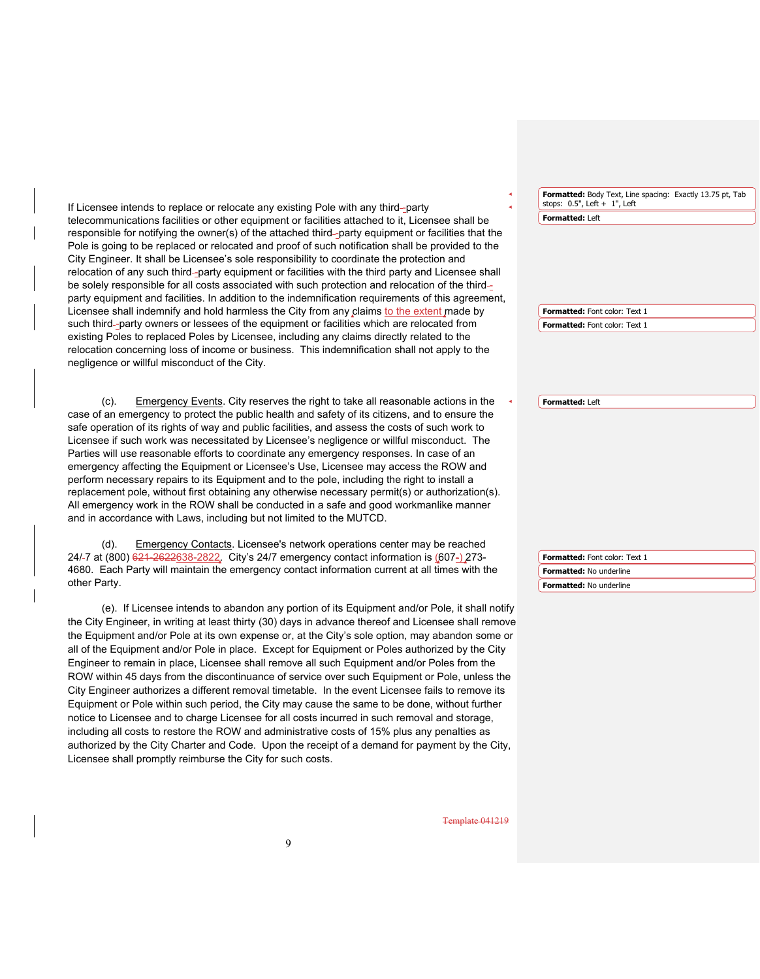If Licensee intends to replace or relocate any existing Pole with any third--party telecommunications facilities or other equipment or facilities attached to it, Licensee shall be responsible for notifying the owner(s) of the attached third-party equipment or facilities that the Pole is going to be replaced or relocated and proof of such notification shall be provided to the City Engineer. It shall be Licensee's sole responsibility to coordinate the protection and relocation of any such third-party equipment or facilities with the third party and Licensee shall be solely responsible for all costs associated with such protection and relocation of the thirdparty equipment and facilities. In addition to the indemnification requirements of this agreement, Licensee shall indemnify and hold harmless the City from any claims to the extent made by such third-party owners or lessees of the equipment or facilities which are relocated from existing Poles to replaced Poles by Licensee, including any claims directly related to the relocation concerning loss of income or business. This indemnification shall not apply to the negligence or willful misconduct of the City.

 (c). Emergency Events. City reserves the right to take all reasonable actions in the case of an emergency to protect the public health and safety of its citizens, and to ensure the safe operation of its rights of way and public facilities, and assess the costs of such work to Licensee if such work was necessitated by Licensee's negligence or willful misconduct. The Parties will use reasonable efforts to coordinate any emergency responses. In case of an emergency affecting the Equipment or Licensee's Use, Licensee may access the ROW and perform necessary repairs to its Equipment and to the pole, including the right to install a replacement pole, without first obtaining any otherwise necessary permit(s) or authorization(s). All emergency work in the ROW shall be conducted in a safe and good workmanlike manner and in accordance with Laws, including but not limited to the MUTCD.

 (d). Emergency Contacts. Licensee's network operations center may be reached 24/-7 at (800) 621-2622638-2822. City's 24/7 emergency contact information is (607-) 273-4680. Each Party will maintain the emergency contact information current at all times with the other Party.

 (e). If Licensee intends to abandon any portion of its Equipment and/or Pole, it shall notify the City Engineer, in writing at least thirty (30) days in advance thereof and Licensee shall remove the Equipment and/or Pole at its own expense or, at the City's sole option, may abandon some or all of the Equipment and/or Pole in place. Except for Equipment or Poles authorized by the City Engineer to remain in place, Licensee shall remove all such Equipment and/or Poles from the ROW within 45 days from the discontinuance of service over such Equipment or Pole, unless the City Engineer authorizes a different removal timetable. In the event Licensee fails to remove its Equipment or Pole within such period, the City may cause the same to be done, without further notice to Licensee and to charge Licensee for all costs incurred in such removal and storage, including all costs to restore the ROW and administrative costs of 15% plus any penalties as authorized by the City Charter and Code. Upon the receipt of a demand for payment by the City, Licensee shall promptly reimburse the City for such costs.

**Formatted:** Body Text, Line spacing: Exactly 13.75 pt, Tab stops: 0.5", Left + 1", Left **Formatted:** Left

**Formatted:** Font color: Text 1 **Formatted:** Font color: Text 1

**Formatted:** Left

**Formatted:** Font color: Text 1 **Formatted:** No underline **Formatted:** No underline

mplate 041219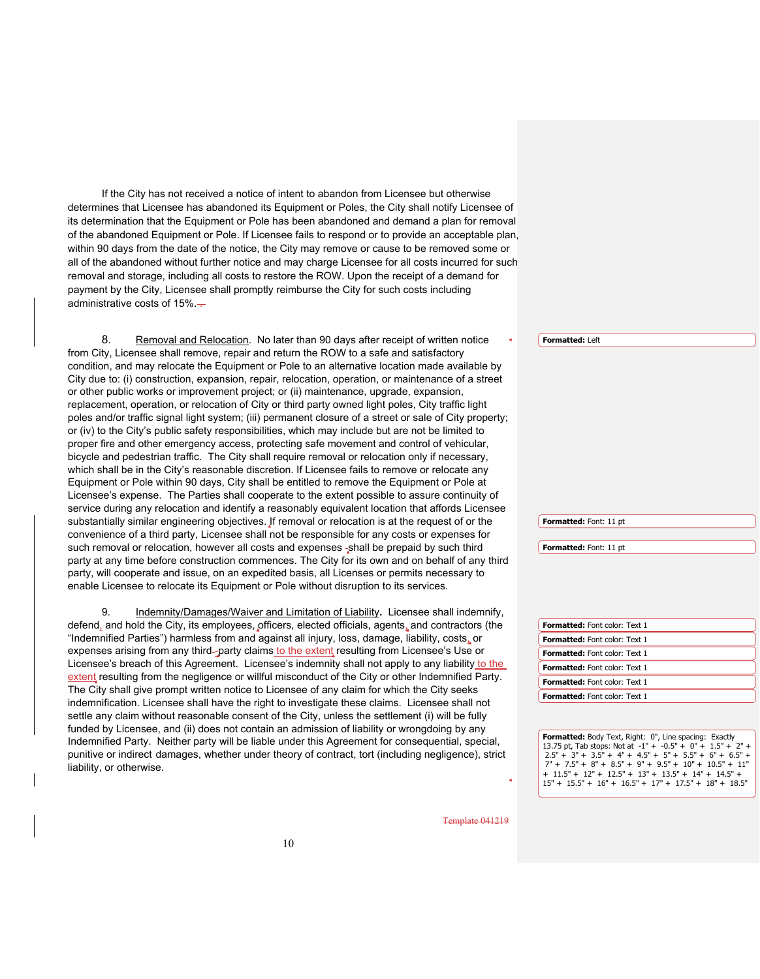If the City has not received a notice of intent to abandon from Licensee but otherwise determines that Licensee has abandoned its Equipment or Poles, the City shall notify Licensee of its determination that the Equipment or Pole has been abandoned and demand a plan for removal of the abandoned Equipment or Pole. If Licensee fails to respond or to provide an acceptable plan, within 90 days from the date of the notice, the City may remove or cause to be removed some or all of the abandoned without further notice and may charge Licensee for all costs incurred for such removal and storage, including all costs to restore the ROW. Upon the receipt of a demand for payment by the City, Licensee shall promptly reimburse the City for such costs including administrative costs of  $15\%$ .

8. Removal and Relocation. No later than 90 days after receipt of written notice from City, Licensee shall remove, repair and return the ROW to a safe and satisfactory condition, and may relocate the Equipment or Pole to an alternative location made available by City due to: (i) construction, expansion, repair, relocation, operation, or maintenance of a street or other public works or improvement project; or (ii) maintenance, upgrade, expansion, replacement, operation, or relocation of City or third party owned light poles, City traffic light poles and/or traffic signal light system; (iii) permanent closure of a street or sale of City property; or (iv) to the City's public safety responsibilities, which may include but are not be limited to proper fire and other emergency access, protecting safe movement and control of vehicular, bicycle and pedestrian traffic. The City shall require removal or relocation only if necessary, which shall be in the City's reasonable discretion. If Licensee fails to remove or relocate any Equipment or Pole within 90 days, City shall be entitled to remove the Equipment or Pole at Licensee's expense. The Parties shall cooperate to the extent possible to assure continuity of service during any relocation and identify a reasonably equivalent location that affords Licensee substantially similar engineering objectives. If removal or relocation is at the request of or the convenience of a third party, Licensee shall not be responsible for any costs or expenses for such removal or relocation, however all costs and expenses -shall be prepaid by such third party at any time before construction commences. The City for its own and on behalf of any third party, will cooperate and issue, on an expedited basis, all Licenses or permits necessary to enable Licensee to relocate its Equipment or Pole without disruption to its services.

9. Indemnity/Damages/Waiver and Limitation of Liability**.** Licensee shall indemnify, defend, and hold the City, its employees, officers, elected officials, agents, and contractors (the "Indemnified Parties") harmless from and against all injury, loss, damage, liability, costs, or expenses arising from any third-party claims to the extent resulting from Licensee's Use or Licensee's breach of this Agreement. Licensee's indemnity shall not apply to any liability to the extent resulting from the negligence or willful misconduct of the City or other Indemnified Party. The City shall give prompt written notice to Licensee of any claim for which the City seeks indemnification. Licensee shall have the right to investigate these claims. Licensee shall not settle any claim without reasonable consent of the City, unless the settlement (i) will be fully funded by Licensee, and (ii) does not contain an admission of liability or wrongdoing by any Indemnified Party. Neither party will be liable under this Agreement for consequential, special, punitive or indirect damages, whether under theory of contract, tort (including negligence), strict liability, or otherwise.

**Formatted:** Left

**Formatted:** Font: 11 pt

**Formatted:** Font: 11 pt

| <b>Formatted:</b> Font color: Text 1 |
|--------------------------------------|
| <b>Formatted:</b> Font color: Text 1 |
| <b>Formatted:</b> Font color: Text 1 |
| <b>Formatted:</b> Font color: Text 1 |
| <b>Formatted:</b> Font color: Text 1 |
| <b>Formatted:</b> Font color: Text 1 |

**Formatted:** Body Text, Right: 0", Line spacing: Exactly 13.75 pt, Tab stops: Not at  $-1'' + -0.5'' + 0'' + 1.5'' + 2'' + 2.5'' + 3'' + 3.5'' + 4'' + 4.5'' + 5'' + 5.5'' + 6'' + 6.5'' + 7'' + 7.5'' + 8'' + 8.5'' + 9'' + 9.5'' + 10'' + 10.5'' + 11''$ + 11.5" + 12" + 12.5" + 13" + 13.5" + 14" + 14.5" +  $15" + 15.5" + 16" + 16.5" + 17" + 17.5" + 18" + 18.5"$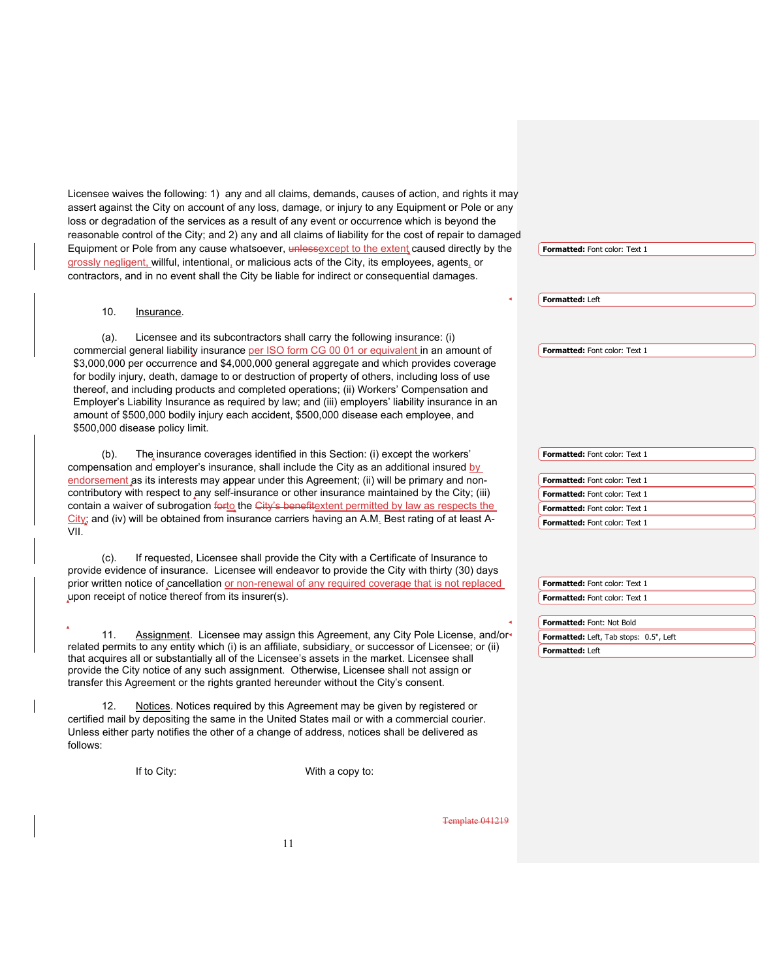Licensee waives the following: 1) any and all claims, demands, causes of action, and rights it may assert against the City on account of any loss, damage, or injury to any Equipment or Pole or any loss or degradation of the services as a result of any event or occurrence which is beyond the reasonable control of the City; and 2) any and all claims of liability for the cost of repair to damaged Equipment or Pole from any cause whatsoever, unlessexcept to the extent caused directly by the grossly negligent, willful, intentional, or malicious acts of the City, its employees, agents, or contractors, and in no event shall the City be liable for indirect or consequential damages. 10. Insurance. (a). Licensee and its subcontractors shall carry the following insurance: (i) commercial general liability insurance per ISO form CG 00 01 or equivalent in an amount of \$3,000,000 per occurrence and \$4,000,000 general aggregate and which provides coverage for bodily injury, death, damage to or destruction of property of others, including loss of use thereof, and including products and completed operations; (ii) Workers' Compensation and Employer's Liability Insurance as required by law; and (iii) employers' liability insurance in an amount of \$500,000 bodily injury each accident, \$500,000 disease each employee, and \$500,000 disease policy limit. (b). The insurance coverages identified in this Section: (i) except the workers' compensation and employer's insurance, shall include the City as an additional insured by endorsement as its interests may appear under this Agreement; (ii) will be primary and noncontributory with respect to any self-insurance or other insurance maintained by the City; (iii) contain a waiver of subrogation forto the City's benefitextent permitted by law as respects the  $City$ ; and (iv) will be obtained from insurance carriers having an A.M. Best rating of at least A-VII. (c). If requested, Licensee shall provide the City with a Certificate of Insurance to provide evidence of insurance. Licensee will endeavor to provide the City with thirty (30) days prior written notice of cancellation or non-renewal of any required coverage that is not replaced upon receipt of notice thereof from its insurer(s). 11. Assignment. Licensee may assign this Agreement, any City Pole License, and/orrelated permits to any entity which (i) is an affiliate, subsidiary, or successor of Licensee; or (ii) that acquires all or substantially all of the Licensee's assets in the market. Licensee shall provide the City notice of any such assignment. Otherwise, Licensee shall not assign or transfer this Agreement or the rights granted hereunder without the City's consent. 12. Notices. Notices required by this Agreement may be given by registered or certified mail by depositing the same in the United States mail or with a commercial courier. Unless either party notifies the other of a change of address, notices shall be delivered as follows: **Formatted:** Font color: Text 1 **Formatted:** Left **Formatted:** Font color: Text 1 **Formatted:** Font color: Text 1 **Formatted:** Font color: Text 1 **Formatted:** Font color: Text 1 **Formatted:** Font color: Text 1 **Formatted:** Font color: Text 1 **Formatted:** Font color: Text 1 **Formatted:** Font color: Text 1 **Formatted:** Font: Not Bold **Formatted:** Left, Tab stops: 0.5", Left **Formatted:** Left

If to City: With a copy to: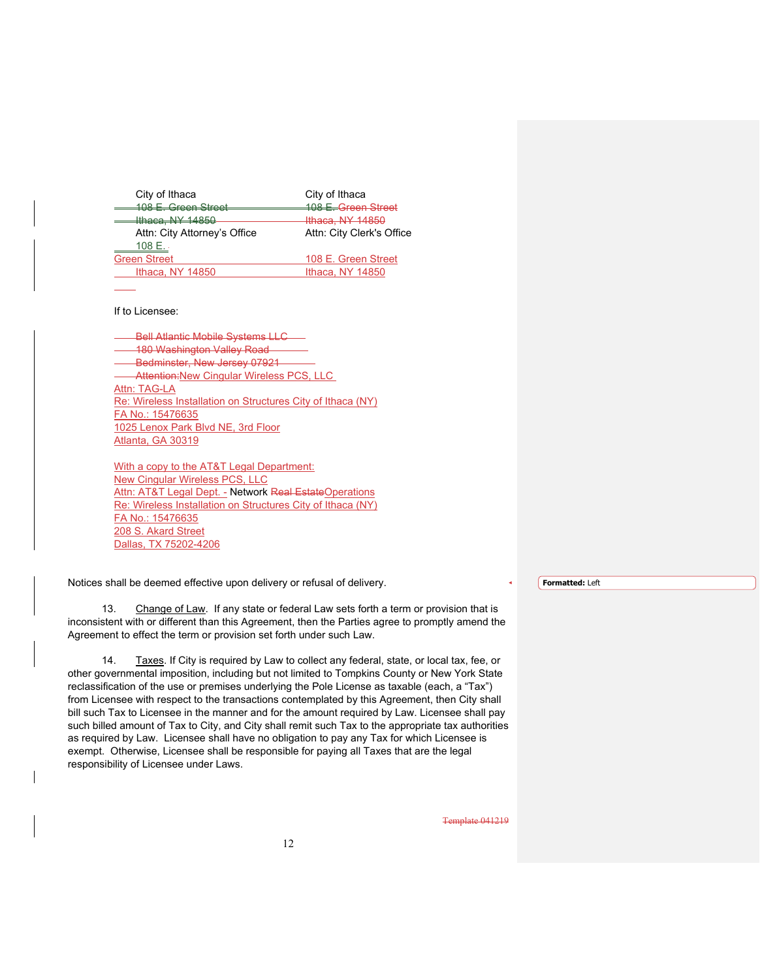| City of Ithaca                                      | City of Ithaca              |
|-----------------------------------------------------|-----------------------------|
| 108 E. Green Street                                 | 108 E. Green Street         |
| $Ithaca$ NIV 14850<br><del>181253, 191 - 1980</del> | <del>Ithaca, NY 14850</del> |
| Attn: City Attorney's Office                        | Attn: City Clerk's Office   |
| 108 E.                                              |                             |
| <b>Green Street</b>                                 | 108 E. Green Street         |
| Ithaca, NY 14850                                    | Ithaca, NY 14850            |
|                                                     |                             |

If to Licensee:

Bell Atlantic Mobile Systems LLC 180 Washington Valley Road Bedminster, New Jersey 07921 Attention: New Cingular Wireless PCS, LLC Attn: TAG-LA Re: Wireless Installation on Structures City of Ithaca (NY) FA No.: 15476635 1025 Lenox Park Blvd NE, 3rd Floor Atlanta, GA 30319

With a copy to the AT&T Legal Department: New Cingular Wireless PCS, LLC Attn: AT&T Legal Dept. - Network Real EstateOperations Re: Wireless Installation on Structures City of Ithaca (NY) FA No.: 15476635 208 S. Akard Street Dallas, TX 75202-4206

Notices shall be deemed effective upon delivery or refusal of delivery.

13. Change of Law. If any state or federal Law sets forth a term or provision that is inconsistent with or different than this Agreement, then the Parties agree to promptly amend the Agreement to effect the term or provision set forth under such Law.

14. Taxes. If City is required by Law to collect any federal, state, or local tax, fee, or other governmental imposition, including but not limited to Tompkins County or New York State reclassification of the use or premises underlying the Pole License as taxable (each, a "Tax") from Licensee with respect to the transactions contemplated by this Agreement, then City shall bill such Tax to Licensee in the manner and for the amount required by Law. Licensee shall pay such billed amount of Tax to City, and City shall remit such Tax to the appropriate tax authorities as required by Law. Licensee shall have no obligation to pay any Tax for which Licensee is exempt. Otherwise, Licensee shall be responsible for paying all Taxes that are the legal responsibility of Licensee under Laws.

Template 041219

**Formatted:** Left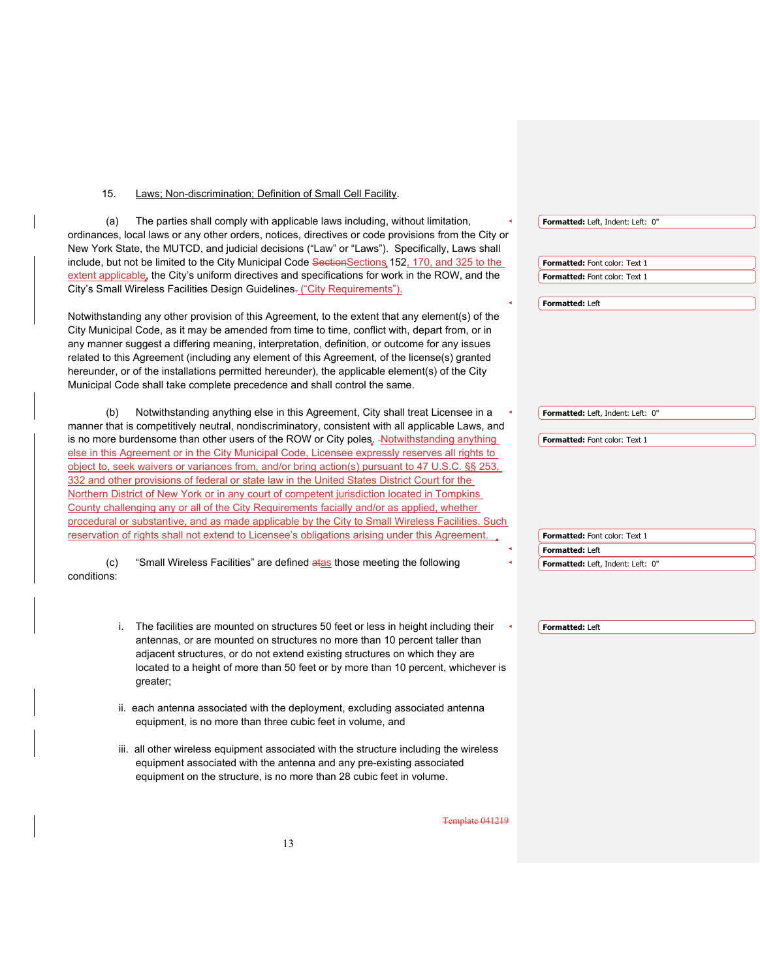15. Laws; Non-discrimination; Definition of Small Cell Facility.

(a) The parties shall comply with applicable laws including, without limitation, ordinances, local laws or any other orders, notices, directives or code provisions from the City or New York State, the MUTCD, and judicial decisions ("Law" or "Laws"). Specifically, Laws shall include, but not be limited to the City Municipal Code SectionSections 152, 170, and 325 to the extent applicable, the City's uniform directives and specifications for work in the ROW, and the City's Small Wireless Facilities Design Guidelines- ("City Requirements"). Notwithstanding any other provision of this Agreement, to the extent that any element(s) of the City Municipal Code, as it may be amended from time to time, conflict with, depart from, or in any manner suggest a differing meaning, interpretation, definition, or outcome for any issues related to this Agreement (including any element of this Agreement, of the license(s) granted hereunder, or of the installations permitted hereunder), the applicable element(s) of the City Municipal Code shall take complete precedence and shall control the same. (b) Notwithstanding anything else in this Agreement, City shall treat Licensee in a manner that is competitively neutral, nondiscriminatory, consistent with all applicable Laws, and is no more burdensome than other users of the ROW or City poles. - Notwithstanding anything else in this Agreement or in the City Municipal Code, Licensee expressly reserves all rights to object to, seek waivers or variances from, and/or bring action(s) pursuant to 47 U.S.C. §§ 253, 332 and other provisions of federal or state law in the United States District Court for the Northern District of New York or in any court of competent jurisdiction located in Tompkins County challenging any or all of the City Requirements facially and/or as applied, whether procedural or substantive, and as made applicable by the City to Small Wireless Facilities. Such reservation of rights shall not extend to Licensee's obligations arising under this Agreement. (c) "Small Wireless Facilities" are defined atas those meeting the following conditions: i. The facilities are mounted on structures 50 feet or less in height including their antennas, or are mounted on structures no more than 10 percent taller than adjacent structures, or do not extend existing structures on which they are located to a height of more than 50 feet or by more than 10 percent, whichever is greater; **Formatted:** Left, Indent: Left: 0" **Formatted:** Font color: Text 1 **Formatted:** Font color: Text 1 **Formatted:** Left **Formatted:** Left, Indent: Left: 0" **Formatted:** Font color: Text 1 **Formatted:** Font color: Text 1 **Formatted:** Left **Formatted:** Left, Indent: Left: 0" **Formatted:** Left

- ii. each antenna associated with the deployment, excluding associated antenna equipment, is no more than three cubic feet in volume, and
- iii. all other wireless equipment associated with the structure including the wireless equipment associated with the antenna and any pre-existing associated equipment on the structure, is no more than 28 cubic feet in volume.

nplate 041219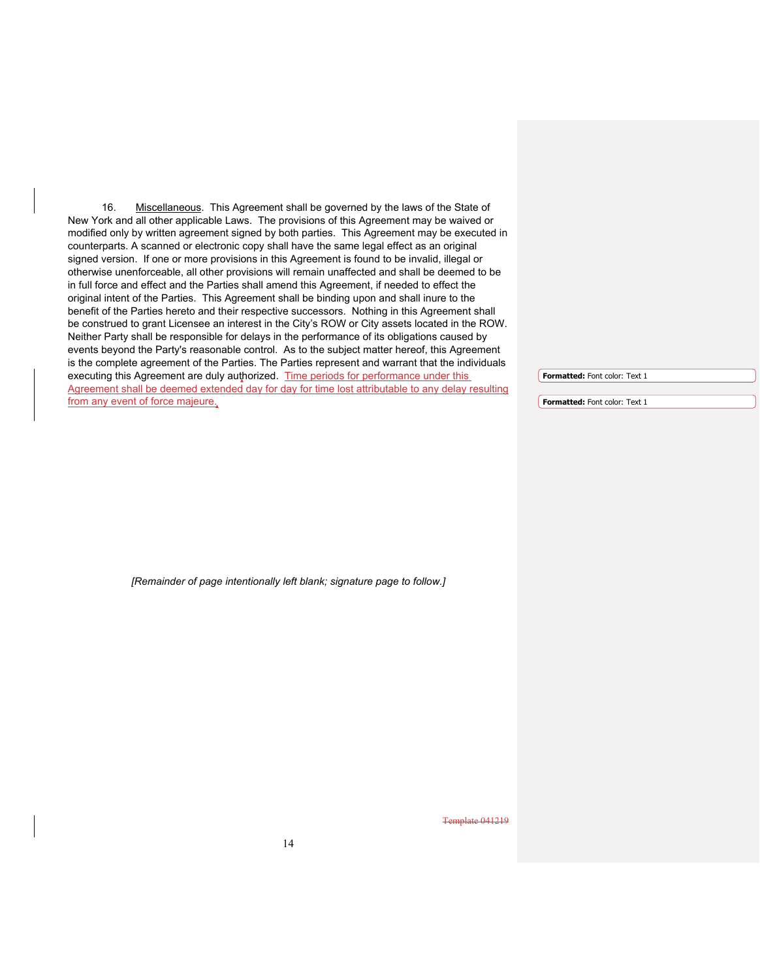16. Miscellaneous. This Agreement shall be governed by the laws of the State of New York and all other applicable Laws. The provisions of this Agreement may be waived or modified only by written agreement signed by both parties. This Agreement may be executed in counterparts. A scanned or electronic copy shall have the same legal effect as an original signed version. If one or more provisions in this Agreement is found to be invalid, illegal or otherwise unenforceable, all other provisions will remain unaffected and shall be deemed to be in full force and effect and the Parties shall amend this Agreement, if needed to effect the original intent of the Parties. This Agreement shall be binding upon and shall inure to the benefit of the Parties hereto and their respective successors. Nothing in this Agreement shall be construed to grant Licensee an interest in the City's ROW or City assets located in the ROW. Neither Party shall be responsible for delays in the performance of its obligations caused by events beyond the Party's reasonable control. As to the subject matter hereof, this Agreement is the complete agreement of the Parties. The Parties represent and warrant that the individuals executing this Agreement are duly authorized. Time periods for performance under this Agreement shall be deemed extended day for day for time lost attributable to any delay resulting from any event of force majeure.

**Formatted:** Font color: Text 1

**Formatted:** Font color: Text 1

*[Remainder of page intentionally left blank; signature page to follow.]*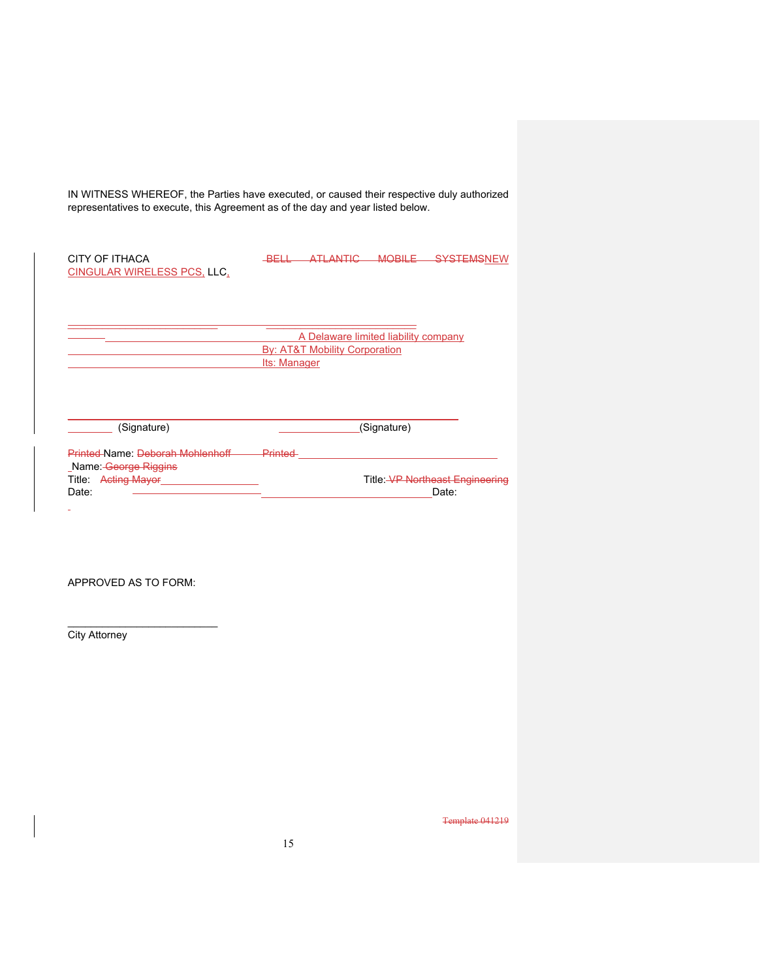IN WITNESS WHEREOF, the Parties have executed, or caused their respective duly authorized representatives to execute, this Agreement as of the day and year listed below.

| CITY OF ITHACA<br><b>CINGULAR WIRELESS PCS, LLC,</b>                                               | <b>ATI ANTIC</b><br><b>MOBILE</b><br><b>SYSTEMSNEW</b><br><u>RELI</u>                            |
|----------------------------------------------------------------------------------------------------|--------------------------------------------------------------------------------------------------|
|                                                                                                    | A Delaware limited liability company<br><b>By: AT&amp;T Mobility Corporation</b><br>Its: Manager |
| (Signature)                                                                                        | (Signature)                                                                                      |
| Printed-Name: Deborah Mohlenhoff<br>Name: George Riggins<br><b>Acting Mayor</b><br>Title:<br>Date: | Printed<br>Title: VP Northeast Engineering<br>Date:                                              |

APPROVED AS TO FORM:

 $\overline{\phantom{a}}$  , where  $\overline{\phantom{a}}$  , where  $\overline{\phantom{a}}$  , where  $\overline{\phantom{a}}$ 

**City Attorney**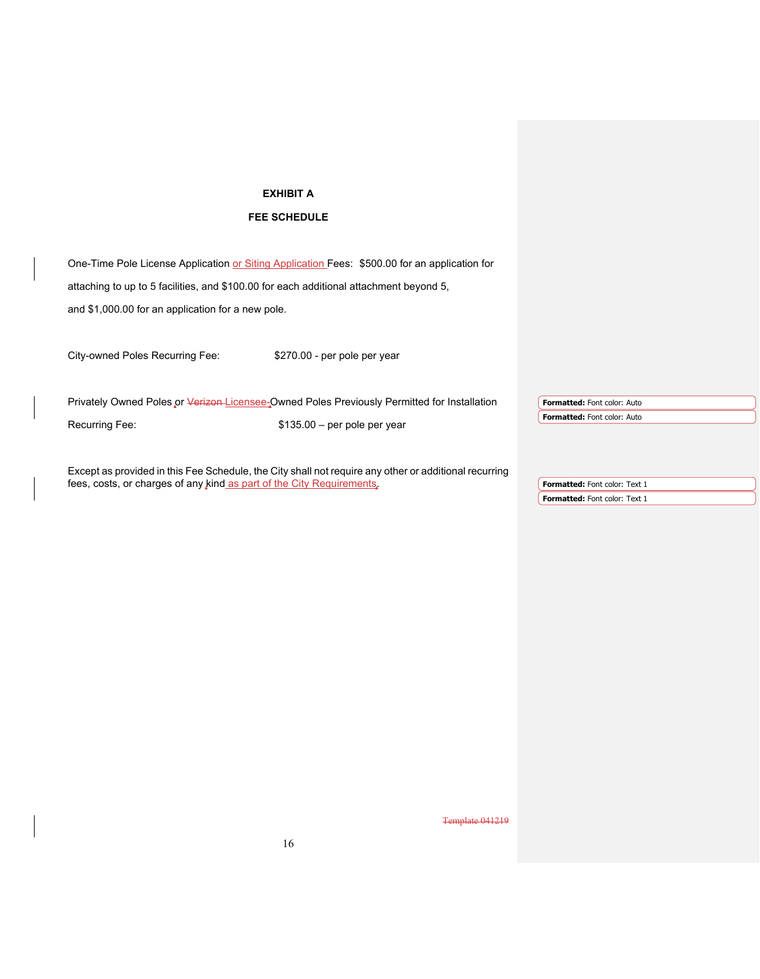### **EXHIBIT A**

### **FEE SCHEDULE**

One-Time Pole License Application or Siting Application Fees: \$500.00 for an application for

attaching to up to 5 facilities, and \$100.00 for each additional attachment beyond 5,

and \$1,000.00 for an application for a new pole.

City-owned Poles Recurring Fee: \$270.00 - per pole per year

| Privately Owned Poles or Verizen-Licensee-Owned Poles Previously Permitted for Installation |                               |  | <b>Formatted:</b> Font color: Auto |
|---------------------------------------------------------------------------------------------|-------------------------------|--|------------------------------------|
|                                                                                             |                               |  | <b>Formatted:</b> Font color: Auto |
| Recurring Fee:                                                                              | $$135.00 - per pole per year$ |  |                                    |
|                                                                                             |                               |  |                                    |

Except as provided in this Fee Schedule, the City shall not require any other or additional recurring fees, costs, or charges of any kind as part of the City Requirements.

**Formatted:** Font color: Text 1 **Formatted:** Font color: Text 1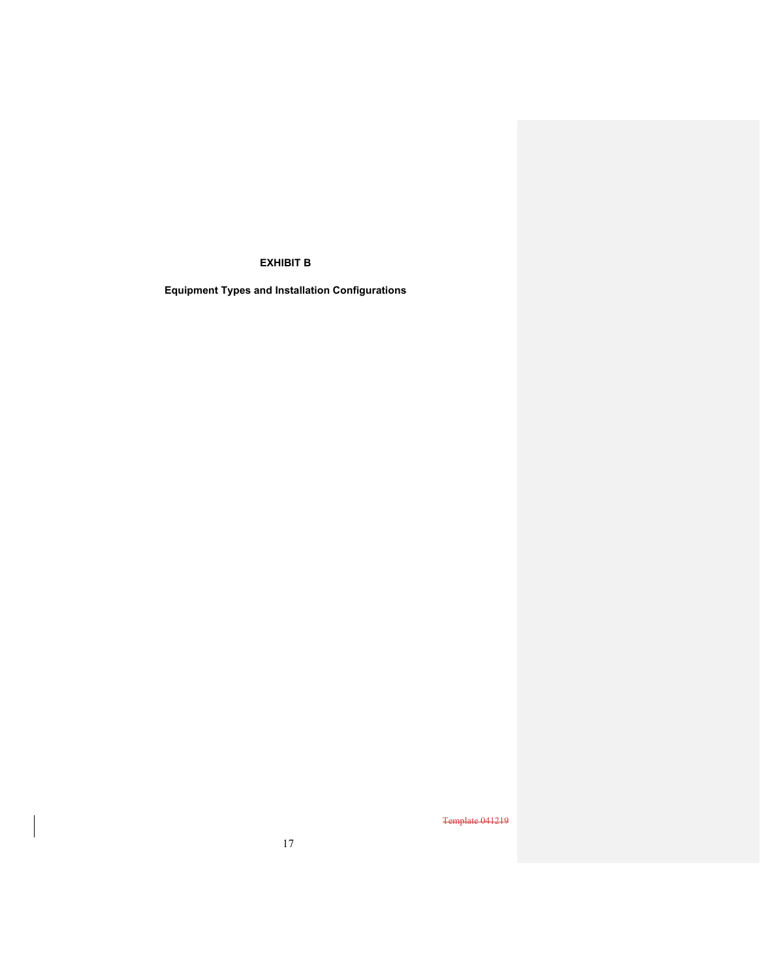### **EXHIBIT B**

**Equipment Types and Installation Configurations**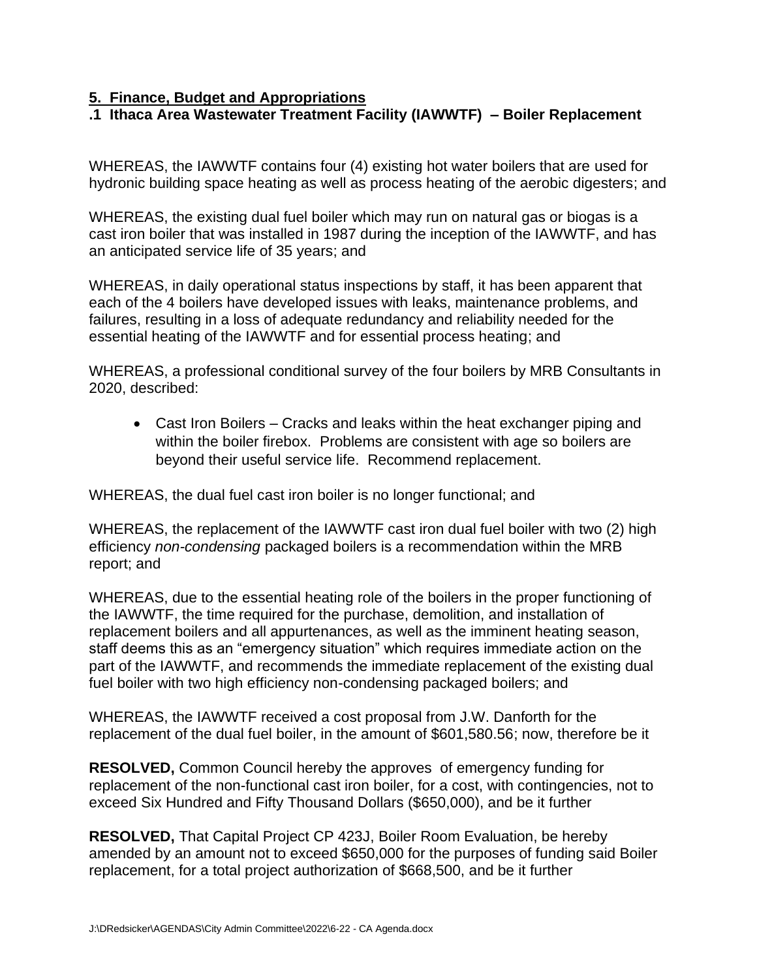# **5. Finance, Budget and Appropriations**

# **.1 Ithaca Area Wastewater Treatment Facility (IAWWTF) – Boiler Replacement**

WHEREAS, the IAWWTF contains four (4) existing hot water boilers that are used for hydronic building space heating as well as process heating of the aerobic digesters; and

WHEREAS, the existing dual fuel boiler which may run on natural gas or biogas is a cast iron boiler that was installed in 1987 during the inception of the IAWWTF, and has an anticipated service life of 35 years; and

WHEREAS, in daily operational status inspections by staff, it has been apparent that each of the 4 boilers have developed issues with leaks, maintenance problems, and failures, resulting in a loss of adequate redundancy and reliability needed for the essential heating of the IAWWTF and for essential process heating; and

WHEREAS, a professional conditional survey of the four boilers by MRB Consultants in 2020, described:

• Cast Iron Boilers – Cracks and leaks within the heat exchanger piping and within the boiler firebox. Problems are consistent with age so boilers are beyond their useful service life. Recommend replacement.

WHEREAS, the dual fuel cast iron boiler is no longer functional; and

WHEREAS, the replacement of the IAWWTF cast iron dual fuel boiler with two (2) high efficiency *non-condensing* packaged boilers is a recommendation within the MRB report; and

WHEREAS, due to the essential heating role of the boilers in the proper functioning of the IAWWTF, the time required for the purchase, demolition, and installation of replacement boilers and all appurtenances, as well as the imminent heating season, staff deems this as an "emergency situation" which requires immediate action on the part of the IAWWTF, and recommends the immediate replacement of the existing dual fuel boiler with two high efficiency non-condensing packaged boilers; and

WHEREAS, the IAWWTF received a cost proposal from J.W. Danforth for the replacement of the dual fuel boiler, in the amount of \$601,580.56; now, therefore be it

**RESOLVED,** Common Council hereby the approves of emergency funding for replacement of the non-functional cast iron boiler, for a cost, with contingencies, not to exceed Six Hundred and Fifty Thousand Dollars (\$650,000), and be it further

**RESOLVED,** That Capital Project CP 423J, Boiler Room Evaluation, be hereby amended by an amount not to exceed \$650,000 for the purposes of funding said Boiler replacement, for a total project authorization of \$668,500, and be it further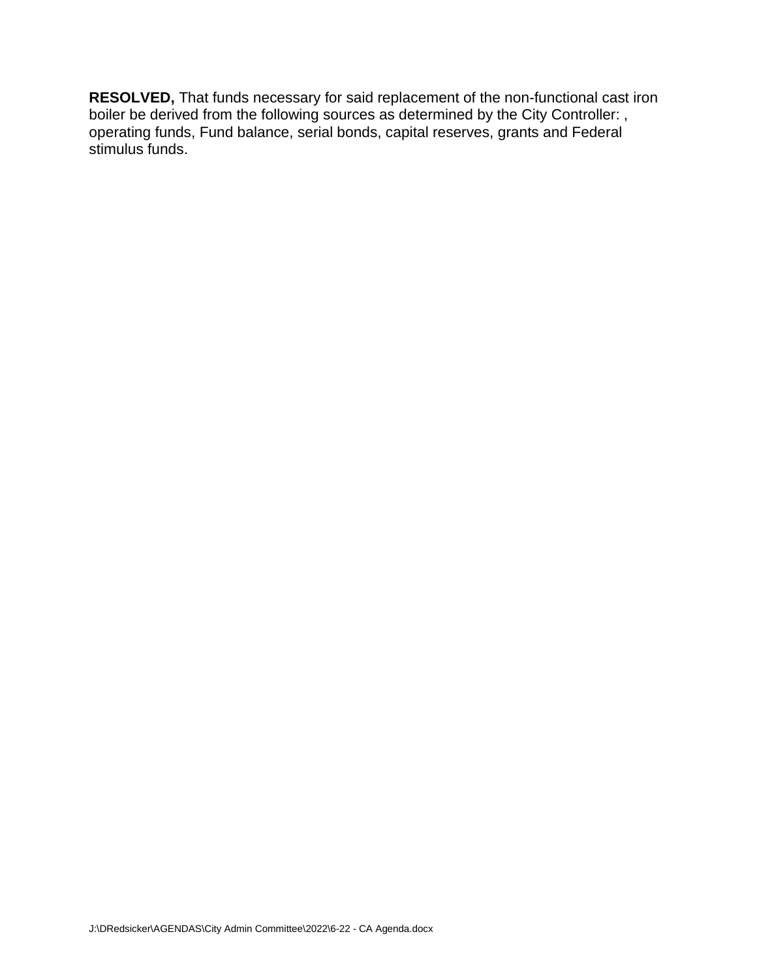**RESOLVED,** That funds necessary for said replacement of the non-functional cast iron boiler be derived from the following sources as determined by the City Controller: , operating funds, Fund balance, serial bonds, capital reserves, grants and Federal stimulus funds.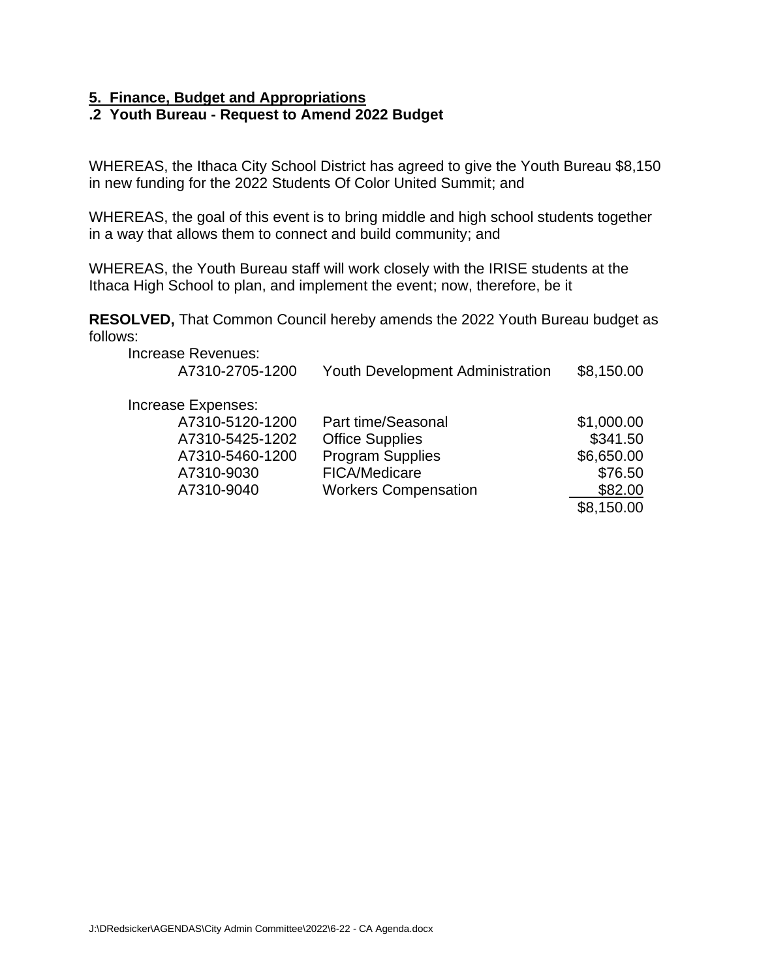# **5. Finance, Budget and Appropriations**

# **.2 Youth Bureau - Request to Amend 2022 Budget**

WHEREAS, the Ithaca City School District has agreed to give the Youth Bureau \$8,150 in new funding for the 2022 Students Of Color United Summit; and

WHEREAS, the goal of this event is to bring middle and high school students together in a way that allows them to connect and build community; and

WHEREAS, the Youth Bureau staff will work closely with the IRISE students at the Ithaca High School to plan, and implement the event; now, therefore, be it

**RESOLVED,** That Common Council hereby amends the 2022 Youth Bureau budget as follows:

| <b>Increase Revenues:</b><br>A7310-2705-1200 | <b>Youth Development Administration</b> | \$8,150.00 |
|----------------------------------------------|-----------------------------------------|------------|
| Increase Expenses:                           |                                         |            |
| A7310-5120-1200                              | Part time/Seasonal                      | \$1,000.00 |
| A7310-5425-1202                              | <b>Office Supplies</b>                  | \$341.50   |
| A7310-5460-1200                              | <b>Program Supplies</b>                 | \$6,650.00 |
| A7310-9030                                   | FICA/Medicare                           | \$76.50    |
| A7310-9040                                   | <b>Workers Compensation</b>             | \$82.00    |
|                                              |                                         | \$8,150.00 |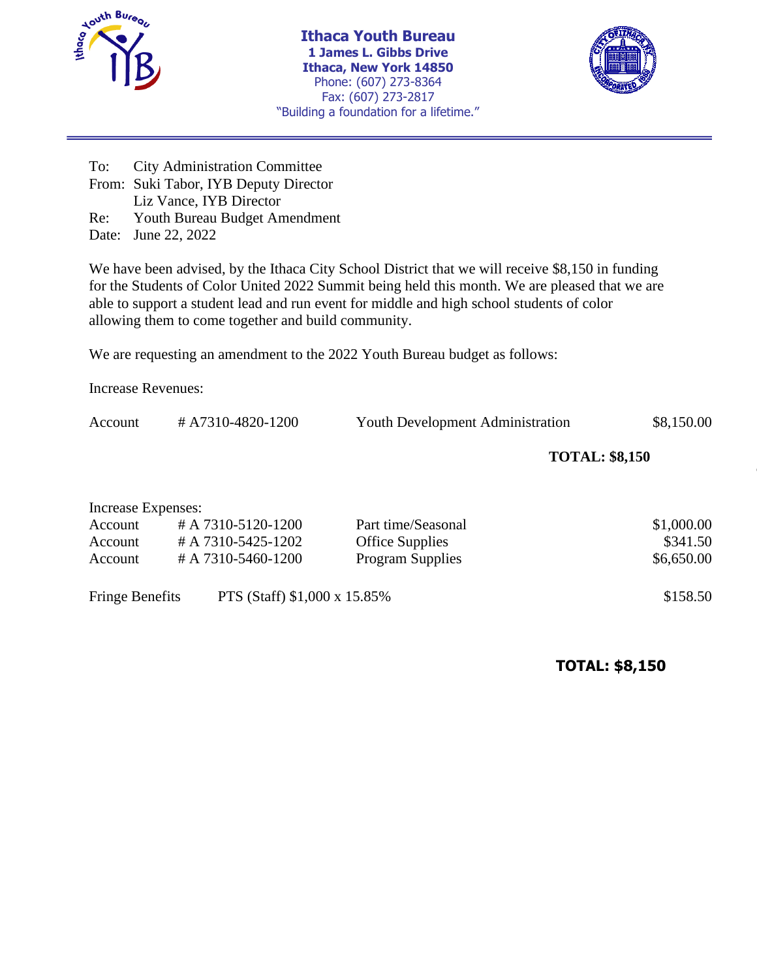

**Ithaca Youth Bureau 1 James L. Gibbs Drive Ithaca, New York 14850** Phone: (607) 273-8364 Fax: (607) 273-2817 "Building a foundation for a lifetime."



To: City Administration Committee From: Suki Tabor, IYB Deputy Director Liz Vance, IYB Director Re: Youth Bureau Budget Amendment Date: June 22, 2022

We have been advised, by the Ithaca City School District that we will receive \$8,150 in funding for the Students of Color United 2022 Summit being held this month. We are pleased that we are able to support a student lead and run event for middle and high school students of color allowing them to come together and build community.

We are requesting an amendment to the 2022 Youth Bureau budget as follows:

Increase Revenues:

Account # A7310-4820-1200 Youth Development Administration \$8,150.00

**TOTAL: \$8,150**

| Increase Expenses:     |                              |                         |            |
|------------------------|------------------------------|-------------------------|------------|
| Account                | #A 7310-5120-1200            | Part time/Seasonal      | \$1,000.00 |
| Account                | # A 7310-5425-1202           | <b>Office Supplies</b>  | \$341.50   |
| Account                | # A 7310-5460-1200           | <b>Program Supplies</b> | \$6,650.00 |
| <b>Fringe Benefits</b> | PTS (Staff) \$1,000 x 15.85% |                         | \$158.50   |

**TOTAL: \$8,150**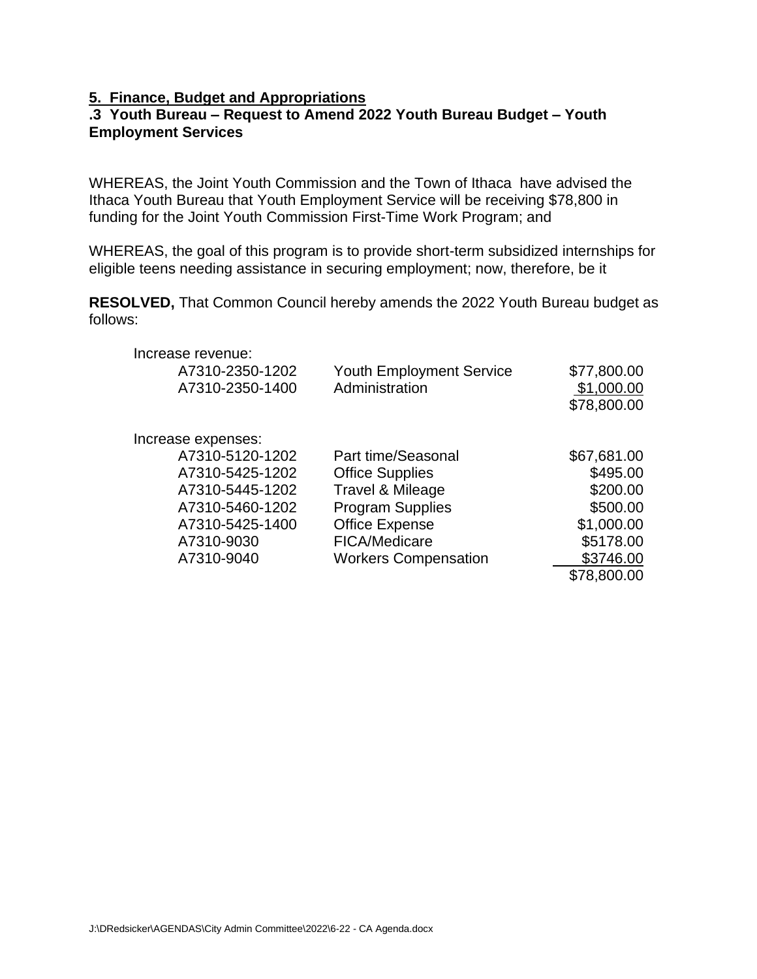# **5. Finance, Budget and Appropriations**

# **.3 Youth Bureau – Request to Amend 2022 Youth Bureau Budget – Youth Employment Services**

WHEREAS, the Joint Youth Commission and the Town of Ithaca have advised the Ithaca Youth Bureau that Youth Employment Service will be receiving \$78,800 in funding for the Joint Youth Commission First-Time Work Program; and

WHEREAS, the goal of this program is to provide short-term subsidized internships for eligible teens needing assistance in securing employment; now, therefore, be it

**RESOLVED,** That Common Council hereby amends the 2022 Youth Bureau budget as follows:

| Increase revenue:  |                                 |             |
|--------------------|---------------------------------|-------------|
| A7310-2350-1202    | <b>Youth Employment Service</b> | \$77,800.00 |
| A7310-2350-1400    | Administration                  | \$1,000.00  |
|                    |                                 | \$78,800.00 |
| Increase expenses: |                                 |             |
| A7310-5120-1202    | Part time/Seasonal              | \$67,681.00 |
| A7310-5425-1202    | <b>Office Supplies</b>          | \$495.00    |
| A7310-5445-1202    | Travel & Mileage                | \$200.00    |
| A7310-5460-1202    | <b>Program Supplies</b>         | \$500.00    |
| A7310-5425-1400    | <b>Office Expense</b>           | \$1,000.00  |
| A7310-9030         | <b>FICA/Medicare</b>            | \$5178.00   |
| A7310-9040         | <b>Workers Compensation</b>     | \$3746.00   |
|                    |                                 | \$78,800.00 |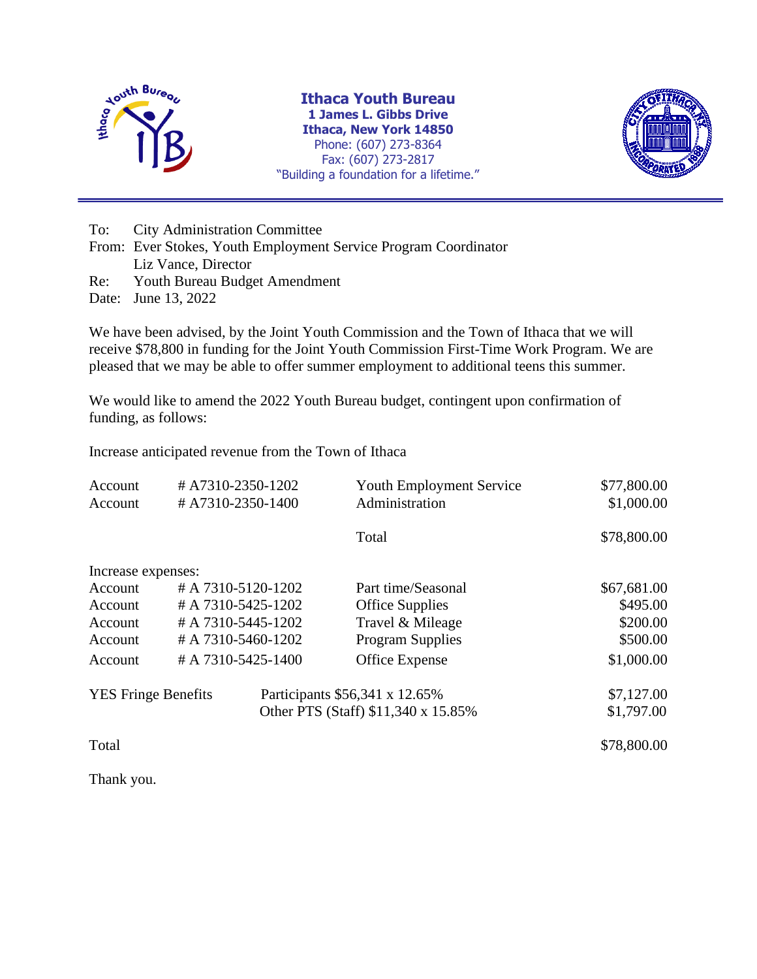

**Ithaca Youth Bureau 1 James L. Gibbs Drive Ithaca, New York 14850** Phone: (607) 273-8364 Fax: (607) 273-2817 "Building a foundation for a lifetime."



To: City Administration Committee

From: Ever Stokes, Youth Employment Service Program Coordinator Liz Vance, Director Re: Youth Bureau Budget Amendment

Date: June 13, 2022

We have been advised, by the Joint Youth Commission and the Town of Ithaca that we will receive \$78,800 in funding for the Joint Youth Commission First-Time Work Program. We are pleased that we may be able to offer summer employment to additional teens this summer.

We would like to amend the 2022 Youth Bureau budget, contingent upon confirmation of funding, as follows:

Increase anticipated revenue from the Town of Ithaca

| Account<br>Account         | #A7310-2350-1202<br>#A7310-2350-1400 | <b>Youth Employment Service</b><br>Administration | \$77,800.00<br>\$1,000.00 |
|----------------------------|--------------------------------------|---------------------------------------------------|---------------------------|
|                            |                                      | Total                                             | \$78,800.00               |
| Increase expenses:         |                                      |                                                   |                           |
| Account                    | $#A 7310 - 5120 - 1202$              | Part time/Seasonal                                | \$67,681.00               |
| Account                    | #A 7310-5425-1202                    | <b>Office Supplies</b>                            | \$495.00                  |
| Account                    | #A 7310-5445-1202                    | Travel & Mileage                                  | \$200.00                  |
| Account                    | #A 7310-5460-1202                    | <b>Program Supplies</b>                           | \$500.00                  |
| Account                    | #A 7310-5425-1400                    | Office Expense                                    | \$1,000.00                |
| <b>YES</b> Fringe Benefits |                                      | Participants \$56,341 x 12.65%                    | \$7,127.00                |
|                            |                                      | Other PTS (Staff) \$11,340 x 15.85%               | \$1,797.00                |
| Total                      |                                      |                                                   | \$78,800.00               |

Thank you.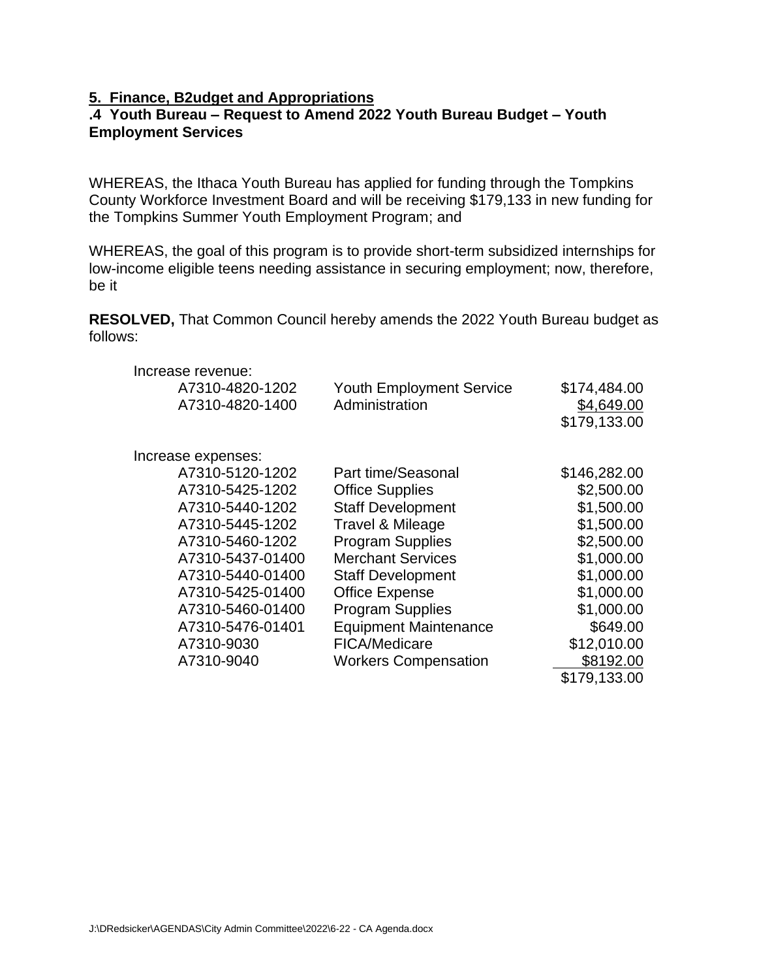## **5. Finance, B2udget and Appropriations**

# **.4 Youth Bureau – Request to Amend 2022 Youth Bureau Budget – Youth Employment Services**

WHEREAS, the Ithaca Youth Bureau has applied for funding through the Tompkins County Workforce Investment Board and will be receiving \$179,133 in new funding for the Tompkins Summer Youth Employment Program; and

WHEREAS, the goal of this program is to provide short-term subsidized internships for low-income eligible teens needing assistance in securing employment; now, therefore, be it

**RESOLVED,** That Common Council hereby amends the 2022 Youth Bureau budget as follows:

| A7310-4820-1202                                       |            |
|-------------------------------------------------------|------------|
| <b>Youth Employment Service</b><br>\$174,484.00       |            |
| A7310-4820-1400<br>Administration                     | \$4,649.00 |
| \$179,133.00                                          |            |
|                                                       |            |
| Increase expenses:                                    |            |
| A7310-5120-1202<br>Part time/Seasonal<br>\$146,282.00 |            |
| A7310-5425-1202<br><b>Office Supplies</b>             | \$2,500.00 |
| A7310-5440-1202<br><b>Staff Development</b>           | \$1,500.00 |
| A7310-5445-1202<br>Travel & Mileage                   | \$1,500.00 |
| <b>Program Supplies</b><br>A7310-5460-1202            | \$2,500.00 |
| <b>Merchant Services</b><br>A7310-5437-01400          | \$1,000.00 |
| A7310-5440-01400<br><b>Staff Development</b>          | \$1,000.00 |
| A7310-5425-01400<br><b>Office Expense</b>             | \$1,000.00 |
| A7310-5460-01400<br><b>Program Supplies</b>           | \$1,000.00 |
| A7310-5476-01401<br><b>Equipment Maintenance</b>      | \$649.00   |
| \$12,010.00<br>A7310-9030<br><b>FICA/Medicare</b>     |            |
| A7310-9040<br><b>Workers Compensation</b>             | \$8192.00  |
| \$179,133.00                                          |            |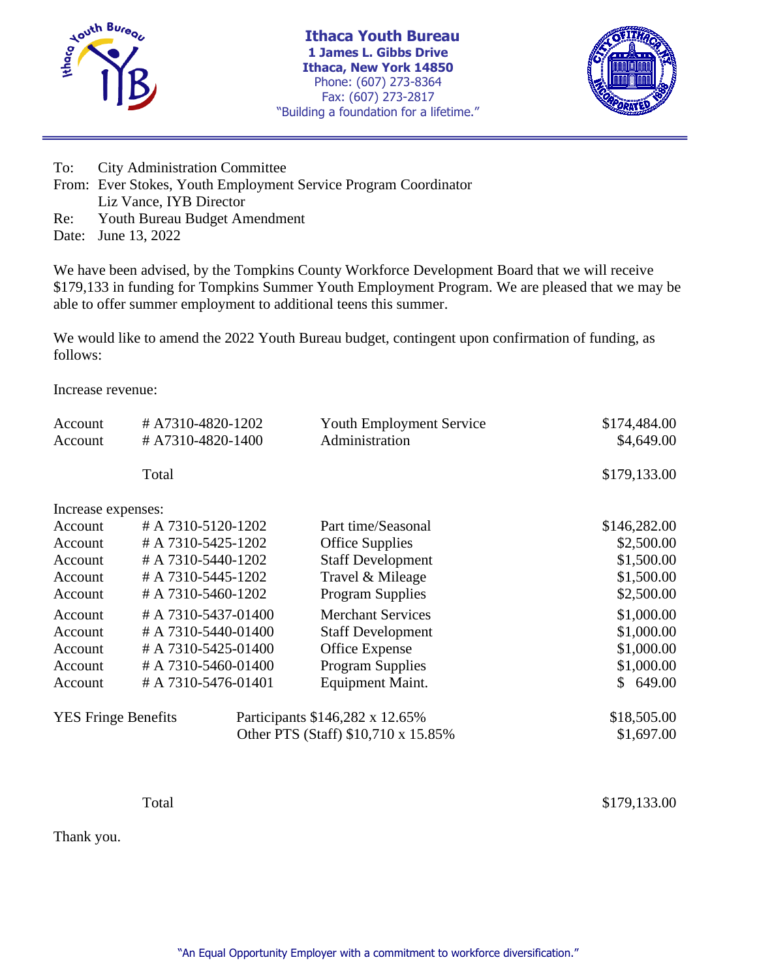

**Ithaca Youth Bureau 1 James L. Gibbs Drive Ithaca, New York 14850** Phone: (607) 273-8364 Fax: (607) 273-2817 "Building a foundation for a lifetime."



To: City Administration Committee From: Ever Stokes, Youth Employment Service Program Coordinator Liz Vance, IYB Director Re: Youth Bureau Budget Amendment

Date: June 13, 2022

We have been advised, by the Tompkins County Workforce Development Board that we will receive \$179,133 in funding for Tompkins Summer Youth Employment Program. We are pleased that we may be able to offer summer employment to additional teens this summer.

We would like to amend the 2022 Youth Bureau budget, contingent upon confirmation of funding, as follows:

Increase revenue:

| Account                    | #A7310-4820-1202    | Youth Employment Service            | \$174,484.00 |
|----------------------------|---------------------|-------------------------------------|--------------|
| Account                    | #A7310-4820-1400    | Administration                      | \$4,649.00   |
|                            | Total               |                                     | \$179,133.00 |
| Increase expenses:         |                     |                                     |              |
| Account                    | #A 7310-5120-1202   | Part time/Seasonal                  | \$146,282.00 |
| Account                    | #A 7310-5425-1202   | <b>Office Supplies</b>              | \$2,500.00   |
| Account                    | # A 7310-5440-1202  | <b>Staff Development</b>            | \$1,500.00   |
| Account                    | # A 7310-5445-1202  | Travel & Mileage                    | \$1,500.00   |
| Account                    | # A 7310-5460-1202  | <b>Program Supplies</b>             | \$2,500.00   |
| Account                    | # A 7310-5437-01400 | <b>Merchant Services</b>            | \$1,000.00   |
| Account                    | # A 7310-5440-01400 | <b>Staff Development</b>            | \$1,000.00   |
| Account                    | # A 7310-5425-01400 | Office Expense                      | \$1,000.00   |
| Account                    | # A 7310-5460-01400 | <b>Program Supplies</b>             | \$1,000.00   |
| Account                    | # A 7310-5476-01401 | Equipment Maint.                    | \$649.00     |
| <b>YES Fringe Benefits</b> |                     | Participants \$146,282 x 12.65%     | \$18,505.00  |
|                            |                     | Other PTS (Staff) \$10,710 x 15.85% | \$1,697.00   |

Total \$179,133.00

Thank you.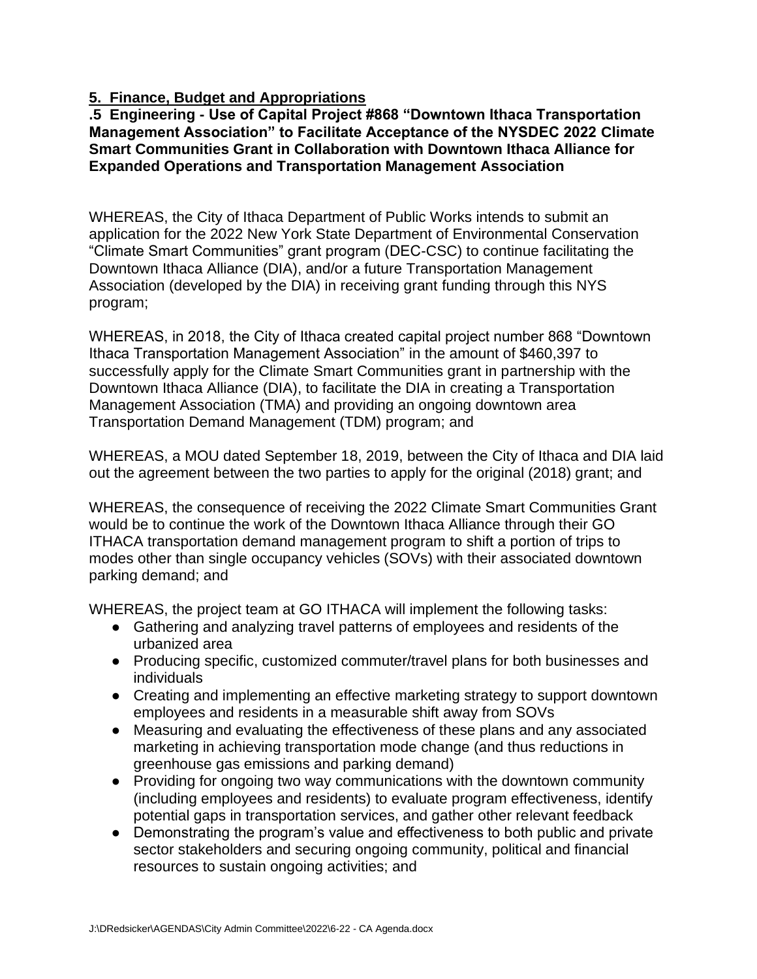# **5. Finance, Budget and Appropriations**

**.5 Engineering - Use of Capital Project #868 "Downtown Ithaca Transportation Management Association" to Facilitate Acceptance of the NYSDEC 2022 Climate Smart Communities Grant in Collaboration with Downtown Ithaca Alliance for Expanded Operations and Transportation Management Association**

WHEREAS, the City of Ithaca Department of Public Works intends to submit an application for the 2022 New York State Department of Environmental Conservation "Climate Smart Communities" grant program (DEC-CSC) to continue facilitating the Downtown Ithaca Alliance (DIA), and/or a future Transportation Management Association (developed by the DIA) in receiving grant funding through this NYS program;

WHEREAS, in 2018, the City of Ithaca created capital project number 868 "Downtown Ithaca Transportation Management Association" in the amount of \$460,397 to successfully apply for the Climate Smart Communities grant in partnership with the Downtown Ithaca Alliance (DIA), to facilitate the DIA in creating a Transportation Management Association (TMA) and providing an ongoing downtown area Transportation Demand Management (TDM) program; and

WHEREAS, a MOU dated September 18, 2019, between the City of Ithaca and DIA laid out the agreement between the two parties to apply for the original (2018) grant; and

WHEREAS, the consequence of receiving the 2022 Climate Smart Communities Grant would be to continue the work of the Downtown Ithaca Alliance through their GO ITHACA transportation demand management program to shift a portion of trips to modes other than single occupancy vehicles (SOVs) with their associated downtown parking demand; and

WHEREAS, the project team at GO ITHACA will implement the following tasks:

- Gathering and analyzing travel patterns of employees and residents of the urbanized area
- Producing specific, customized commuter/travel plans for both businesses and individuals
- Creating and implementing an effective marketing strategy to support downtown employees and residents in a measurable shift away from SOVs
- Measuring and evaluating the effectiveness of these plans and any associated marketing in achieving transportation mode change (and thus reductions in greenhouse gas emissions and parking demand)
- Providing for ongoing two way communications with the downtown community (including employees and residents) to evaluate program effectiveness, identify potential gaps in transportation services, and gather other relevant feedback
- Demonstrating the program's value and effectiveness to both public and private sector stakeholders and securing ongoing community, political and financial resources to sustain ongoing activities; and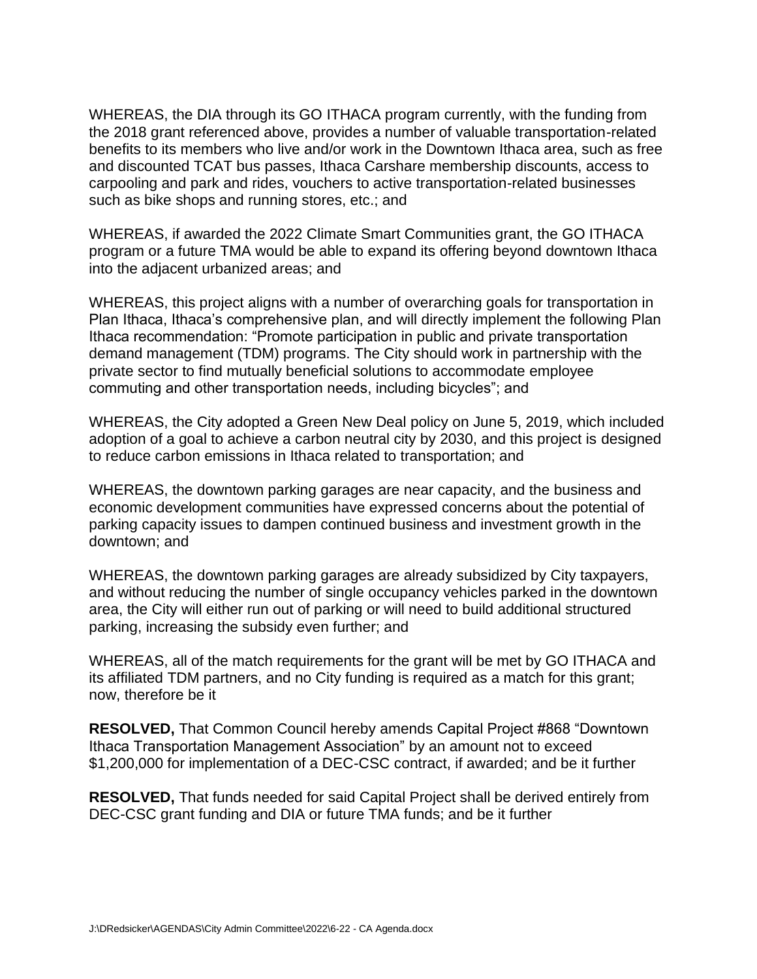WHEREAS, the DIA through its GO ITHACA program currently, with the funding from the 2018 grant referenced above, provides a number of valuable transportation-related benefits to its members who live and/or work in the Downtown Ithaca area, such as free and discounted TCAT bus passes, Ithaca Carshare membership discounts, access to carpooling and park and rides, vouchers to active transportation-related businesses such as bike shops and running stores, etc.; and

WHEREAS, if awarded the 2022 Climate Smart Communities grant, the GO ITHACA program or a future TMA would be able to expand its offering beyond downtown Ithaca into the adjacent urbanized areas; and

WHEREAS, this project aligns with a number of overarching goals for transportation in Plan Ithaca, Ithaca's comprehensive plan, and will directly implement the following Plan Ithaca recommendation: "Promote participation in public and private transportation demand management (TDM) programs. The City should work in partnership with the private sector to find mutually beneficial solutions to accommodate employee commuting and other transportation needs, including bicycles"; and

WHEREAS, the City adopted a Green New Deal policy on June 5, 2019, which included adoption of a goal to achieve a carbon neutral city by 2030, and this project is designed to reduce carbon emissions in Ithaca related to transportation; and

WHEREAS, the downtown parking garages are near capacity, and the business and economic development communities have expressed concerns about the potential of parking capacity issues to dampen continued business and investment growth in the downtown; and

WHEREAS, the downtown parking garages are already subsidized by City taxpayers, and without reducing the number of single occupancy vehicles parked in the downtown area, the City will either run out of parking or will need to build additional structured parking, increasing the subsidy even further; and

WHEREAS, all of the match requirements for the grant will be met by GO ITHACA and its affiliated TDM partners, and no City funding is required as a match for this grant; now, therefore be it

**RESOLVED,** That Common Council hereby amends Capital Project #868 "Downtown Ithaca Transportation Management Association" by an amount not to exceed \$1,200,000 for implementation of a DEC-CSC contract, if awarded; and be it further

**RESOLVED,** That funds needed for said Capital Project shall be derived entirely from DEC-CSC grant funding and DIA or future TMA funds; and be it further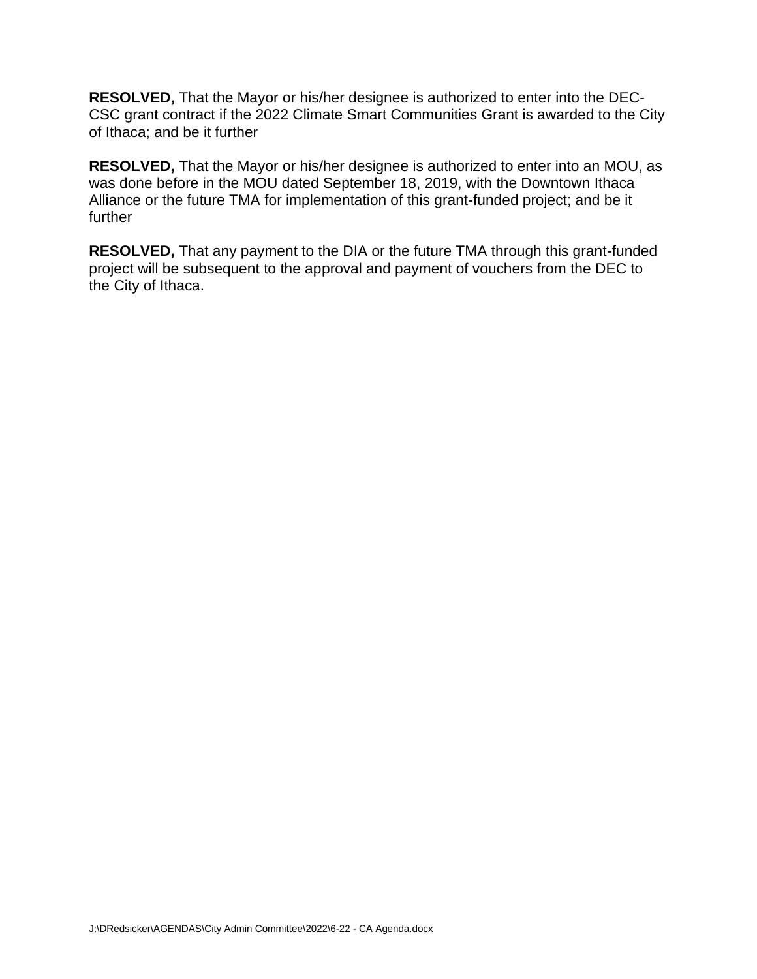**RESOLVED,** That the Mayor or his/her designee is authorized to enter into the DEC-CSC grant contract if the 2022 Climate Smart Communities Grant is awarded to the City of Ithaca; and be it further

**RESOLVED,** That the Mayor or his/her designee is authorized to enter into an MOU, as was done before in the MOU dated September 18, 2019, with the Downtown Ithaca Alliance or the future TMA for implementation of this grant-funded project; and be it further

**RESOLVED,** That any payment to the DIA or the future TMA through this grant-funded project will be subsequent to the approval and payment of vouchers from the DEC to the City of Ithaca.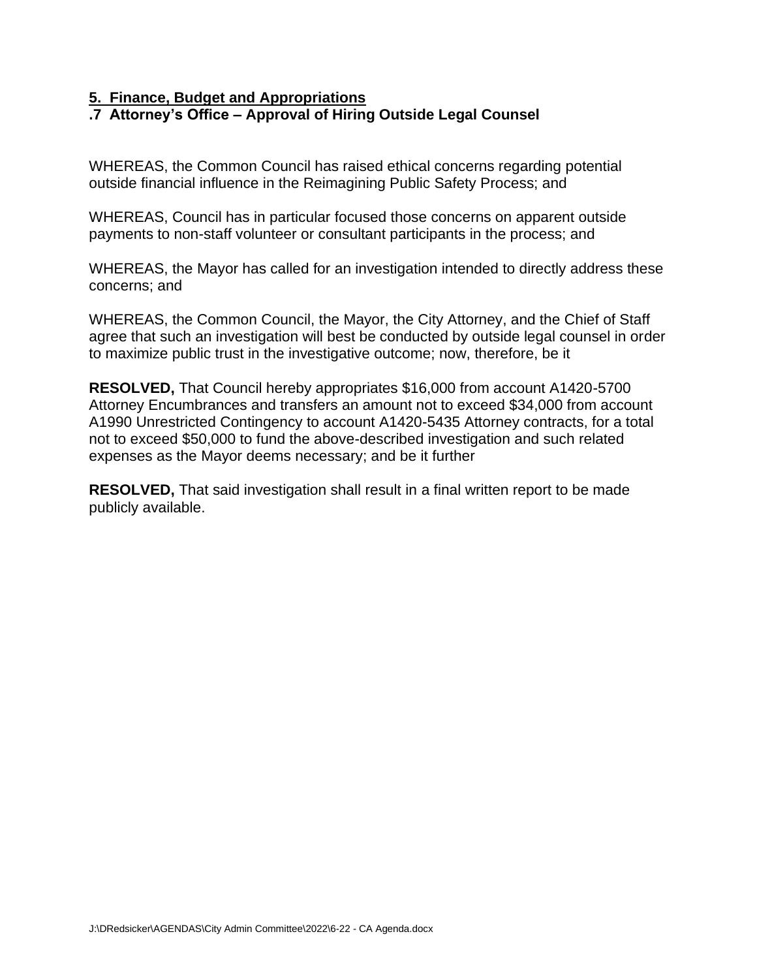# **5. Finance, Budget and Appropriations**

# **.7 Attorney's Office – Approval of Hiring Outside Legal Counsel**

WHEREAS, the Common Council has raised ethical concerns regarding potential outside financial influence in the Reimagining Public Safety Process; and

WHEREAS, Council has in particular focused those concerns on apparent outside payments to non-staff volunteer or consultant participants in the process; and

WHEREAS, the Mayor has called for an investigation intended to directly address these concerns; and

WHEREAS, the Common Council, the Mayor, the City Attorney, and the Chief of Staff agree that such an investigation will best be conducted by outside legal counsel in order to maximize public trust in the investigative outcome; now, therefore, be it

**RESOLVED,** That Council hereby appropriates \$16,000 from account A1420-5700 Attorney Encumbrances and transfers an amount not to exceed \$34,000 from account A1990 Unrestricted Contingency to account A1420-5435 Attorney contracts, for a total not to exceed \$50,000 to fund the above-described investigation and such related expenses as the Mayor deems necessary; and be it further

**RESOLVED,** That said investigation shall result in a final written report to be made publicly available.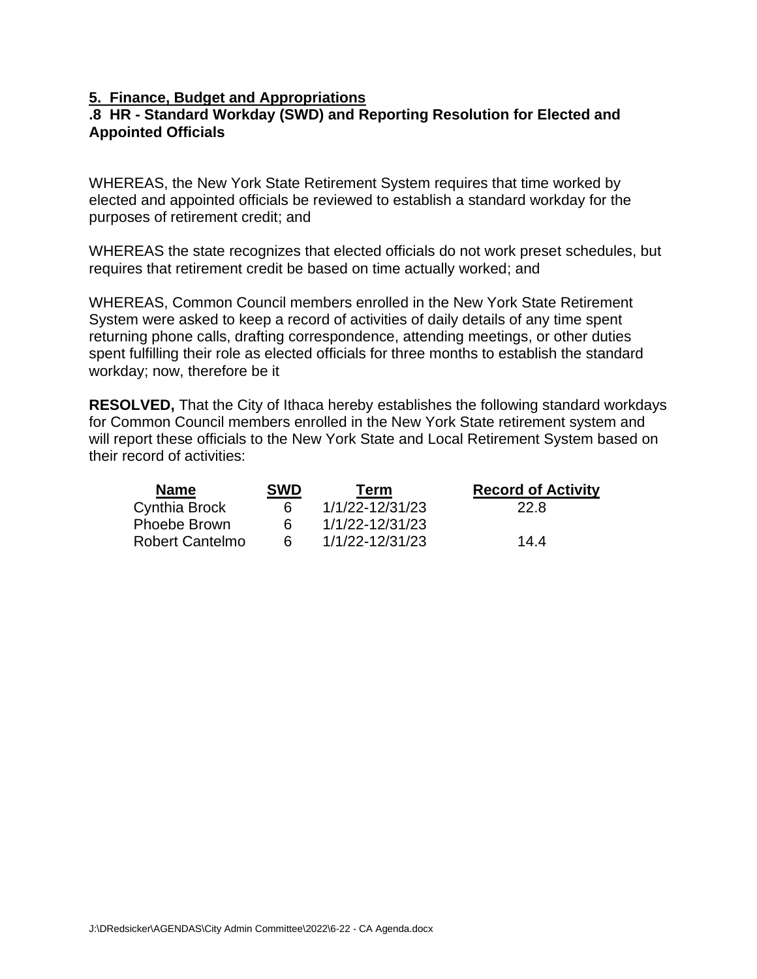# **5. Finance, Budget and Appropriations**

# **.8 HR - Standard Workday (SWD) and Reporting Resolution for Elected and Appointed Officials**

WHEREAS, the New York State Retirement System requires that time worked by elected and appointed officials be reviewed to establish a standard workday for the purposes of retirement credit; and

WHEREAS the state recognizes that elected officials do not work preset schedules, but requires that retirement credit be based on time actually worked; and

WHEREAS, Common Council members enrolled in the New York State Retirement System were asked to keep a record of activities of daily details of any time spent returning phone calls, drafting correspondence, attending meetings, or other duties spent fulfilling their role as elected officials for three months to establish the standard workday; now, therefore be it

**RESOLVED,** That the City of Ithaca hereby establishes the following standard workdays for Common Council members enrolled in the New York State retirement system and will report these officials to the New York State and Local Retirement System based on their record of activities:

| <b>Name</b>            | <b>SWD</b> | Term            | <b>Record of Activity</b> |
|------------------------|------------|-----------------|---------------------------|
| Cynthia Brock          | 6          | 1/1/22-12/31/23 | 22.8                      |
| <b>Phoebe Brown</b>    |            | 1/1/22-12/31/23 |                           |
| <b>Robert Cantelmo</b> | б          | 1/1/22-12/31/23 | 144                       |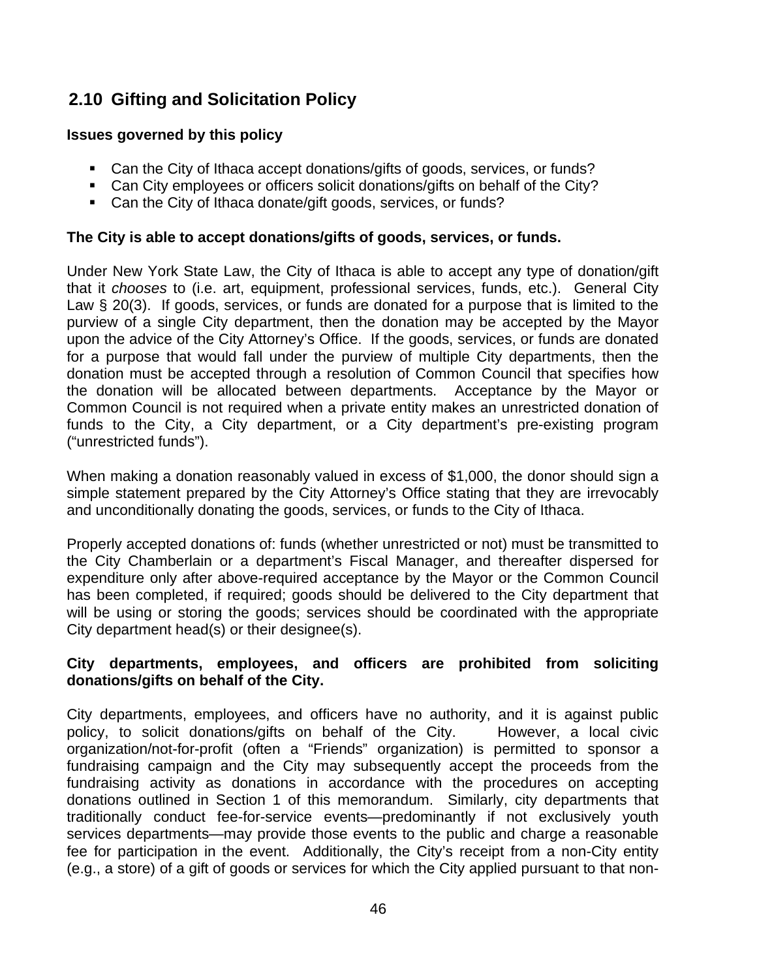# **2.10 Gifting and Solicitation Policy**

# **Issues governed by this policy**

- Can the City of Ithaca accept donations/gifts of goods, services, or funds?
- Can City employees or officers solicit donations/gifts on behalf of the City?
- Can the City of Ithaca donate/gift goods, services, or funds?

# **The City is able to accept donations/gifts of goods, services, or funds.**

Under New York State Law, the City of Ithaca is able to accept any type of donation/gift that it *chooses* to (i.e. art, equipment, professional services, funds, etc.). General City Law § 20(3). If goods, services, or funds are donated for a purpose that is limited to the purview of a single City department, then the donation may be accepted by the Mayor upon the advice of the City Attorney's Office. If the goods, services, or funds are donated for a purpose that would fall under the purview of multiple City departments, then the donation must be accepted through a resolution of Common Council that specifies how the donation will be allocated between departments. Acceptance by the Mayor or Common Council is not required when a private entity makes an unrestricted donation of funds to the City, a City department, or a City department's pre-existing program ("unrestricted funds").

When making a donation reasonably valued in excess of \$1,000, the donor should sign a simple statement prepared by the City Attorney's Office stating that they are irrevocably and unconditionally donating the goods, services, or funds to the City of Ithaca.

Properly accepted donations of: funds (whether unrestricted or not) must be transmitted to the City Chamberlain or a department's Fiscal Manager, and thereafter dispersed for expenditure only after above-required acceptance by the Mayor or the Common Council has been completed, if required; goods should be delivered to the City department that will be using or storing the goods; services should be coordinated with the appropriate City department head(s) or their designee(s).

# **City departments, employees, and officers are prohibited from soliciting donations/gifts on behalf of the City.**

City departments, employees, and officers have no authority, and it is against public policy, to solicit donations/gifts on behalf of the City. However, a local civic organization/not-for-profit (often a "Friends" organization) is permitted to sponsor a fundraising campaign and the City may subsequently accept the proceeds from the fundraising activity as donations in accordance with the procedures on accepting donations outlined in Section 1 of this memorandum. Similarly, city departments that traditionally conduct fee-for-service events—predominantly if not exclusively youth services departments—may provide those events to the public and charge a reasonable fee for participation in the event. Additionally, the City's receipt from a non-City entity (e.g., a store) of a gift of goods or services for which the City applied pursuant to that non-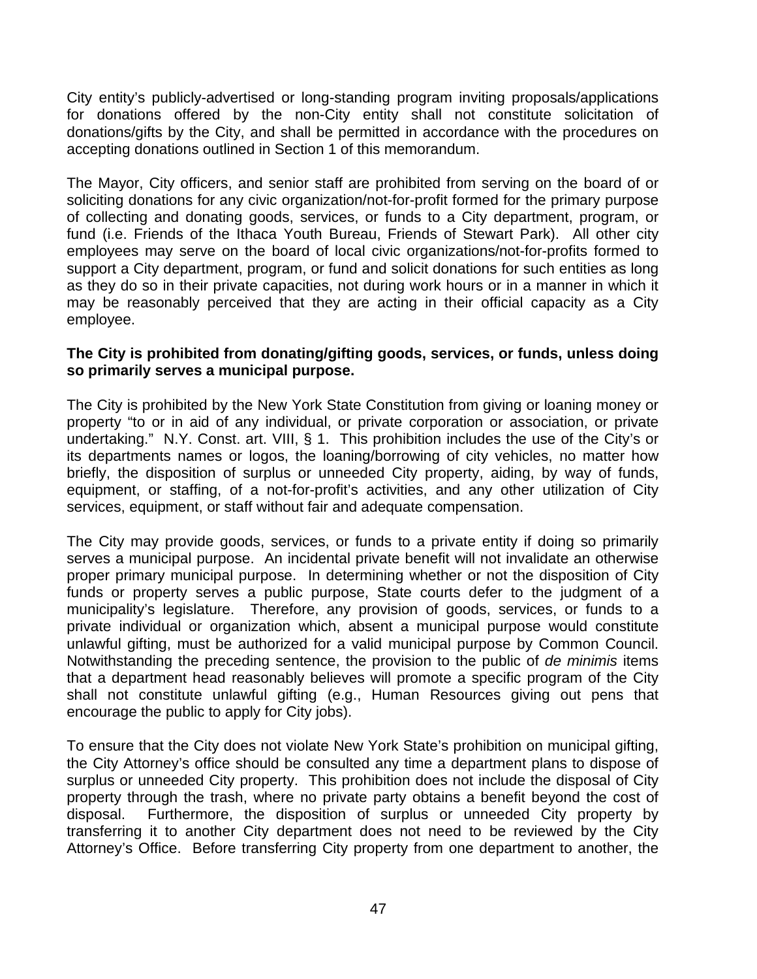City entity's publicly-advertised or long-standing program inviting proposals/applications for donations offered by the non-City entity shall not constitute solicitation of donations/gifts by the City, and shall be permitted in accordance with the procedures on accepting donations outlined in Section 1 of this memorandum.

The Mayor, City officers, and senior staff are prohibited from serving on the board of or soliciting donations for any civic organization/not-for-profit formed for the primary purpose of collecting and donating goods, services, or funds to a City department, program, or fund (i.e. Friends of the Ithaca Youth Bureau, Friends of Stewart Park). All other city employees may serve on the board of local civic organizations/not-for-profits formed to support a City department, program, or fund and solicit donations for such entities as long as they do so in their private capacities, not during work hours or in a manner in which it may be reasonably perceived that they are acting in their official capacity as a City employee.

# **The City is prohibited from donating/gifting goods, services, or funds, unless doing so primarily serves a municipal purpose.**

The City is prohibited by the New York State Constitution from giving or loaning money or property "to or in aid of any individual, or private corporation or association, or private undertaking." N.Y. Const. art. VIII, § 1. This prohibition includes the use of the City's or its departments names or logos, the loaning/borrowing of city vehicles, no matter how briefly, the disposition of surplus or unneeded City property, aiding, by way of funds, equipment, or staffing, of a not-for-profit's activities, and any other utilization of City services, equipment, or staff without fair and adequate compensation.

The City may provide goods, services, or funds to a private entity if doing so primarily serves a municipal purpose. An incidental private benefit will not invalidate an otherwise proper primary municipal purpose. In determining whether or not the disposition of City funds or property serves a public purpose, State courts defer to the judgment of a municipality's legislature. Therefore, any provision of goods, services, or funds to a private individual or organization which, absent a municipal purpose would constitute unlawful gifting, must be authorized for a valid municipal purpose by Common Council. Notwithstanding the preceding sentence, the provision to the public of *de minimis* items that a department head reasonably believes will promote a specific program of the City shall not constitute unlawful gifting (e.g., Human Resources giving out pens that encourage the public to apply for City jobs).

To ensure that the City does not violate New York State's prohibition on municipal gifting, the City Attorney's office should be consulted any time a department plans to dispose of surplus or unneeded City property. This prohibition does not include the disposal of City property through the trash, where no private party obtains a benefit beyond the cost of disposal. Furthermore, the disposition of surplus or unneeded City property by transferring it to another City department does not need to be reviewed by the City Attorney's Office. Before transferring City property from one department to another, the